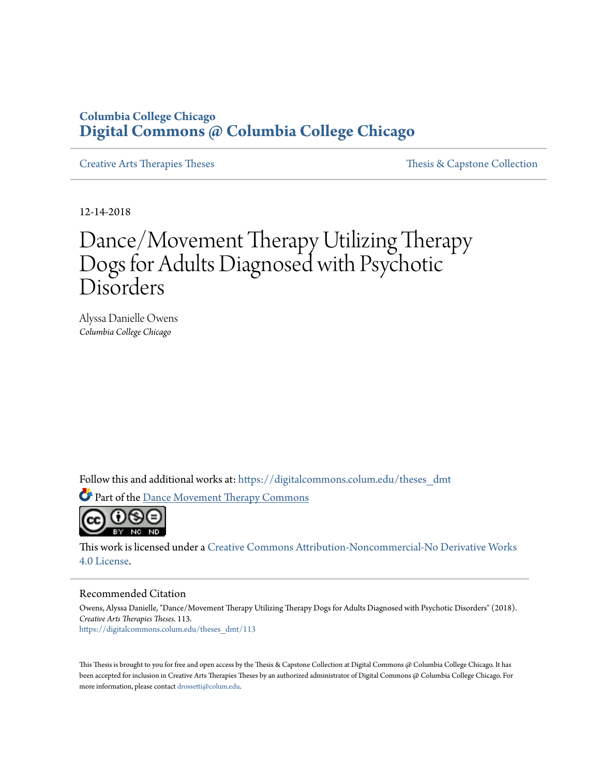# **Columbia College Chicago [Digital Commons @ Columbia College Chicago](https://digitalcommons.colum.edu?utm_source=digitalcommons.colum.edu%2Ftheses_dmt%2F113&utm_medium=PDF&utm_campaign=PDFCoverPages)**

[Creative Arts Therapies Theses](https://digitalcommons.colum.edu/theses_dmt?utm_source=digitalcommons.colum.edu%2Ftheses_dmt%2F113&utm_medium=PDF&utm_campaign=PDFCoverPages) [Thesis & Capstone Collection](https://digitalcommons.colum.edu/thesiscoll?utm_source=digitalcommons.colum.edu%2Ftheses_dmt%2F113&utm_medium=PDF&utm_campaign=PDFCoverPages)

12-14-2018

# Dance/Movement Therapy Utilizing Therapy Dogs for Adults Diagnosed with Psychotic Disorders

Alyssa Danielle Owens *Columbia College Chicago*

Follow this and additional works at: [https://digitalcommons.colum.edu/theses\\_dmt](https://digitalcommons.colum.edu/theses_dmt?utm_source=digitalcommons.colum.edu%2Ftheses_dmt%2F113&utm_medium=PDF&utm_campaign=PDFCoverPages)

Part of the [Dance Movement Therapy Commons](http://network.bepress.com/hgg/discipline/1150?utm_source=digitalcommons.colum.edu%2Ftheses_dmt%2F113&utm_medium=PDF&utm_campaign=PDFCoverPages)



This work is licensed under a [Creative Commons Attribution-Noncommercial-No Derivative Works](http://creativecommons.org/licenses/by-nc-nd/4.0/) [4.0 License.](http://creativecommons.org/licenses/by-nc-nd/4.0/)

#### Recommended Citation

Owens, Alyssa Danielle, "Dance/Movement Therapy Utilizing Therapy Dogs for Adults Diagnosed with Psychotic Disorders" (2018). *Creative Arts Therapies Theses*. 113. [https://digitalcommons.colum.edu/theses\\_dmt/113](https://digitalcommons.colum.edu/theses_dmt/113?utm_source=digitalcommons.colum.edu%2Ftheses_dmt%2F113&utm_medium=PDF&utm_campaign=PDFCoverPages)

This Thesis is brought to you for free and open access by the Thesis & Capstone Collection at Digital Commons @ Columbia College Chicago. It has been accepted for inclusion in Creative Arts Therapies Theses by an authorized administrator of Digital Commons @ Columbia College Chicago. For more information, please contact [drossetti@colum.edu.](mailto:drossetti@colum.edu)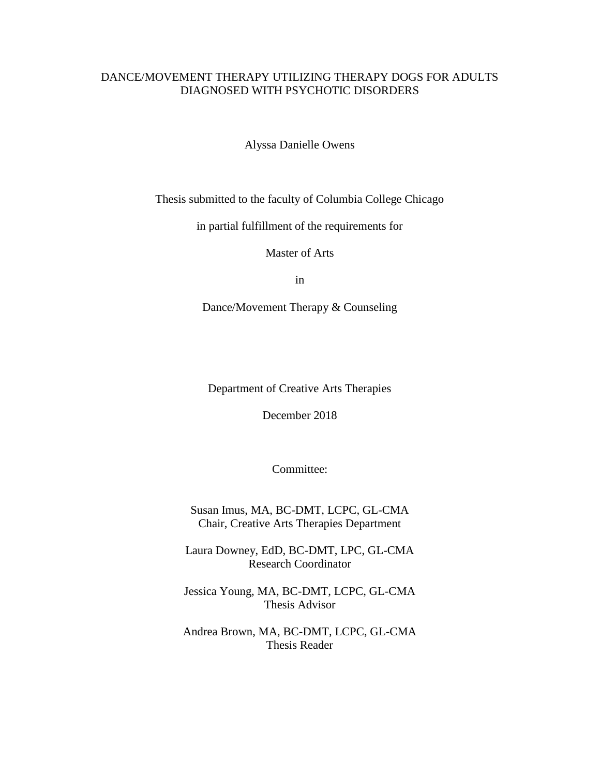# DANCE/MOVEMENT THERAPY UTILIZING THERAPY DOGS FOR ADULTS DIAGNOSED WITH PSYCHOTIC DISORDERS

Alyssa Danielle Owens

Thesis submitted to the faculty of Columbia College Chicago

in partial fulfillment of the requirements for

Master of Arts

in

Dance/Movement Therapy & Counseling

Department of Creative Arts Therapies

December 2018

Committee:

Susan Imus, MA, BC-DMT, LCPC, GL-CMA Chair, Creative Arts Therapies Department

Laura Downey, EdD, BC-DMT, LPC, GL-CMA Research Coordinator

Jessica Young, MA, BC-DMT, LCPC, GL-CMA Thesis Advisor

Andrea Brown, MA, BC-DMT, LCPC, GL-CMA Thesis Reader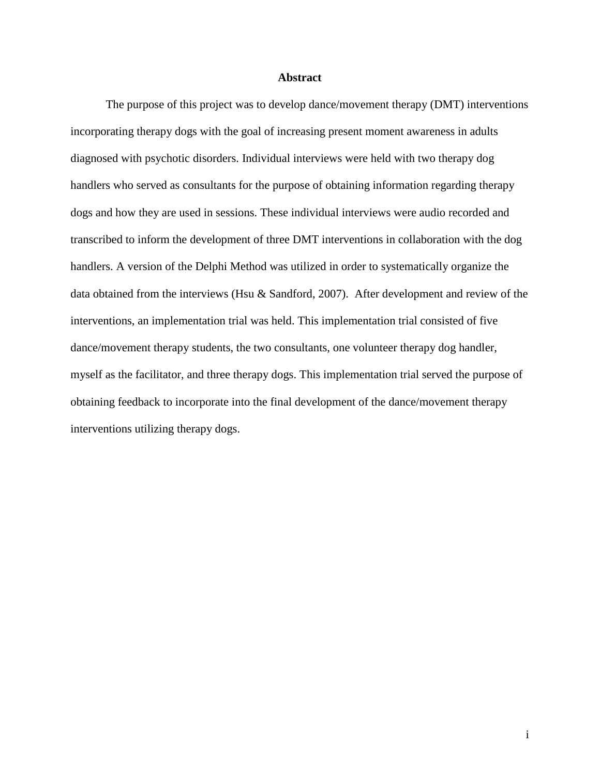# **Abstract**

The purpose of this project was to develop dance/movement therapy (DMT) interventions incorporating therapy dogs with the goal of increasing present moment awareness in adults diagnosed with psychotic disorders. Individual interviews were held with two therapy dog handlers who served as consultants for the purpose of obtaining information regarding therapy dogs and how they are used in sessions. These individual interviews were audio recorded and transcribed to inform the development of three DMT interventions in collaboration with the dog handlers. A version of the Delphi Method was utilized in order to systematically organize the data obtained from the interviews (Hsu & Sandford, 2007). After development and review of the interventions, an implementation trial was held. This implementation trial consisted of five dance/movement therapy students, the two consultants, one volunteer therapy dog handler, myself as the facilitator, and three therapy dogs. This implementation trial served the purpose of obtaining feedback to incorporate into the final development of the dance/movement therapy interventions utilizing therapy dogs.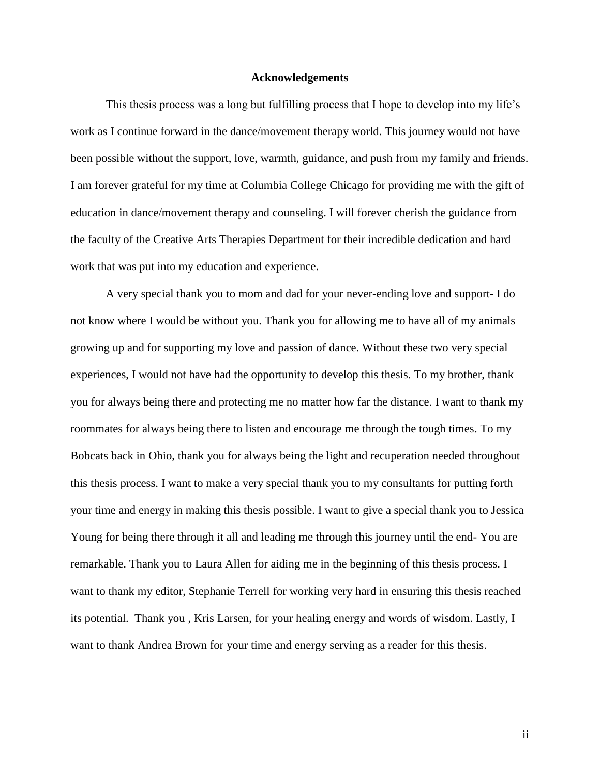# **Acknowledgements**

This thesis process was a long but fulfilling process that I hope to develop into my life's work as I continue forward in the dance/movement therapy world. This journey would not have been possible without the support, love, warmth, guidance, and push from my family and friends. I am forever grateful for my time at Columbia College Chicago for providing me with the gift of education in dance/movement therapy and counseling. I will forever cherish the guidance from the faculty of the Creative Arts Therapies Department for their incredible dedication and hard work that was put into my education and experience.

A very special thank you to mom and dad for your never-ending love and support- I do not know where I would be without you. Thank you for allowing me to have all of my animals growing up and for supporting my love and passion of dance. Without these two very special experiences, I would not have had the opportunity to develop this thesis. To my brother, thank you for always being there and protecting me no matter how far the distance. I want to thank my roommates for always being there to listen and encourage me through the tough times. To my Bobcats back in Ohio, thank you for always being the light and recuperation needed throughout this thesis process. I want to make a very special thank you to my consultants for putting forth your time and energy in making this thesis possible. I want to give a special thank you to Jessica Young for being there through it all and leading me through this journey until the end- You are remarkable. Thank you to Laura Allen for aiding me in the beginning of this thesis process. I want to thank my editor, Stephanie Terrell for working very hard in ensuring this thesis reached its potential. Thank you , Kris Larsen, for your healing energy and words of wisdom. Lastly, I want to thank Andrea Brown for your time and energy serving as a reader for this thesis.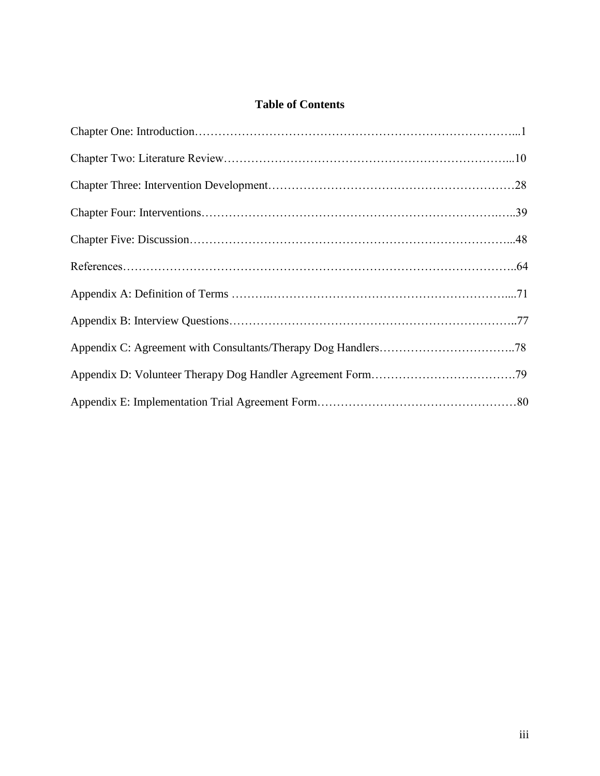# **Table of Contents**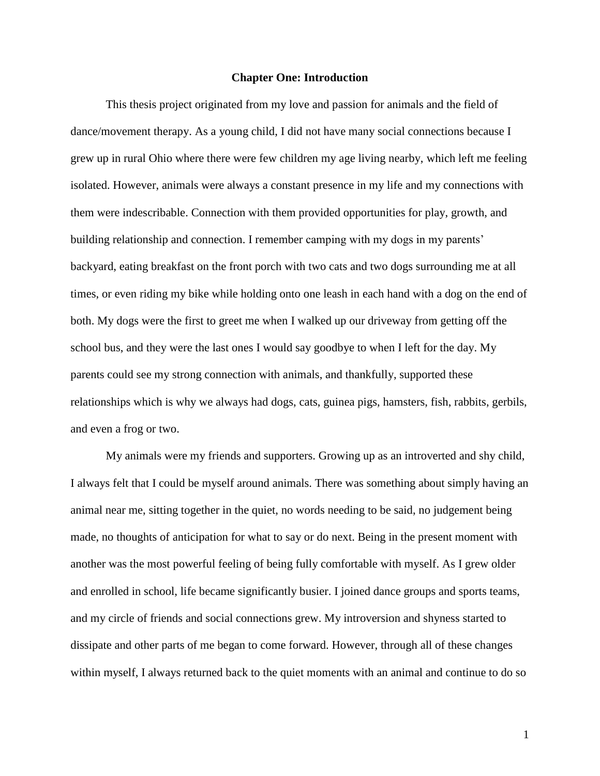# **Chapter One: Introduction**

This thesis project originated from my love and passion for animals and the field of dance/movement therapy. As a young child, I did not have many social connections because I grew up in rural Ohio where there were few children my age living nearby, which left me feeling isolated. However, animals were always a constant presence in my life and my connections with them were indescribable. Connection with them provided opportunities for play, growth, and building relationship and connection. I remember camping with my dogs in my parents' backyard, eating breakfast on the front porch with two cats and two dogs surrounding me at all times, or even riding my bike while holding onto one leash in each hand with a dog on the end of both. My dogs were the first to greet me when I walked up our driveway from getting off the school bus, and they were the last ones I would say goodbye to when I left for the day. My parents could see my strong connection with animals, and thankfully, supported these relationships which is why we always had dogs, cats, guinea pigs, hamsters, fish, rabbits, gerbils, and even a frog or two.

My animals were my friends and supporters. Growing up as an introverted and shy child, I always felt that I could be myself around animals. There was something about simply having an animal near me, sitting together in the quiet, no words needing to be said, no judgement being made, no thoughts of anticipation for what to say or do next. Being in the present moment with another was the most powerful feeling of being fully comfortable with myself. As I grew older and enrolled in school, life became significantly busier. I joined dance groups and sports teams, and my circle of friends and social connections grew. My introversion and shyness started to dissipate and other parts of me began to come forward. However, through all of these changes within myself, I always returned back to the quiet moments with an animal and continue to do so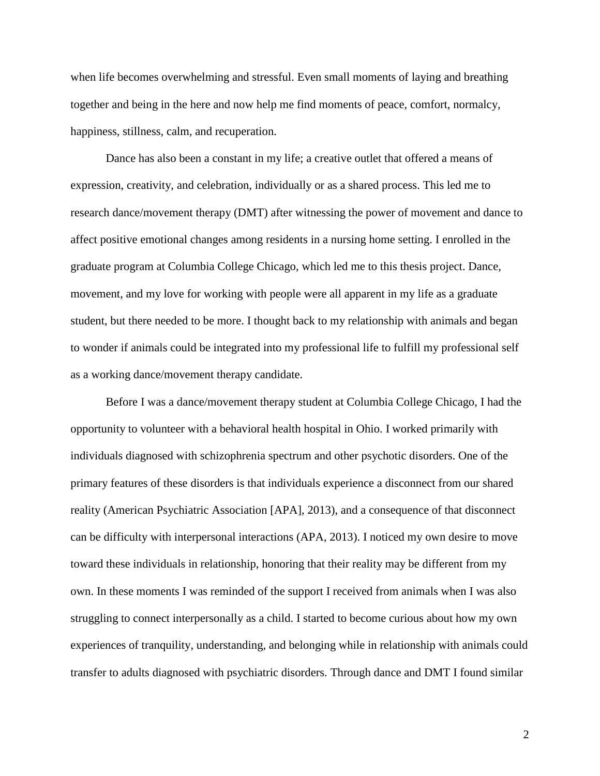when life becomes overwhelming and stressful. Even small moments of laying and breathing together and being in the here and now help me find moments of peace, comfort, normalcy, happiness, stillness, calm, and recuperation.

Dance has also been a constant in my life; a creative outlet that offered a means of expression, creativity, and celebration, individually or as a shared process. This led me to research dance/movement therapy (DMT) after witnessing the power of movement and dance to affect positive emotional changes among residents in a nursing home setting. I enrolled in the graduate program at Columbia College Chicago, which led me to this thesis project. Dance, movement, and my love for working with people were all apparent in my life as a graduate student, but there needed to be more. I thought back to my relationship with animals and began to wonder if animals could be integrated into my professional life to fulfill my professional self as a working dance/movement therapy candidate.

Before I was a dance/movement therapy student at Columbia College Chicago, I had the opportunity to volunteer with a behavioral health hospital in Ohio. I worked primarily with individuals diagnosed with schizophrenia spectrum and other psychotic disorders. One of the primary features of these disorders is that individuals experience a disconnect from our shared reality (American Psychiatric Association [APA], 2013), and a consequence of that disconnect can be difficulty with interpersonal interactions (APA, 2013). I noticed my own desire to move toward these individuals in relationship, honoring that their reality may be different from my own. In these moments I was reminded of the support I received from animals when I was also struggling to connect interpersonally as a child. I started to become curious about how my own experiences of tranquility, understanding, and belonging while in relationship with animals could transfer to adults diagnosed with psychiatric disorders. Through dance and DMT I found similar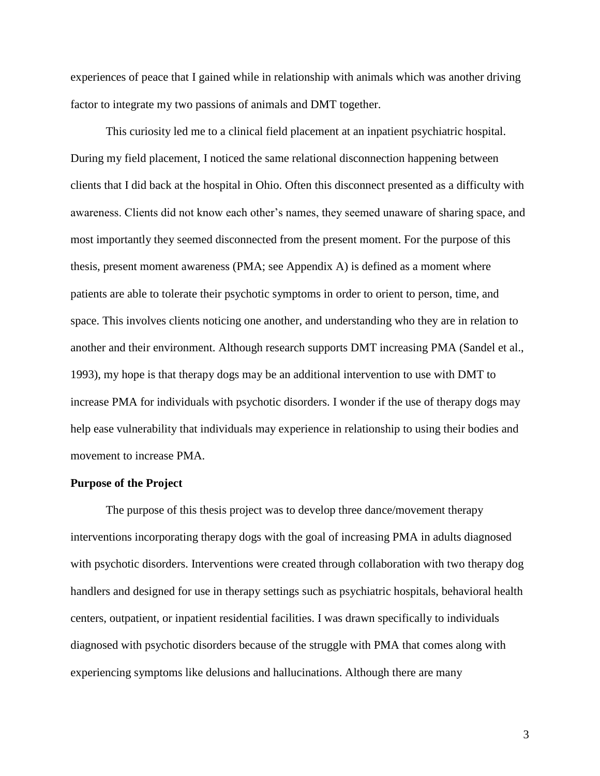experiences of peace that I gained while in relationship with animals which was another driving factor to integrate my two passions of animals and DMT together.

This curiosity led me to a clinical field placement at an inpatient psychiatric hospital. During my field placement, I noticed the same relational disconnection happening between clients that I did back at the hospital in Ohio. Often this disconnect presented as a difficulty with awareness. Clients did not know each other's names, they seemed unaware of sharing space, and most importantly they seemed disconnected from the present moment. For the purpose of this thesis, present moment awareness (PMA; see Appendix A) is defined as a moment where patients are able to tolerate their psychotic symptoms in order to orient to person, time, and space. This involves clients noticing one another, and understanding who they are in relation to another and their environment. Although research supports DMT increasing PMA (Sandel et al., 1993), my hope is that therapy dogs may be an additional intervention to use with DMT to increase PMA for individuals with psychotic disorders. I wonder if the use of therapy dogs may help ease vulnerability that individuals may experience in relationship to using their bodies and movement to increase PMA.

# **Purpose of the Project**

The purpose of this thesis project was to develop three dance/movement therapy interventions incorporating therapy dogs with the goal of increasing PMA in adults diagnosed with psychotic disorders. Interventions were created through collaboration with two therapy dog handlers and designed for use in therapy settings such as psychiatric hospitals, behavioral health centers, outpatient, or inpatient residential facilities. I was drawn specifically to individuals diagnosed with psychotic disorders because of the struggle with PMA that comes along with experiencing symptoms like delusions and hallucinations. Although there are many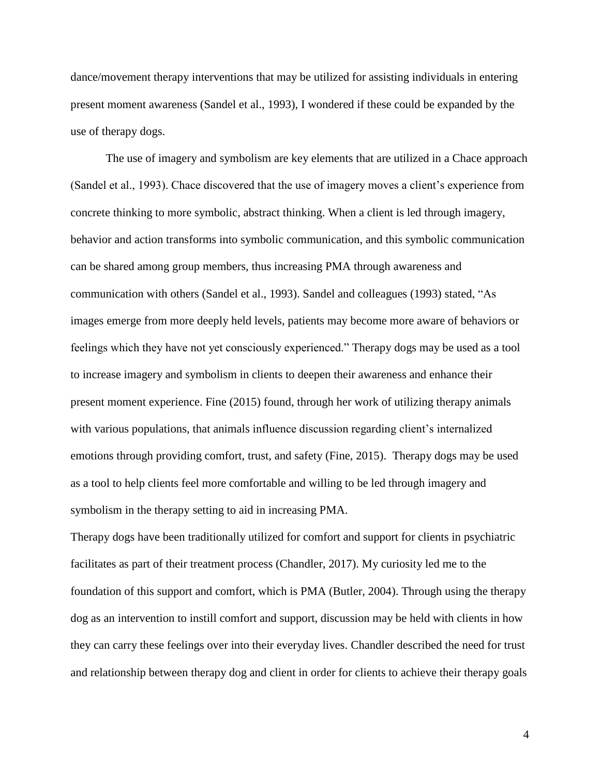dance/movement therapy interventions that may be utilized for assisting individuals in entering present moment awareness (Sandel et al., 1993), I wondered if these could be expanded by the use of therapy dogs.

The use of imagery and symbolism are key elements that are utilized in a Chace approach (Sandel et al., 1993). Chace discovered that the use of imagery moves a client's experience from concrete thinking to more symbolic, abstract thinking. When a client is led through imagery, behavior and action transforms into symbolic communication, and this symbolic communication can be shared among group members, thus increasing PMA through awareness and communication with others (Sandel et al., 1993). Sandel and colleagues (1993) stated, "As images emerge from more deeply held levels, patients may become more aware of behaviors or feelings which they have not yet consciously experienced." Therapy dogs may be used as a tool to increase imagery and symbolism in clients to deepen their awareness and enhance their present moment experience. Fine (2015) found, through her work of utilizing therapy animals with various populations, that animals influence discussion regarding client's internalized emotions through providing comfort, trust, and safety (Fine, 2015). Therapy dogs may be used as a tool to help clients feel more comfortable and willing to be led through imagery and symbolism in the therapy setting to aid in increasing PMA.

Therapy dogs have been traditionally utilized for comfort and support for clients in psychiatric facilitates as part of their treatment process (Chandler, 2017). My curiosity led me to the foundation of this support and comfort, which is PMA (Butler, 2004). Through using the therapy dog as an intervention to instill comfort and support, discussion may be held with clients in how they can carry these feelings over into their everyday lives. Chandler described the need for trust and relationship between therapy dog and client in order for clients to achieve their therapy goals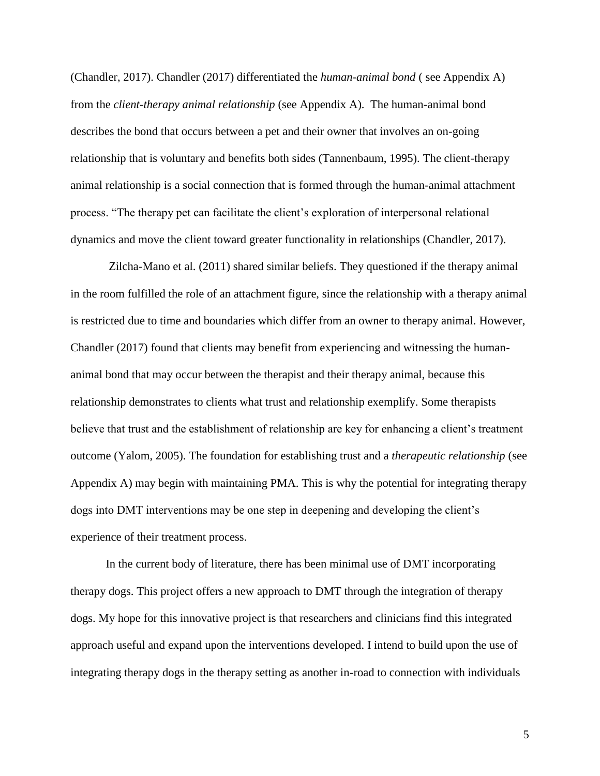(Chandler, 2017). Chandler (2017) differentiated the *human-animal bond* ( see Appendix A) from the *client-therapy animal relationship* (see Appendix A). The human-animal bond describes the bond that occurs between a pet and their owner that involves an on-going relationship that is voluntary and benefits both sides (Tannenbaum, 1995). The client-therapy animal relationship is a social connection that is formed through the human-animal attachment process. "The therapy pet can facilitate the client's exploration of interpersonal relational dynamics and move the client toward greater functionality in relationships (Chandler, 2017).

Zilcha-Mano et al. (2011) shared similar beliefs. They questioned if the therapy animal in the room fulfilled the role of an attachment figure, since the relationship with a therapy animal is restricted due to time and boundaries which differ from an owner to therapy animal. However, Chandler (2017) found that clients may benefit from experiencing and witnessing the humananimal bond that may occur between the therapist and their therapy animal, because this relationship demonstrates to clients what trust and relationship exemplify. Some therapists believe that trust and the establishment of relationship are key for enhancing a client's treatment outcome (Yalom, 2005). The foundation for establishing trust and a *therapeutic relationship* (see Appendix A) may begin with maintaining PMA. This is why the potential for integrating therapy dogs into DMT interventions may be one step in deepening and developing the client's experience of their treatment process.

In the current body of literature, there has been minimal use of DMT incorporating therapy dogs. This project offers a new approach to DMT through the integration of therapy dogs. My hope for this innovative project is that researchers and clinicians find this integrated approach useful and expand upon the interventions developed. I intend to build upon the use of integrating therapy dogs in the therapy setting as another in-road to connection with individuals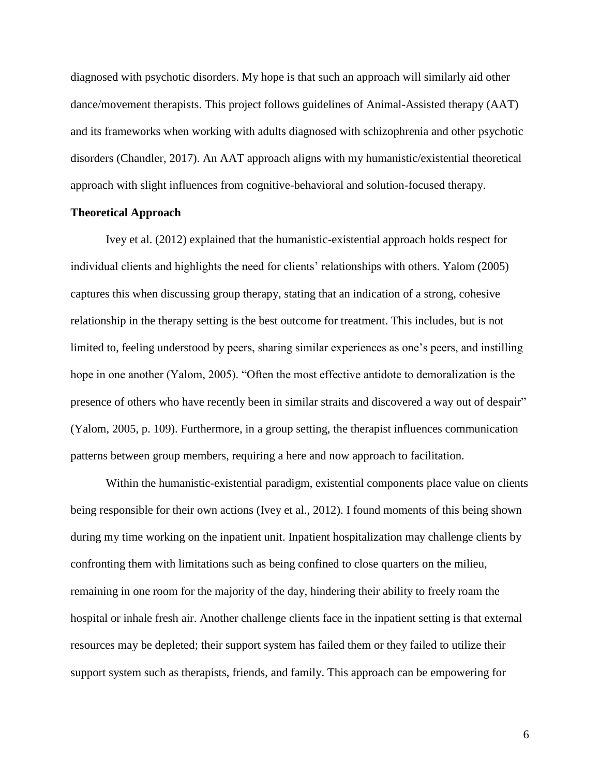diagnosed with psychotic disorders. My hope is that such an approach will similarly aid other dance/movement therapists. This project follows guidelines of Animal-Assisted therapy (AAT) and its frameworks when working with adults diagnosed with schizophrenia and other psychotic disorders (Chandler, 2017). An AAT approach aligns with my humanistic/existential theoretical approach with slight influences from cognitive-behavioral and solution-focused therapy.

# **Theoretical Approach**

Ivey et al. (2012) explained that the humanistic-existential approach holds respect for individual clients and highlights the need for clients' relationships with others. Yalom (2005) captures this when discussing group therapy, stating that an indication of a strong, cohesive relationship in the therapy setting is the best outcome for treatment. This includes, but is not limited to, feeling understood by peers, sharing similar experiences as one's peers, and instilling hope in one another (Yalom, 2005). "Often the most effective antidote to demoralization is the presence of others who have recently been in similar straits and discovered a way out of despair" (Yalom, 2005, p. 109). Furthermore, in a group setting, the therapist influences communication patterns between group members, requiring a here and now approach to facilitation.

Within the humanistic-existential paradigm, existential components place value on clients being responsible for their own actions (Ivey et al., 2012). I found moments of this being shown during my time working on the inpatient unit. Inpatient hospitalization may challenge clients by confronting them with limitations such as being confined to close quarters on the milieu, remaining in one room for the majority of the day, hindering their ability to freely roam the hospital or inhale fresh air. Another challenge clients face in the inpatient setting is that external resources may be depleted; their support system has failed them or they failed to utilize their support system such as therapists, friends, and family. This approach can be empowering for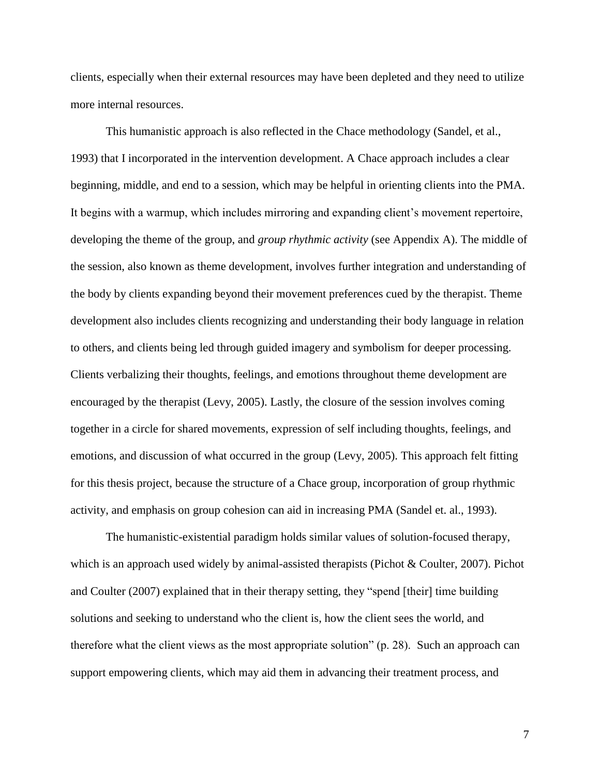clients, especially when their external resources may have been depleted and they need to utilize more internal resources.

This humanistic approach is also reflected in the Chace methodology (Sandel, et al., 1993) that I incorporated in the intervention development. A Chace approach includes a clear beginning, middle, and end to a session, which may be helpful in orienting clients into the PMA. It begins with a warmup, which includes mirroring and expanding client's movement repertoire, developing the theme of the group, and *group rhythmic activity* (see Appendix A). The middle of the session, also known as theme development, involves further integration and understanding of the body by clients expanding beyond their movement preferences cued by the therapist. Theme development also includes clients recognizing and understanding their body language in relation to others, and clients being led through guided imagery and symbolism for deeper processing. Clients verbalizing their thoughts, feelings, and emotions throughout theme development are encouraged by the therapist (Levy, 2005). Lastly, the closure of the session involves coming together in a circle for shared movements, expression of self including thoughts, feelings, and emotions, and discussion of what occurred in the group (Levy, 2005). This approach felt fitting for this thesis project, because the structure of a Chace group, incorporation of group rhythmic activity, and emphasis on group cohesion can aid in increasing PMA (Sandel et. al., 1993).

The humanistic-existential paradigm holds similar values of solution-focused therapy, which is an approach used widely by animal-assisted therapists (Pichot & Coulter, 2007). Pichot and Coulter (2007) explained that in their therapy setting, they "spend [their] time building solutions and seeking to understand who the client is, how the client sees the world, and therefore what the client views as the most appropriate solution" (p. 28). Such an approach can support empowering clients, which may aid them in advancing their treatment process, and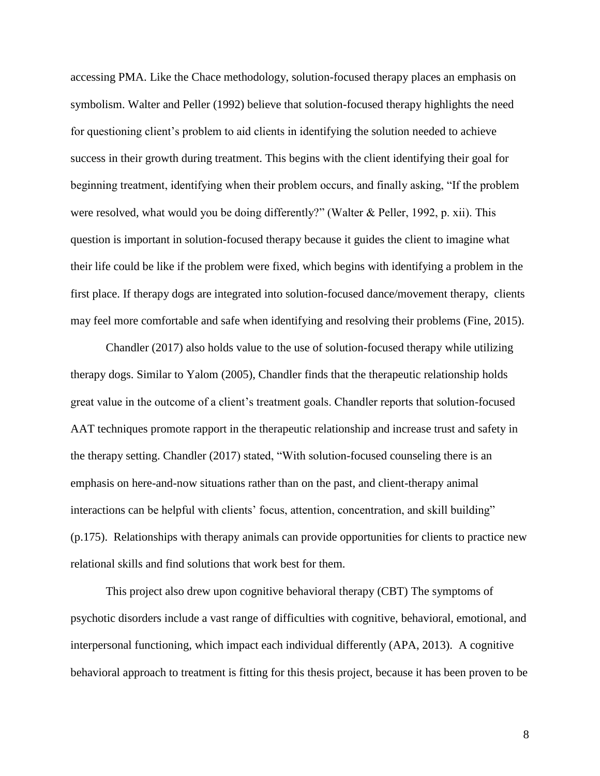accessing PMA. Like the Chace methodology, solution-focused therapy places an emphasis on symbolism. Walter and Peller (1992) believe that solution-focused therapy highlights the need for questioning client's problem to aid clients in identifying the solution needed to achieve success in their growth during treatment. This begins with the client identifying their goal for beginning treatment, identifying when their problem occurs, and finally asking, "If the problem were resolved, what would you be doing differently?" (Walter & Peller, 1992, p. xii). This question is important in solution-focused therapy because it guides the client to imagine what their life could be like if the problem were fixed, which begins with identifying a problem in the first place. If therapy dogs are integrated into solution-focused dance/movement therapy, clients may feel more comfortable and safe when identifying and resolving their problems (Fine, 2015).

Chandler (2017) also holds value to the use of solution-focused therapy while utilizing therapy dogs. Similar to Yalom (2005), Chandler finds that the therapeutic relationship holds great value in the outcome of a client's treatment goals. Chandler reports that solution-focused AAT techniques promote rapport in the therapeutic relationship and increase trust and safety in the therapy setting. Chandler (2017) stated, "With solution-focused counseling there is an emphasis on here-and-now situations rather than on the past, and client-therapy animal interactions can be helpful with clients' focus, attention, concentration, and skill building" (p.175). Relationships with therapy animals can provide opportunities for clients to practice new relational skills and find solutions that work best for them.

This project also drew upon cognitive behavioral therapy (CBT) The symptoms of psychotic disorders include a vast range of difficulties with cognitive, behavioral, emotional, and interpersonal functioning, which impact each individual differently (APA, 2013). A cognitive behavioral approach to treatment is fitting for this thesis project, because it has been proven to be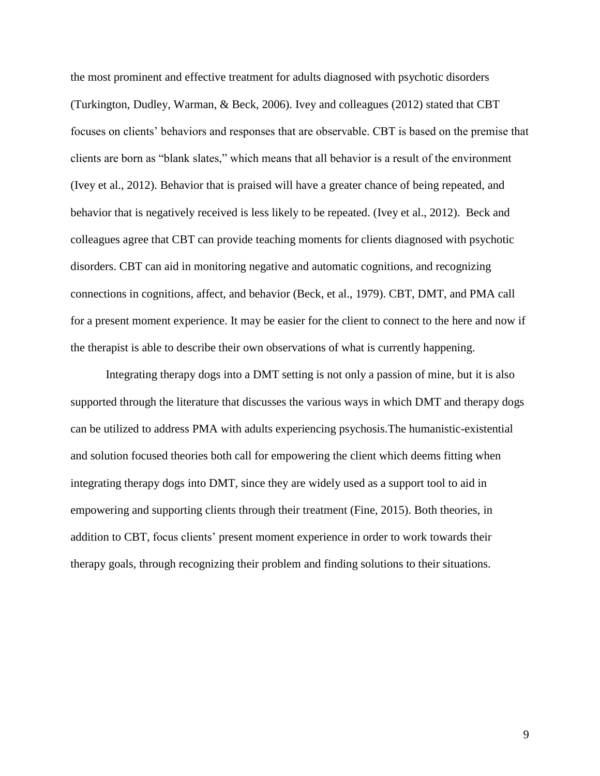the most prominent and effective treatment for adults diagnosed with psychotic disorders (Turkington, Dudley, Warman, & Beck, 2006). Ivey and colleagues (2012) stated that CBT focuses on clients' behaviors and responses that are observable. CBT is based on the premise that clients are born as "blank slates," which means that all behavior is a result of the environment (Ivey et al., 2012). Behavior that is praised will have a greater chance of being repeated, and behavior that is negatively received is less likely to be repeated. (Ivey et al., 2012). Beck and colleagues agree that CBT can provide teaching moments for clients diagnosed with psychotic disorders. CBT can aid in monitoring negative and automatic cognitions, and recognizing connections in cognitions, affect, and behavior (Beck, et al., 1979). CBT, DMT, and PMA call for a present moment experience. It may be easier for the client to connect to the here and now if the therapist is able to describe their own observations of what is currently happening.

Integrating therapy dogs into a DMT setting is not only a passion of mine, but it is also supported through the literature that discusses the various ways in which DMT and therapy dogs can be utilized to address PMA with adults experiencing psychosis.The humanistic-existential and solution focused theories both call for empowering the client which deems fitting when integrating therapy dogs into DMT, since they are widely used as a support tool to aid in empowering and supporting clients through their treatment (Fine, 2015). Both theories, in addition to CBT, focus clients' present moment experience in order to work towards their therapy goals, through recognizing their problem and finding solutions to their situations.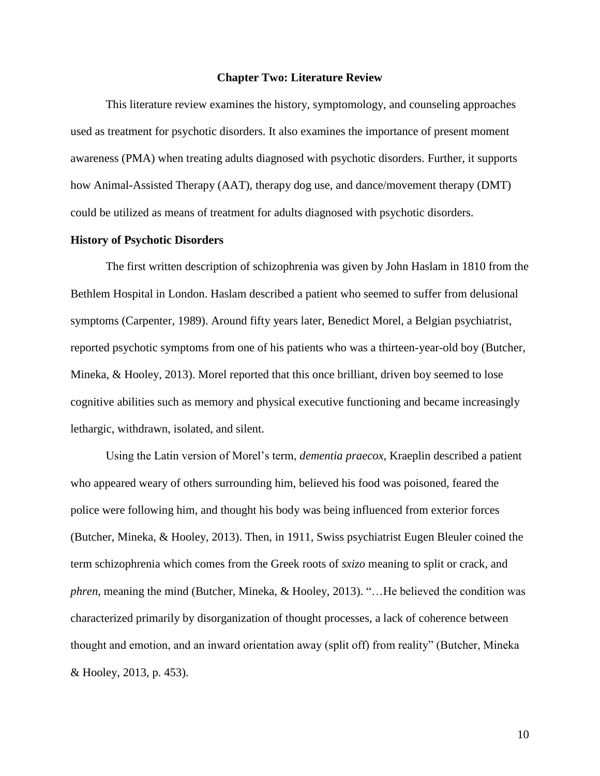#### **Chapter Two: Literature Review**

This literature review examines the history, symptomology, and counseling approaches used as treatment for psychotic disorders. It also examines the importance of present moment awareness (PMA) when treating adults diagnosed with psychotic disorders. Further, it supports how Animal-Assisted Therapy (AAT), therapy dog use, and dance/movement therapy (DMT) could be utilized as means of treatment for adults diagnosed with psychotic disorders.

# **History of Psychotic Disorders**

The first written description of schizophrenia was given by John Haslam in 1810 from the Bethlem Hospital in London. Haslam described a patient who seemed to suffer from delusional symptoms (Carpenter, 1989). Around fifty years later, Benedict Morel, a Belgian psychiatrist, reported psychotic symptoms from one of his patients who was a thirteen-year-old boy (Butcher, Mineka, & Hooley, 2013). Morel reported that this once brilliant, driven boy seemed to lose cognitive abilities such as memory and physical executive functioning and became increasingly lethargic, withdrawn, isolated, and silent.

Using the Latin version of Morel's term, *dementia praecox*, Kraeplin described a patient who appeared weary of others surrounding him, believed his food was poisoned, feared the police were following him, and thought his body was being influenced from exterior forces (Butcher, Mineka, & Hooley, 2013). Then, in 1911, Swiss psychiatrist Eugen Bleuler coined the term schizophrenia which comes from the Greek roots of *sxizo* meaning to split or crack, and *phren*, meaning the mind (Butcher, Mineka, & Hooley, 2013). "…He believed the condition was characterized primarily by disorganization of thought processes, a lack of coherence between thought and emotion, and an inward orientation away (split off) from reality" (Butcher, Mineka & Hooley, 2013, p. 453).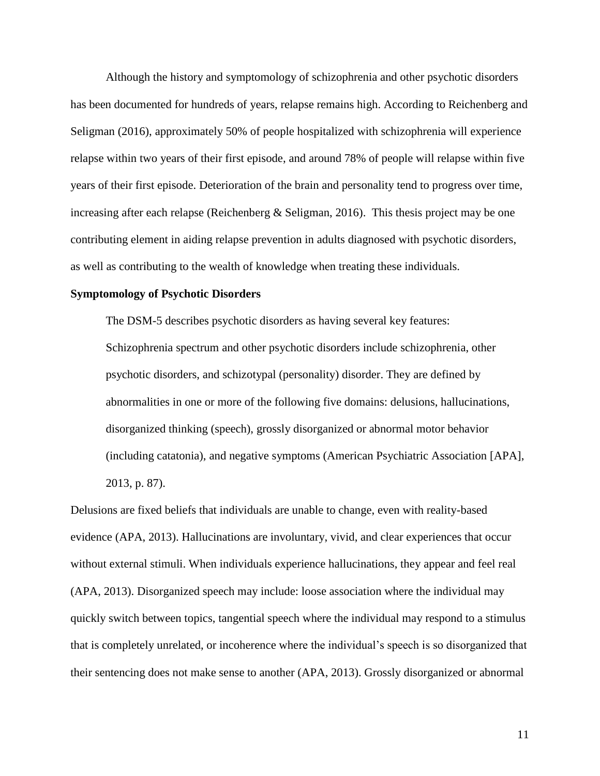Although the history and symptomology of schizophrenia and other psychotic disorders has been documented for hundreds of years, relapse remains high. According to Reichenberg and Seligman (2016), approximately 50% of people hospitalized with schizophrenia will experience relapse within two years of their first episode, and around 78% of people will relapse within five years of their first episode. Deterioration of the brain and personality tend to progress over time, increasing after each relapse (Reichenberg & Seligman, 2016). This thesis project may be one contributing element in aiding relapse prevention in adults diagnosed with psychotic disorders, as well as contributing to the wealth of knowledge when treating these individuals.

# **Symptomology of Psychotic Disorders**

The DSM-5 describes psychotic disorders as having several key features: Schizophrenia spectrum and other psychotic disorders include schizophrenia, other psychotic disorders, and schizotypal (personality) disorder. They are defined by abnormalities in one or more of the following five domains: delusions, hallucinations, disorganized thinking (speech), grossly disorganized or abnormal motor behavior (including catatonia), and negative symptoms (American Psychiatric Association [APA], 2013, p. 87).

Delusions are fixed beliefs that individuals are unable to change, even with reality-based evidence (APA, 2013). Hallucinations are involuntary, vivid, and clear experiences that occur without external stimuli. When individuals experience hallucinations, they appear and feel real (APA, 2013). Disorganized speech may include: loose association where the individual may quickly switch between topics, tangential speech where the individual may respond to a stimulus that is completely unrelated, or incoherence where the individual's speech is so disorganized that their sentencing does not make sense to another (APA, 2013). Grossly disorganized or abnormal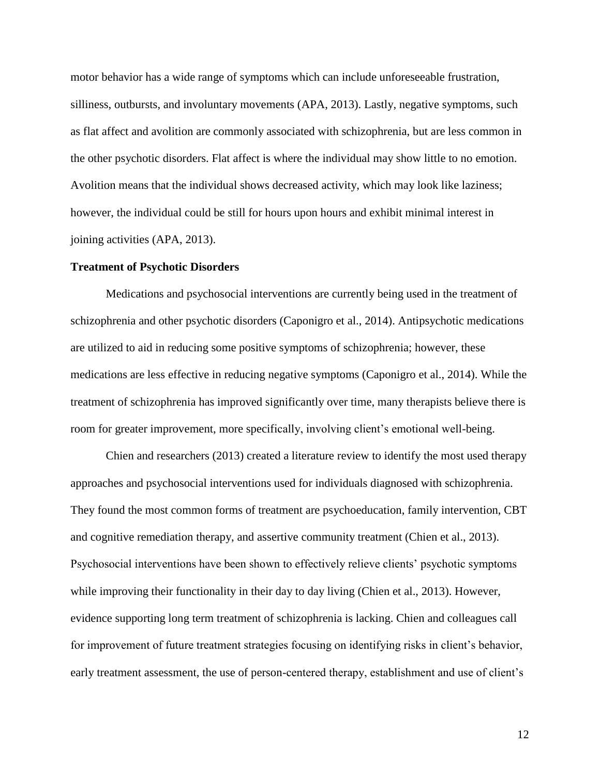motor behavior has a wide range of symptoms which can include unforeseeable frustration, silliness, outbursts, and involuntary movements (APA, 2013). Lastly, negative symptoms, such as flat affect and avolition are commonly associated with schizophrenia, but are less common in the other psychotic disorders. Flat affect is where the individual may show little to no emotion. Avolition means that the individual shows decreased activity, which may look like laziness; however, the individual could be still for hours upon hours and exhibit minimal interest in joining activities (APA, 2013).

#### **Treatment of Psychotic Disorders**

Medications and psychosocial interventions are currently being used in the treatment of schizophrenia and other psychotic disorders (Caponigro et al., 2014). Antipsychotic medications are utilized to aid in reducing some positive symptoms of schizophrenia; however, these medications are less effective in reducing negative symptoms (Caponigro et al., 2014). While the treatment of schizophrenia has improved significantly over time, many therapists believe there is room for greater improvement, more specifically, involving client's emotional well-being.

Chien and researchers (2013) created a literature review to identify the most used therapy approaches and psychosocial interventions used for individuals diagnosed with schizophrenia. They found the most common forms of treatment are psychoeducation, family intervention, CBT and cognitive remediation therapy, and assertive community treatment (Chien et al., 2013). Psychosocial interventions have been shown to effectively relieve clients' psychotic symptoms while improving their functionality in their day to day living (Chien et al., 2013). However, evidence supporting long term treatment of schizophrenia is lacking. Chien and colleagues call for improvement of future treatment strategies focusing on identifying risks in client's behavior, early treatment assessment, the use of person-centered therapy, establishment and use of client's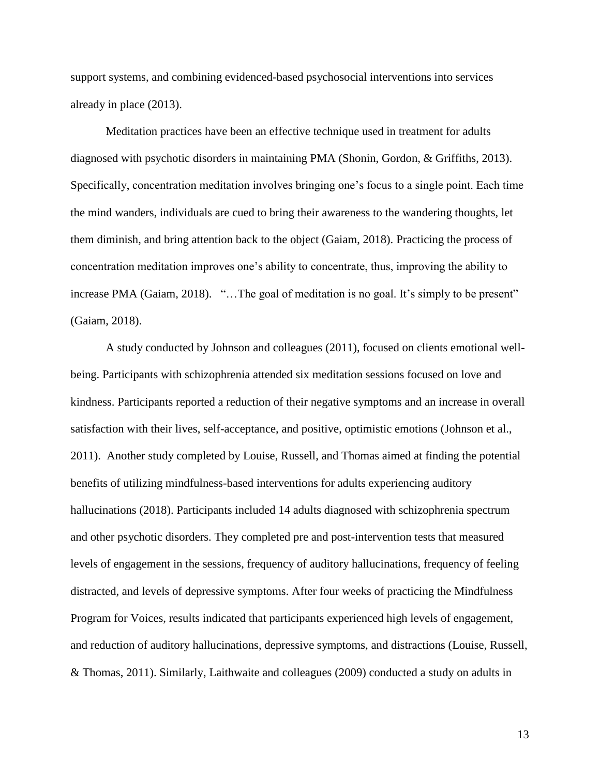support systems, and combining evidenced-based psychosocial interventions into services already in place (2013).

Meditation practices have been an effective technique used in treatment for adults diagnosed with psychotic disorders in maintaining PMA (Shonin, Gordon, & Griffiths, 2013). Specifically, concentration meditation involves bringing one's focus to a single point. Each time the mind wanders, individuals are cued to bring their awareness to the wandering thoughts, let them diminish, and bring attention back to the object (Gaiam, 2018). Practicing the process of concentration meditation improves one's ability to concentrate, thus, improving the ability to increase PMA (Gaiam, 2018). "...The goal of meditation is no goal. It's simply to be present" (Gaiam, 2018).

A study conducted by Johnson and colleagues (2011), focused on clients emotional wellbeing. Participants with schizophrenia attended six meditation sessions focused on love and kindness. Participants reported a reduction of their negative symptoms and an increase in overall satisfaction with their lives, self-acceptance, and positive, optimistic emotions (Johnson et al., 2011). Another study completed by Louise, Russell, and Thomas aimed at finding the potential benefits of utilizing mindfulness-based interventions for adults experiencing auditory hallucinations (2018). Participants included 14 adults diagnosed with schizophrenia spectrum and other psychotic disorders. They completed pre and post-intervention tests that measured levels of engagement in the sessions, frequency of auditory hallucinations, frequency of feeling distracted, and levels of depressive symptoms. After four weeks of practicing the Mindfulness Program for Voices, results indicated that participants experienced high levels of engagement, and reduction of auditory hallucinations, depressive symptoms, and distractions (Louise, Russell, & Thomas, 2011). Similarly, Laithwaite and colleagues (2009) conducted a study on adults in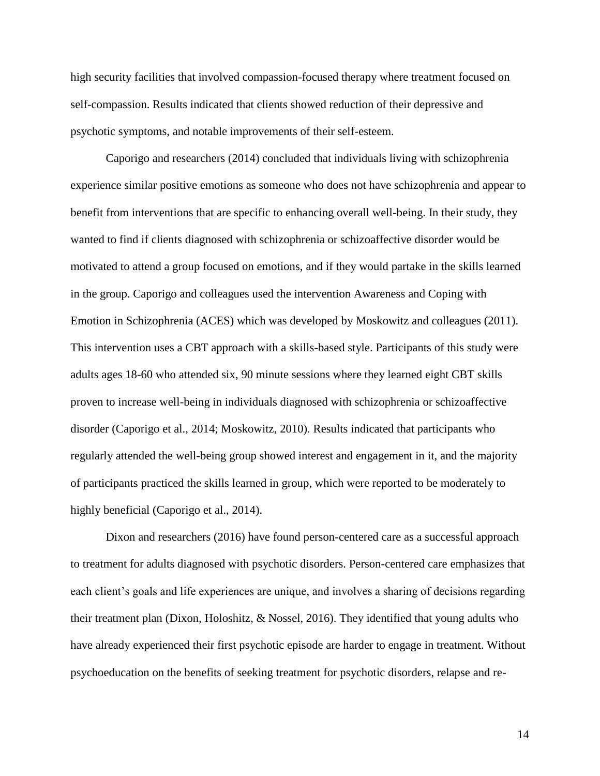high security facilities that involved compassion-focused therapy where treatment focused on self-compassion. Results indicated that clients showed reduction of their depressive and psychotic symptoms, and notable improvements of their self-esteem.

Caporigo and researchers (2014) concluded that individuals living with schizophrenia experience similar positive emotions as someone who does not have schizophrenia and appear to benefit from interventions that are specific to enhancing overall well-being. In their study, they wanted to find if clients diagnosed with schizophrenia or schizoaffective disorder would be motivated to attend a group focused on emotions, and if they would partake in the skills learned in the group. Caporigo and colleagues used the intervention Awareness and Coping with Emotion in Schizophrenia (ACES) which was developed by Moskowitz and colleagues (2011). This intervention uses a CBT approach with a skills-based style. Participants of this study were adults ages 18-60 who attended six, 90 minute sessions where they learned eight CBT skills proven to increase well-being in individuals diagnosed with schizophrenia or schizoaffective disorder (Caporigo et al., 2014; Moskowitz, 2010). Results indicated that participants who regularly attended the well-being group showed interest and engagement in it, and the majority of participants practiced the skills learned in group, which were reported to be moderately to highly beneficial (Caporigo et al., 2014).

Dixon and researchers (2016) have found person-centered care as a successful approach to treatment for adults diagnosed with psychotic disorders. Person-centered care emphasizes that each client's goals and life experiences are unique, and involves a sharing of decisions regarding their treatment plan (Dixon, Holoshitz, & Nossel, 2016). They identified that young adults who have already experienced their first psychotic episode are harder to engage in treatment. Without psychoeducation on the benefits of seeking treatment for psychotic disorders, relapse and re-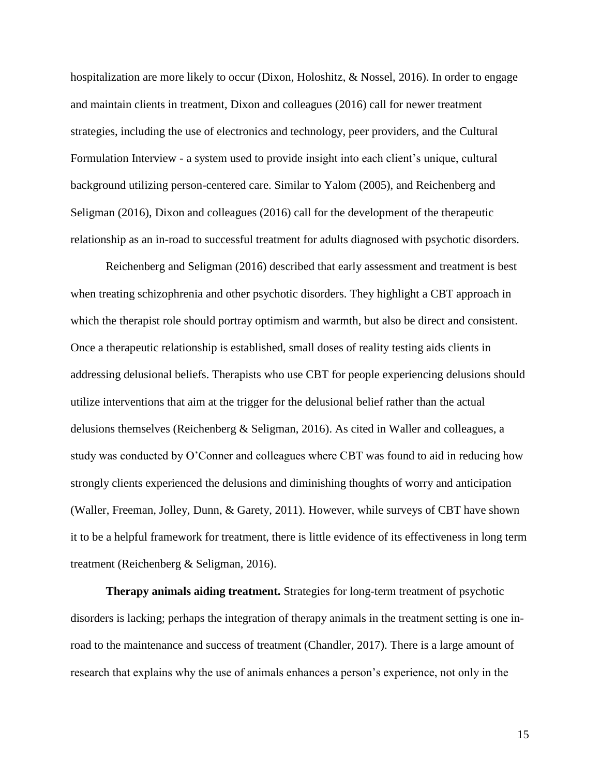hospitalization are more likely to occur (Dixon, Holoshitz, & Nossel, 2016). In order to engage and maintain clients in treatment, Dixon and colleagues (2016) call for newer treatment strategies, including the use of electronics and technology, peer providers, and the Cultural Formulation Interview - a system used to provide insight into each client's unique, cultural background utilizing person-centered care. Similar to Yalom (2005), and Reichenberg and Seligman (2016), Dixon and colleagues (2016) call for the development of the therapeutic relationship as an in-road to successful treatment for adults diagnosed with psychotic disorders.

Reichenberg and Seligman (2016) described that early assessment and treatment is best when treating schizophrenia and other psychotic disorders. They highlight a CBT approach in which the therapist role should portray optimism and warmth, but also be direct and consistent. Once a therapeutic relationship is established, small doses of reality testing aids clients in addressing delusional beliefs. Therapists who use CBT for people experiencing delusions should utilize interventions that aim at the trigger for the delusional belief rather than the actual delusions themselves (Reichenberg & Seligman, 2016). As cited in Waller and colleagues, a study was conducted by O'Conner and colleagues where CBT was found to aid in reducing how strongly clients experienced the delusions and diminishing thoughts of worry and anticipation (Waller, Freeman, Jolley, Dunn, & Garety, 2011). However, while surveys of CBT have shown it to be a helpful framework for treatment, there is little evidence of its effectiveness in long term treatment (Reichenberg & Seligman, 2016).

**Therapy animals aiding treatment.** Strategies for long-term treatment of psychotic disorders is lacking; perhaps the integration of therapy animals in the treatment setting is one inroad to the maintenance and success of treatment (Chandler, 2017). There is a large amount of research that explains why the use of animals enhances a person's experience, not only in the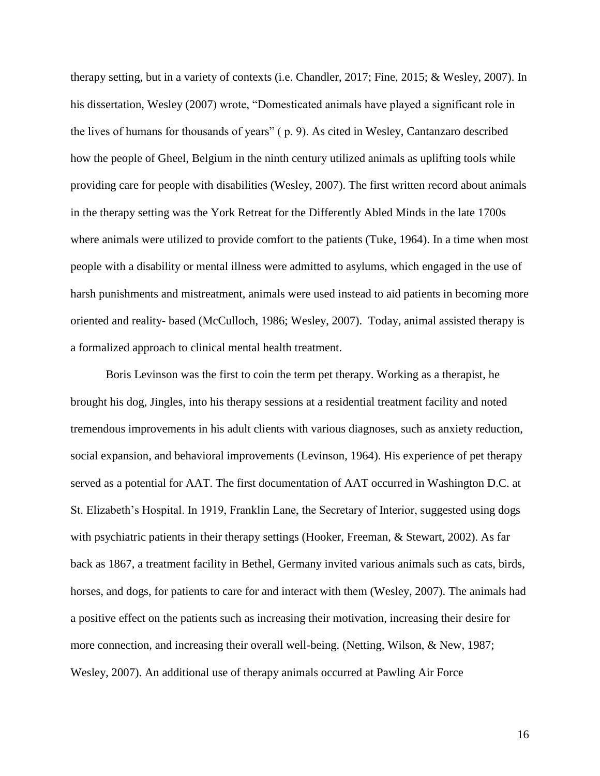therapy setting, but in a variety of contexts (i.e. Chandler, 2017; Fine, 2015; & Wesley, 2007). In his dissertation, Wesley (2007) wrote, "Domesticated animals have played a significant role in the lives of humans for thousands of years" ( p. 9). As cited in Wesley, Cantanzaro described how the people of Gheel, Belgium in the ninth century utilized animals as uplifting tools while providing care for people with disabilities (Wesley, 2007). The first written record about animals in the therapy setting was the York Retreat for the Differently Abled Minds in the late 1700s where animals were utilized to provide comfort to the patients (Tuke, 1964). In a time when most people with a disability or mental illness were admitted to asylums, which engaged in the use of harsh punishments and mistreatment, animals were used instead to aid patients in becoming more oriented and reality- based (McCulloch, 1986; Wesley, 2007). Today, animal assisted therapy is a formalized approach to clinical mental health treatment.

Boris Levinson was the first to coin the term pet therapy. Working as a therapist, he brought his dog, Jingles, into his therapy sessions at a residential treatment facility and noted tremendous improvements in his adult clients with various diagnoses, such as anxiety reduction, social expansion, and behavioral improvements (Levinson, 1964). His experience of pet therapy served as a potential for AAT. The first documentation of AAT occurred in Washington D.C. at St. Elizabeth's Hospital. In 1919, Franklin Lane, the Secretary of Interior, suggested using dogs with psychiatric patients in their therapy settings (Hooker, Freeman, & Stewart, 2002). As far back as 1867, a treatment facility in Bethel, Germany invited various animals such as cats, birds, horses, and dogs, for patients to care for and interact with them (Wesley, 2007). The animals had a positive effect on the patients such as increasing their motivation, increasing their desire for more connection, and increasing their overall well-being. (Netting, Wilson, & New, 1987; Wesley, 2007). An additional use of therapy animals occurred at Pawling Air Force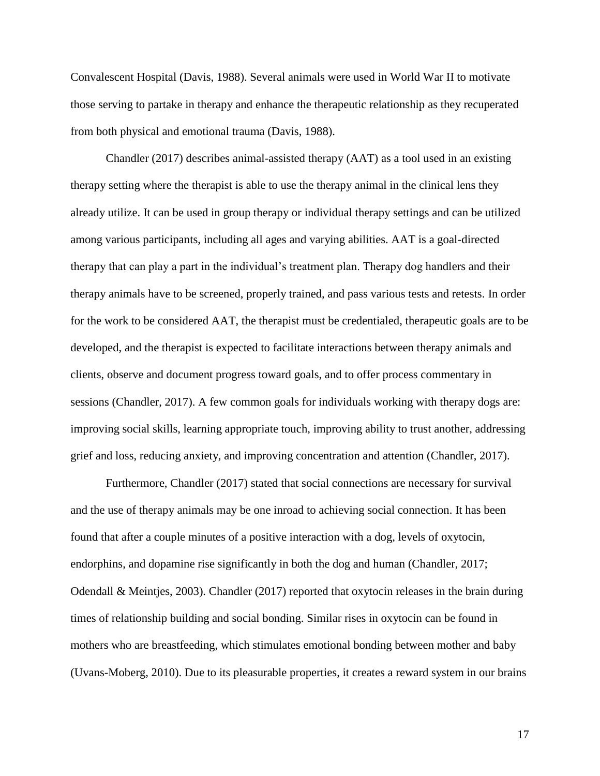Convalescent Hospital (Davis, 1988). Several animals were used in World War II to motivate those serving to partake in therapy and enhance the therapeutic relationship as they recuperated from both physical and emotional trauma (Davis, 1988).

Chandler (2017) describes animal-assisted therapy (AAT) as a tool used in an existing therapy setting where the therapist is able to use the therapy animal in the clinical lens they already utilize. It can be used in group therapy or individual therapy settings and can be utilized among various participants, including all ages and varying abilities. AAT is a goal-directed therapy that can play a part in the individual's treatment plan. Therapy dog handlers and their therapy animals have to be screened, properly trained, and pass various tests and retests. In order for the work to be considered AAT, the therapist must be credentialed, therapeutic goals are to be developed, and the therapist is expected to facilitate interactions between therapy animals and clients, observe and document progress toward goals, and to offer process commentary in sessions (Chandler, 2017). A few common goals for individuals working with therapy dogs are: improving social skills, learning appropriate touch, improving ability to trust another, addressing grief and loss, reducing anxiety, and improving concentration and attention (Chandler, 2017).

Furthermore, Chandler (2017) stated that social connections are necessary for survival and the use of therapy animals may be one inroad to achieving social connection. It has been found that after a couple minutes of a positive interaction with a dog, levels of oxytocin, endorphins, and dopamine rise significantly in both the dog and human (Chandler, 2017; Odendall & Meintjes, 2003). Chandler (2017) reported that oxytocin releases in the brain during times of relationship building and social bonding. Similar rises in oxytocin can be found in mothers who are breastfeeding, which stimulates emotional bonding between mother and baby (Uvans-Moberg, 2010). Due to its pleasurable properties, it creates a reward system in our brains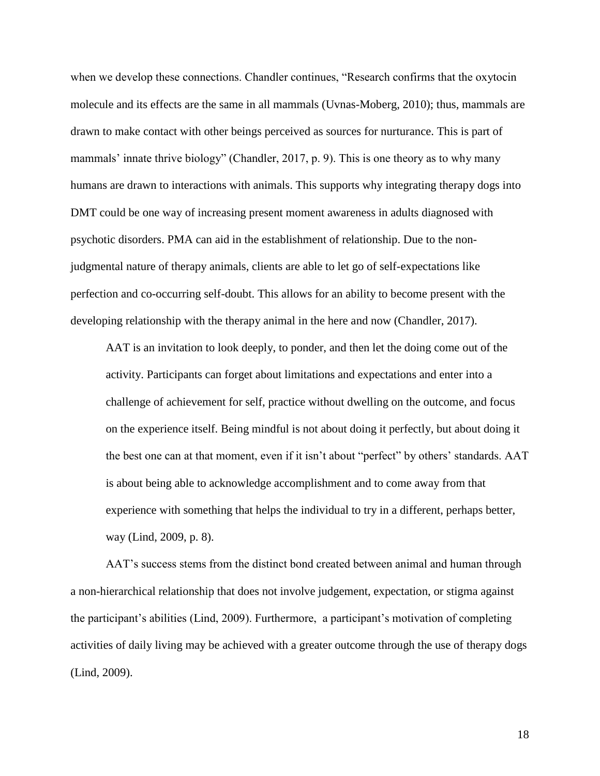when we develop these connections. Chandler continues, "Research confirms that the oxytocin molecule and its effects are the same in all mammals (Uvnas-Moberg, 2010); thus, mammals are drawn to make contact with other beings perceived as sources for nurturance. This is part of mammals' innate thrive biology" (Chandler, 2017, p. 9). This is one theory as to why many humans are drawn to interactions with animals. This supports why integrating therapy dogs into DMT could be one way of increasing present moment awareness in adults diagnosed with psychotic disorders. PMA can aid in the establishment of relationship. Due to the nonjudgmental nature of therapy animals, clients are able to let go of self-expectations like perfection and co-occurring self-doubt. This allows for an ability to become present with the developing relationship with the therapy animal in the here and now (Chandler, 2017).

AAT is an invitation to look deeply, to ponder, and then let the doing come out of the activity. Participants can forget about limitations and expectations and enter into a challenge of achievement for self, practice without dwelling on the outcome, and focus on the experience itself. Being mindful is not about doing it perfectly, but about doing it the best one can at that moment, even if it isn't about "perfect" by others' standards. AAT is about being able to acknowledge accomplishment and to come away from that experience with something that helps the individual to try in a different, perhaps better, way (Lind, 2009, p. 8).

AAT's success stems from the distinct bond created between animal and human through a non-hierarchical relationship that does not involve judgement, expectation, or stigma against the participant's abilities (Lind, 2009). Furthermore, a participant's motivation of completing activities of daily living may be achieved with a greater outcome through the use of therapy dogs (Lind, 2009).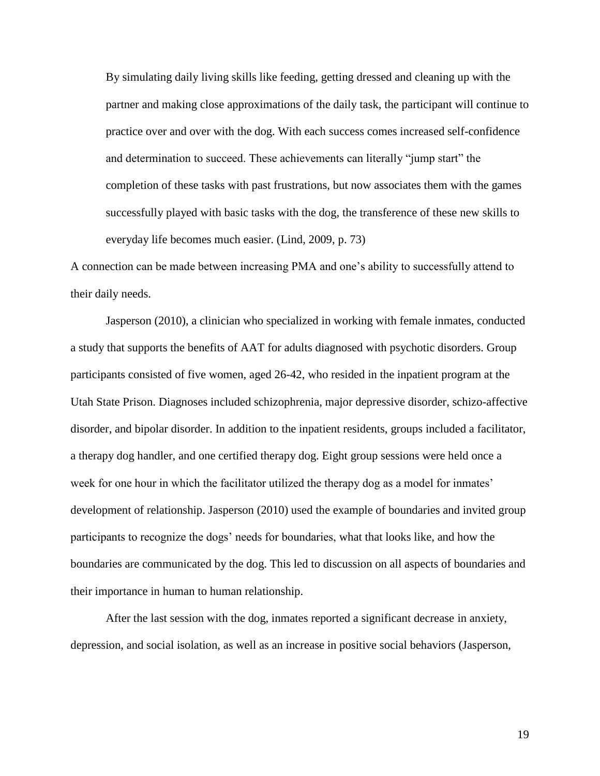By simulating daily living skills like feeding, getting dressed and cleaning up with the partner and making close approximations of the daily task, the participant will continue to practice over and over with the dog. With each success comes increased self-confidence and determination to succeed. These achievements can literally "jump start" the completion of these tasks with past frustrations, but now associates them with the games successfully played with basic tasks with the dog, the transference of these new skills to everyday life becomes much easier. (Lind, 2009, p. 73)

A connection can be made between increasing PMA and one's ability to successfully attend to their daily needs.

Jasperson (2010), a clinician who specialized in working with female inmates, conducted a study that supports the benefits of AAT for adults diagnosed with psychotic disorders. Group participants consisted of five women, aged 26-42, who resided in the inpatient program at the Utah State Prison. Diagnoses included schizophrenia, major depressive disorder, schizo-affective disorder, and bipolar disorder. In addition to the inpatient residents, groups included a facilitator, a therapy dog handler, and one certified therapy dog. Eight group sessions were held once a week for one hour in which the facilitator utilized the therapy dog as a model for inmates' development of relationship. Jasperson (2010) used the example of boundaries and invited group participants to recognize the dogs' needs for boundaries, what that looks like, and how the boundaries are communicated by the dog. This led to discussion on all aspects of boundaries and their importance in human to human relationship.

After the last session with the dog, inmates reported a significant decrease in anxiety, depression, and social isolation, as well as an increase in positive social behaviors (Jasperson,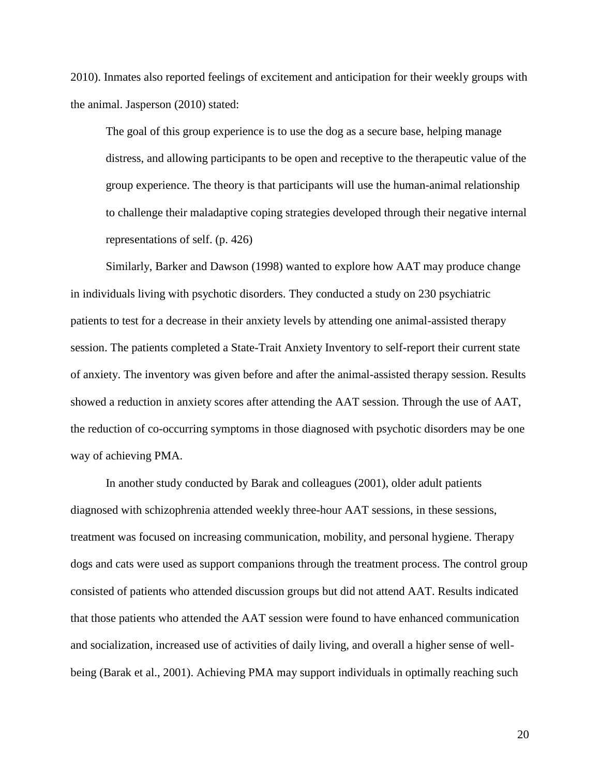2010). Inmates also reported feelings of excitement and anticipation for their weekly groups with the animal. Jasperson (2010) stated:

The goal of this group experience is to use the dog as a secure base, helping manage distress, and allowing participants to be open and receptive to the therapeutic value of the group experience. The theory is that participants will use the human-animal relationship to challenge their maladaptive coping strategies developed through their negative internal representations of self. (p. 426)

Similarly, Barker and Dawson (1998) wanted to explore how AAT may produce change in individuals living with psychotic disorders. They conducted a study on 230 psychiatric patients to test for a decrease in their anxiety levels by attending one animal-assisted therapy session. The patients completed a State-Trait Anxiety Inventory to self-report their current state of anxiety. The inventory was given before and after the animal-assisted therapy session. Results showed a reduction in anxiety scores after attending the AAT session. Through the use of AAT, the reduction of co-occurring symptoms in those diagnosed with psychotic disorders may be one way of achieving PMA.

In another study conducted by Barak and colleagues (2001), older adult patients diagnosed with schizophrenia attended weekly three-hour AAT sessions, in these sessions, treatment was focused on increasing communication, mobility, and personal hygiene. Therapy dogs and cats were used as support companions through the treatment process. The control group consisted of patients who attended discussion groups but did not attend AAT. Results indicated that those patients who attended the AAT session were found to have enhanced communication and socialization, increased use of activities of daily living, and overall a higher sense of wellbeing (Barak et al., 2001). Achieving PMA may support individuals in optimally reaching such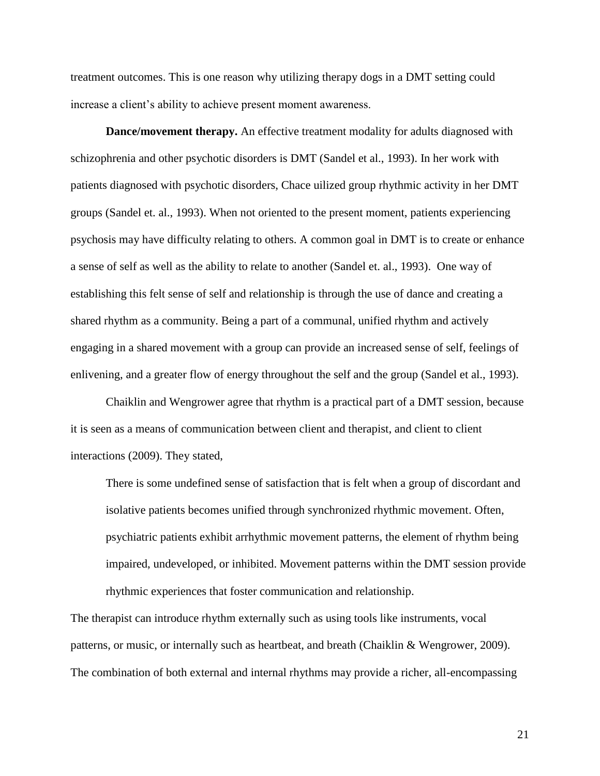treatment outcomes. This is one reason why utilizing therapy dogs in a DMT setting could increase a client's ability to achieve present moment awareness.

**Dance/movement therapy.** An effective treatment modality for adults diagnosed with schizophrenia and other psychotic disorders is DMT (Sandel et al., 1993). In her work with patients diagnosed with psychotic disorders, Chace uilized group rhythmic activity in her DMT groups (Sandel et. al., 1993). When not oriented to the present moment, patients experiencing psychosis may have difficulty relating to others. A common goal in DMT is to create or enhance a sense of self as well as the ability to relate to another (Sandel et. al., 1993). One way of establishing this felt sense of self and relationship is through the use of dance and creating a shared rhythm as a community. Being a part of a communal, unified rhythm and actively engaging in a shared movement with a group can provide an increased sense of self, feelings of enlivening, and a greater flow of energy throughout the self and the group (Sandel et al., 1993).

Chaiklin and Wengrower agree that rhythm is a practical part of a DMT session, because it is seen as a means of communication between client and therapist, and client to client interactions (2009). They stated,

There is some undefined sense of satisfaction that is felt when a group of discordant and isolative patients becomes unified through synchronized rhythmic movement. Often, psychiatric patients exhibit arrhythmic movement patterns, the element of rhythm being impaired, undeveloped, or inhibited. Movement patterns within the DMT session provide rhythmic experiences that foster communication and relationship.

The therapist can introduce rhythm externally such as using tools like instruments, vocal patterns, or music, or internally such as heartbeat, and breath (Chaiklin & Wengrower, 2009). The combination of both external and internal rhythms may provide a richer, all-encompassing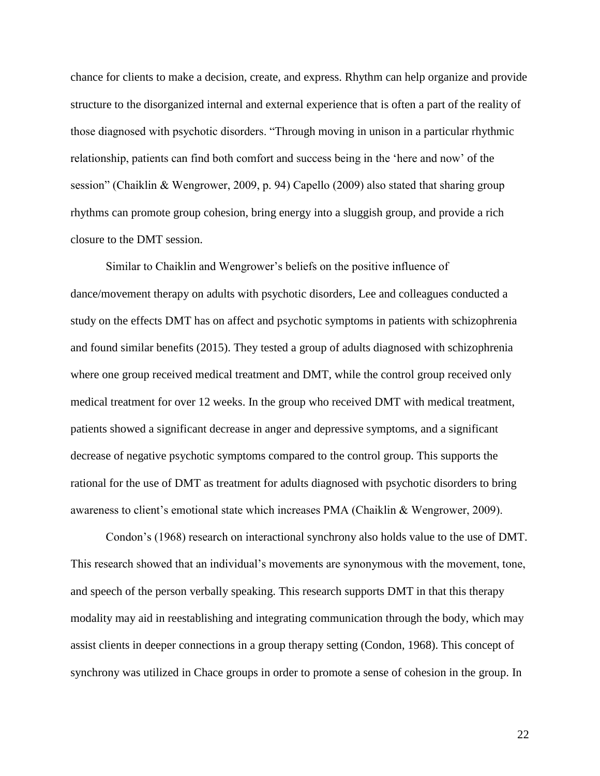chance for clients to make a decision, create, and express. Rhythm can help organize and provide structure to the disorganized internal and external experience that is often a part of the reality of those diagnosed with psychotic disorders. "Through moving in unison in a particular rhythmic relationship, patients can find both comfort and success being in the 'here and now' of the session" (Chaiklin & Wengrower, 2009, p. 94) Capello (2009) also stated that sharing group rhythms can promote group cohesion, bring energy into a sluggish group, and provide a rich closure to the DMT session.

Similar to Chaiklin and Wengrower's beliefs on the positive influence of dance/movement therapy on adults with psychotic disorders, Lee and colleagues conducted a study on the effects DMT has on affect and psychotic symptoms in patients with schizophrenia and found similar benefits (2015). They tested a group of adults diagnosed with schizophrenia where one group received medical treatment and DMT, while the control group received only medical treatment for over 12 weeks. In the group who received DMT with medical treatment, patients showed a significant decrease in anger and depressive symptoms, and a significant decrease of negative psychotic symptoms compared to the control group. This supports the rational for the use of DMT as treatment for adults diagnosed with psychotic disorders to bring awareness to client's emotional state which increases PMA (Chaiklin & Wengrower, 2009).

Condon's (1968) research on interactional synchrony also holds value to the use of DMT. This research showed that an individual's movements are synonymous with the movement, tone, and speech of the person verbally speaking. This research supports DMT in that this therapy modality may aid in reestablishing and integrating communication through the body, which may assist clients in deeper connections in a group therapy setting (Condon, 1968). This concept of synchrony was utilized in Chace groups in order to promote a sense of cohesion in the group. In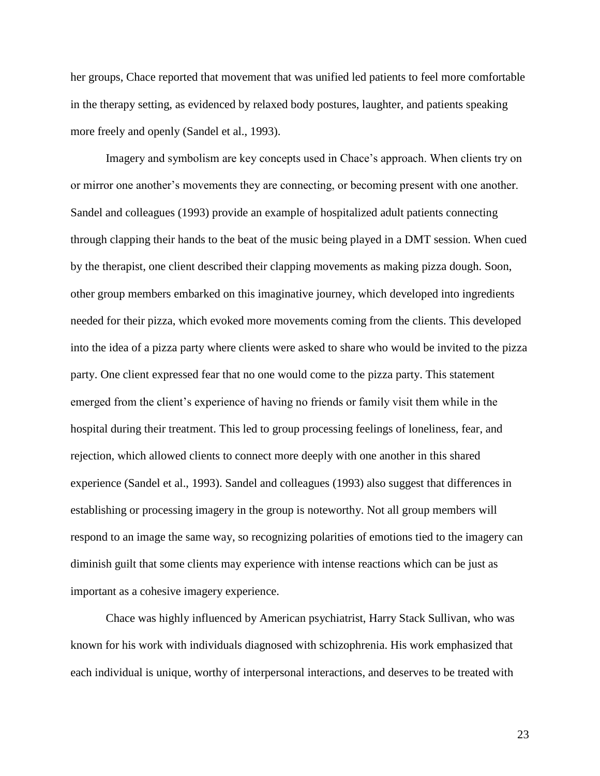her groups, Chace reported that movement that was unified led patients to feel more comfortable in the therapy setting, as evidenced by relaxed body postures, laughter, and patients speaking more freely and openly (Sandel et al., 1993).

Imagery and symbolism are key concepts used in Chace's approach. When clients try on or mirror one another's movements they are connecting, or becoming present with one another. Sandel and colleagues (1993) provide an example of hospitalized adult patients connecting through clapping their hands to the beat of the music being played in a DMT session. When cued by the therapist, one client described their clapping movements as making pizza dough. Soon, other group members embarked on this imaginative journey, which developed into ingredients needed for their pizza, which evoked more movements coming from the clients. This developed into the idea of a pizza party where clients were asked to share who would be invited to the pizza party. One client expressed fear that no one would come to the pizza party. This statement emerged from the client's experience of having no friends or family visit them while in the hospital during their treatment. This led to group processing feelings of loneliness, fear, and rejection, which allowed clients to connect more deeply with one another in this shared experience (Sandel et al., 1993). Sandel and colleagues (1993) also suggest that differences in establishing or processing imagery in the group is noteworthy. Not all group members will respond to an image the same way, so recognizing polarities of emotions tied to the imagery can diminish guilt that some clients may experience with intense reactions which can be just as important as a cohesive imagery experience.

Chace was highly influenced by American psychiatrist, Harry Stack Sullivan, who was known for his work with individuals diagnosed with schizophrenia. His work emphasized that each individual is unique, worthy of interpersonal interactions, and deserves to be treated with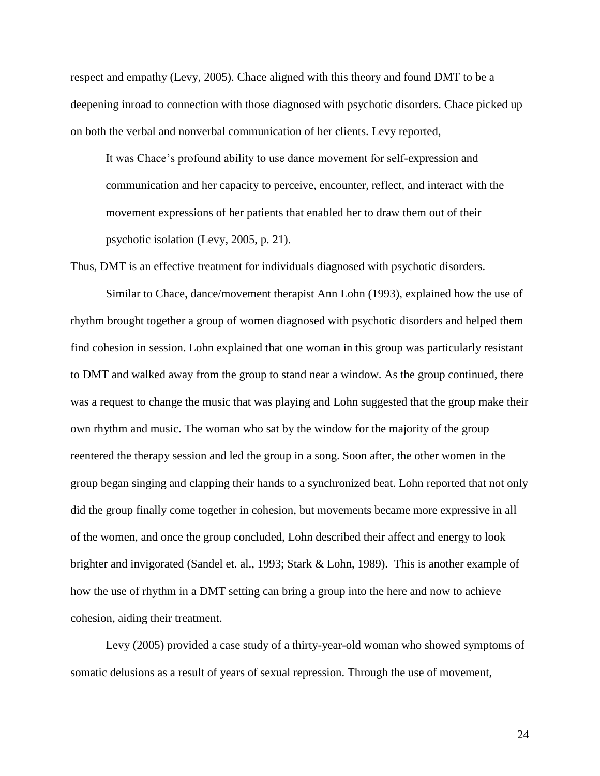respect and empathy (Levy, 2005). Chace aligned with this theory and found DMT to be a deepening inroad to connection with those diagnosed with psychotic disorders. Chace picked up on both the verbal and nonverbal communication of her clients. Levy reported,

It was Chace's profound ability to use dance movement for self-expression and communication and her capacity to perceive, encounter, reflect, and interact with the movement expressions of her patients that enabled her to draw them out of their psychotic isolation (Levy, 2005, p. 21).

Thus, DMT is an effective treatment for individuals diagnosed with psychotic disorders.

Similar to Chace, dance/movement therapist Ann Lohn (1993), explained how the use of rhythm brought together a group of women diagnosed with psychotic disorders and helped them find cohesion in session. Lohn explained that one woman in this group was particularly resistant to DMT and walked away from the group to stand near a window. As the group continued, there was a request to change the music that was playing and Lohn suggested that the group make their own rhythm and music. The woman who sat by the window for the majority of the group reentered the therapy session and led the group in a song. Soon after, the other women in the group began singing and clapping their hands to a synchronized beat. Lohn reported that not only did the group finally come together in cohesion, but movements became more expressive in all of the women, and once the group concluded, Lohn described their affect and energy to look brighter and invigorated (Sandel et. al., 1993; Stark & Lohn, 1989). This is another example of how the use of rhythm in a DMT setting can bring a group into the here and now to achieve cohesion, aiding their treatment.

Levy (2005) provided a case study of a thirty-year-old woman who showed symptoms of somatic delusions as a result of years of sexual repression. Through the use of movement,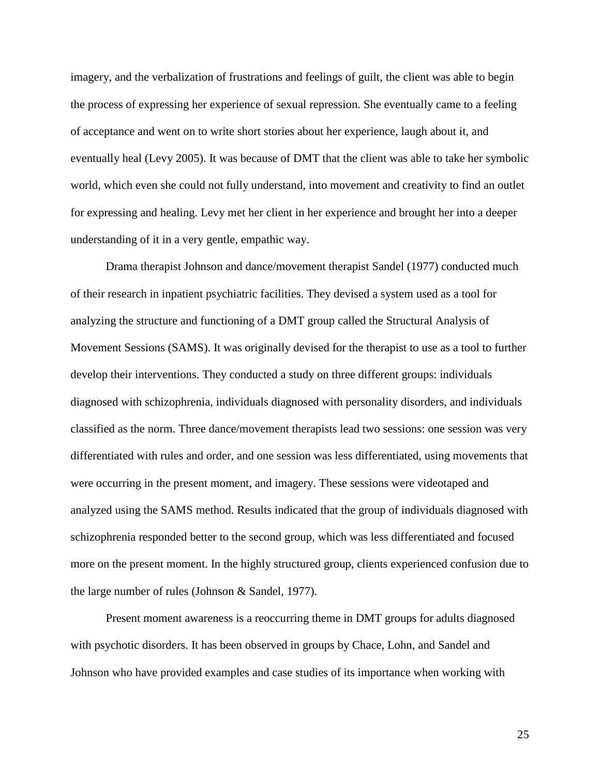imagery, and the verbalization of frustrations and feelings of guilt, the client was able to begin the process of expressing her experience of sexual repression. She eventually came to a feeling of acceptance and went on to write short stories about her experience, laugh about it, and eventually heal (Levy 2005). It was because of DMT that the client was able to take her symbolic world, which even she could not fully understand, into movement and creativity to find an outlet for expressing and healing. Levy met her client in her experience and brought her into a deeper understanding of it in a very gentle, empathic way.

Drama therapist Johnson and dance/movement therapist Sandel (1977) conducted much of their research in inpatient psychiatric facilities. They devised a system used as a tool for analyzing the structure and functioning of a DMT group called the Structural Analysis of Movement Sessions (SAMS). It was originally devised for the therapist to use as a tool to further develop their interventions. They conducted a study on three different groups: individuals diagnosed with schizophrenia, individuals diagnosed with personality disorders, and individuals classified as the norm. Three dance/movement therapists lead two sessions: one session was very differentiated with rules and order, and one session was less differentiated, using movements that were occurring in the present moment, and imagery. These sessions were videotaped and analyzed using the SAMS method. Results indicated that the group of individuals diagnosed with schizophrenia responded better to the second group, which was less differentiated and focused more on the present moment. In the highly structured group, clients experienced confusion due to the large number of rules (Johnson & Sandel, 1977).

Present moment awareness is a reoccurring theme in DMT groups for adults diagnosed with psychotic disorders. It has been observed in groups by Chace, Lohn, and Sandel and Johnson who have provided examples and case studies of its importance when working with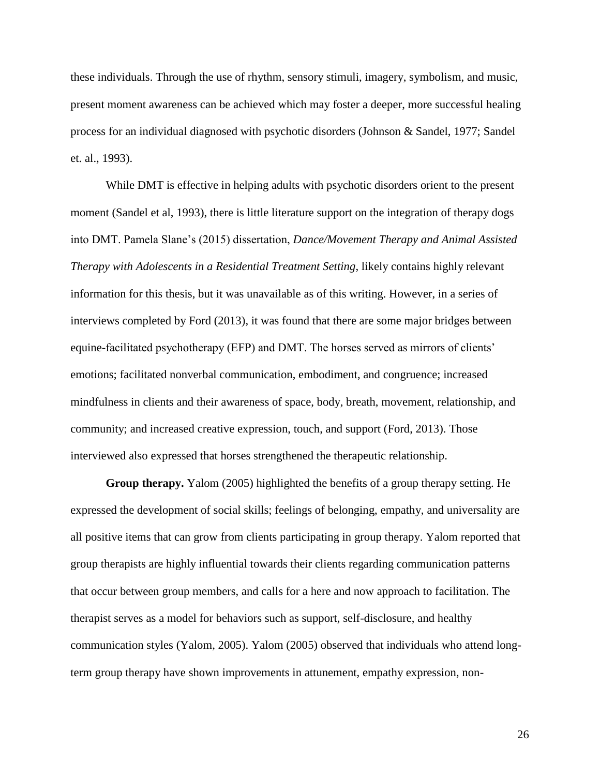these individuals. Through the use of rhythm, sensory stimuli, imagery, symbolism, and music, present moment awareness can be achieved which may foster a deeper, more successful healing process for an individual diagnosed with psychotic disorders (Johnson & Sandel, 1977; Sandel et. al., 1993).

While DMT is effective in helping adults with psychotic disorders orient to the present moment (Sandel et al, 1993), there is little literature support on the integration of therapy dogs into DMT. Pamela Slane's (2015) dissertation, *Dance/Movement Therapy and Animal Assisted Therapy with Adolescents in a Residential Treatment Setting*, likely contains highly relevant information for this thesis, but it was unavailable as of this writing. However, in a series of interviews completed by Ford (2013), it was found that there are some major bridges between equine-facilitated psychotherapy (EFP) and DMT. The horses served as mirrors of clients' emotions; facilitated nonverbal communication, embodiment, and congruence; increased mindfulness in clients and their awareness of space, body, breath, movement, relationship, and community; and increased creative expression, touch, and support (Ford, 2013). Those interviewed also expressed that horses strengthened the therapeutic relationship.

**Group therapy.** Yalom (2005) highlighted the benefits of a group therapy setting. He expressed the development of social skills; feelings of belonging, empathy, and universality are all positive items that can grow from clients participating in group therapy. Yalom reported that group therapists are highly influential towards their clients regarding communication patterns that occur between group members, and calls for a here and now approach to facilitation. The therapist serves as a model for behaviors such as support, self-disclosure, and healthy communication styles (Yalom, 2005). Yalom (2005) observed that individuals who attend longterm group therapy have shown improvements in attunement, empathy expression, non-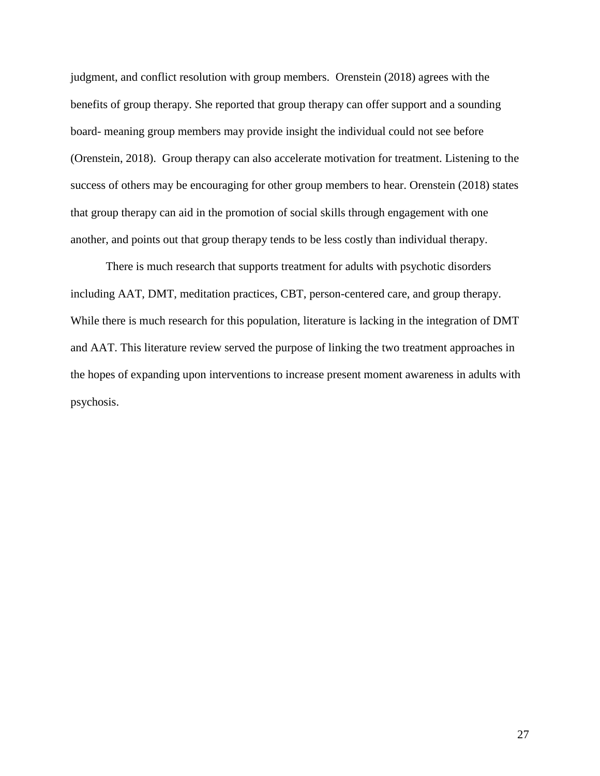judgment, and conflict resolution with group members. Orenstein (2018) agrees with the benefits of group therapy. She reported that group therapy can offer support and a sounding board- meaning group members may provide insight the individual could not see before (Orenstein, 2018). Group therapy can also accelerate motivation for treatment. Listening to the success of others may be encouraging for other group members to hear. Orenstein (2018) states that group therapy can aid in the promotion of social skills through engagement with one another, and points out that group therapy tends to be less costly than individual therapy.

There is much research that supports treatment for adults with psychotic disorders including AAT, DMT, meditation practices, CBT, person-centered care, and group therapy. While there is much research for this population, literature is lacking in the integration of DMT and AAT. This literature review served the purpose of linking the two treatment approaches in the hopes of expanding upon interventions to increase present moment awareness in adults with psychosis.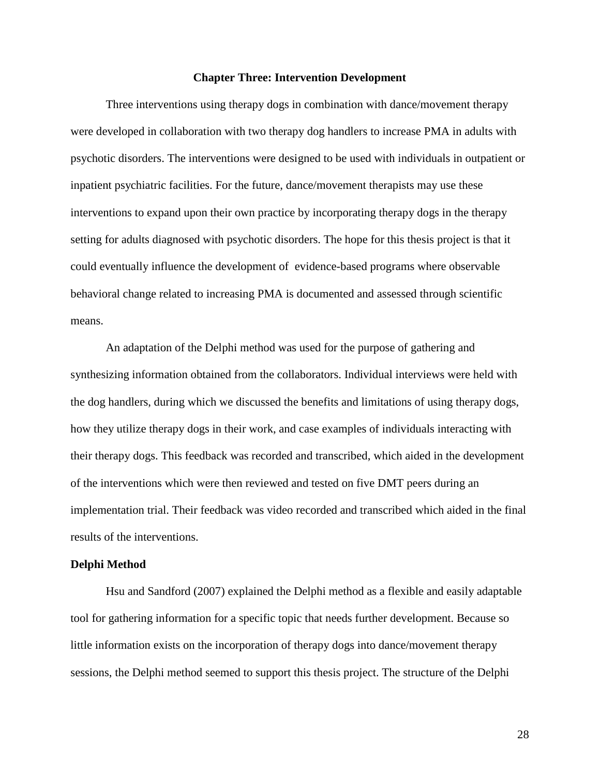# **Chapter Three: Intervention Development**

Three interventions using therapy dogs in combination with dance/movement therapy were developed in collaboration with two therapy dog handlers to increase PMA in adults with psychotic disorders. The interventions were designed to be used with individuals in outpatient or inpatient psychiatric facilities. For the future, dance/movement therapists may use these interventions to expand upon their own practice by incorporating therapy dogs in the therapy setting for adults diagnosed with psychotic disorders. The hope for this thesis project is that it could eventually influence the development of evidence-based programs where observable behavioral change related to increasing PMA is documented and assessed through scientific means.

An adaptation of the Delphi method was used for the purpose of gathering and synthesizing information obtained from the collaborators. Individual interviews were held with the dog handlers, during which we discussed the benefits and limitations of using therapy dogs, how they utilize therapy dogs in their work, and case examples of individuals interacting with their therapy dogs. This feedback was recorded and transcribed, which aided in the development of the interventions which were then reviewed and tested on five DMT peers during an implementation trial. Their feedback was video recorded and transcribed which aided in the final results of the interventions.

#### **Delphi Method**

Hsu and Sandford (2007) explained the Delphi method as a flexible and easily adaptable tool for gathering information for a specific topic that needs further development. Because so little information exists on the incorporation of therapy dogs into dance/movement therapy sessions, the Delphi method seemed to support this thesis project. The structure of the Delphi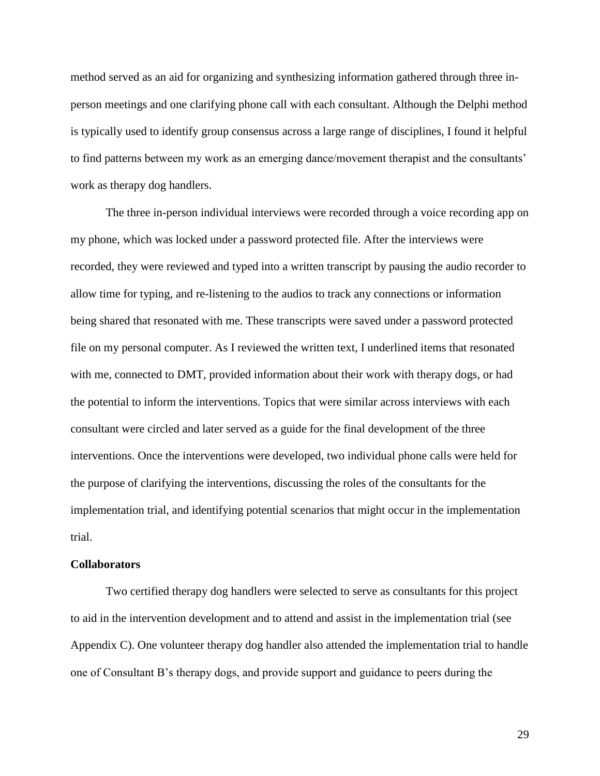method served as an aid for organizing and synthesizing information gathered through three inperson meetings and one clarifying phone call with each consultant. Although the Delphi method is typically used to identify group consensus across a large range of disciplines, I found it helpful to find patterns between my work as an emerging dance/movement therapist and the consultants' work as therapy dog handlers.

The three in-person individual interviews were recorded through a voice recording app on my phone, which was locked under a password protected file. After the interviews were recorded, they were reviewed and typed into a written transcript by pausing the audio recorder to allow time for typing, and re-listening to the audios to track any connections or information being shared that resonated with me. These transcripts were saved under a password protected file on my personal computer. As I reviewed the written text, I underlined items that resonated with me, connected to DMT, provided information about their work with therapy dogs, or had the potential to inform the interventions. Topics that were similar across interviews with each consultant were circled and later served as a guide for the final development of the three interventions. Once the interventions were developed, two individual phone calls were held for the purpose of clarifying the interventions, discussing the roles of the consultants for the implementation trial, and identifying potential scenarios that might occur in the implementation trial.

# **Collaborators**

Two certified therapy dog handlers were selected to serve as consultants for this project to aid in the intervention development and to attend and assist in the implementation trial (see Appendix C). One volunteer therapy dog handler also attended the implementation trial to handle one of Consultant B's therapy dogs, and provide support and guidance to peers during the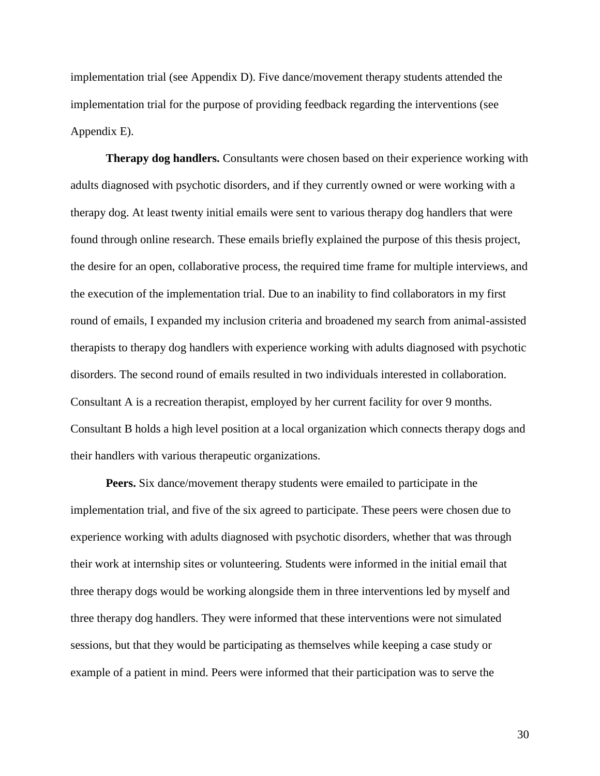implementation trial (see Appendix D). Five dance/movement therapy students attended the implementation trial for the purpose of providing feedback regarding the interventions (see Appendix E).

**Therapy dog handlers.** Consultants were chosen based on their experience working with adults diagnosed with psychotic disorders, and if they currently owned or were working with a therapy dog. At least twenty initial emails were sent to various therapy dog handlers that were found through online research. These emails briefly explained the purpose of this thesis project, the desire for an open, collaborative process, the required time frame for multiple interviews, and the execution of the implementation trial. Due to an inability to find collaborators in my first round of emails, I expanded my inclusion criteria and broadened my search from animal-assisted therapists to therapy dog handlers with experience working with adults diagnosed with psychotic disorders. The second round of emails resulted in two individuals interested in collaboration. Consultant A is a recreation therapist, employed by her current facility for over 9 months. Consultant B holds a high level position at a local organization which connects therapy dogs and their handlers with various therapeutic organizations.

**Peers.** Six dance/movement therapy students were emailed to participate in the implementation trial, and five of the six agreed to participate. These peers were chosen due to experience working with adults diagnosed with psychotic disorders, whether that was through their work at internship sites or volunteering. Students were informed in the initial email that three therapy dogs would be working alongside them in three interventions led by myself and three therapy dog handlers. They were informed that these interventions were not simulated sessions, but that they would be participating as themselves while keeping a case study or example of a patient in mind. Peers were informed that their participation was to serve the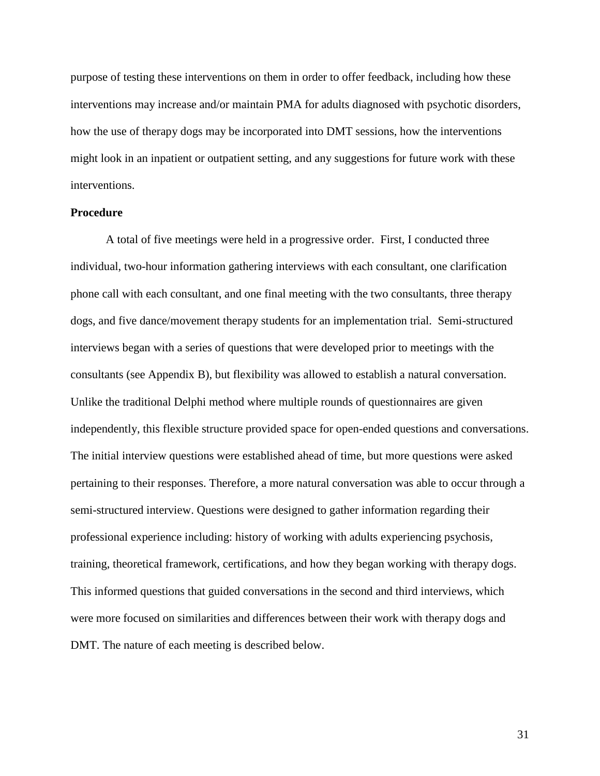purpose of testing these interventions on them in order to offer feedback, including how these interventions may increase and/or maintain PMA for adults diagnosed with psychotic disorders, how the use of therapy dogs may be incorporated into DMT sessions, how the interventions might look in an inpatient or outpatient setting, and any suggestions for future work with these interventions.

# **Procedure**

A total of five meetings were held in a progressive order. First, I conducted three individual, two-hour information gathering interviews with each consultant, one clarification phone call with each consultant, and one final meeting with the two consultants, three therapy dogs, and five dance/movement therapy students for an implementation trial. Semi-structured interviews began with a series of questions that were developed prior to meetings with the consultants (see Appendix B), but flexibility was allowed to establish a natural conversation. Unlike the traditional Delphi method where multiple rounds of questionnaires are given independently, this flexible structure provided space for open-ended questions and conversations. The initial interview questions were established ahead of time, but more questions were asked pertaining to their responses. Therefore, a more natural conversation was able to occur through a semi-structured interview. Questions were designed to gather information regarding their professional experience including: history of working with adults experiencing psychosis, training, theoretical framework, certifications, and how they began working with therapy dogs. This informed questions that guided conversations in the second and third interviews, which were more focused on similarities and differences between their work with therapy dogs and DMT. The nature of each meeting is described below.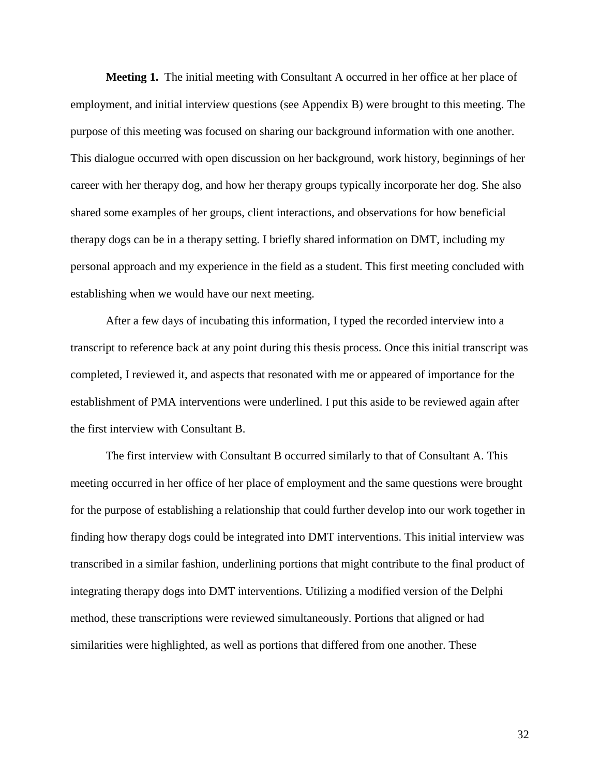**Meeting 1.** The initial meeting with Consultant A occurred in her office at her place of employment, and initial interview questions (see Appendix B) were brought to this meeting. The purpose of this meeting was focused on sharing our background information with one another. This dialogue occurred with open discussion on her background, work history, beginnings of her career with her therapy dog, and how her therapy groups typically incorporate her dog. She also shared some examples of her groups, client interactions, and observations for how beneficial therapy dogs can be in a therapy setting. I briefly shared information on DMT, including my personal approach and my experience in the field as a student. This first meeting concluded with establishing when we would have our next meeting.

After a few days of incubating this information, I typed the recorded interview into a transcript to reference back at any point during this thesis process. Once this initial transcript was completed, I reviewed it, and aspects that resonated with me or appeared of importance for the establishment of PMA interventions were underlined. I put this aside to be reviewed again after the first interview with Consultant B.

The first interview with Consultant B occurred similarly to that of Consultant A. This meeting occurred in her office of her place of employment and the same questions were brought for the purpose of establishing a relationship that could further develop into our work together in finding how therapy dogs could be integrated into DMT interventions. This initial interview was transcribed in a similar fashion, underlining portions that might contribute to the final product of integrating therapy dogs into DMT interventions. Utilizing a modified version of the Delphi method, these transcriptions were reviewed simultaneously. Portions that aligned or had similarities were highlighted, as well as portions that differed from one another. These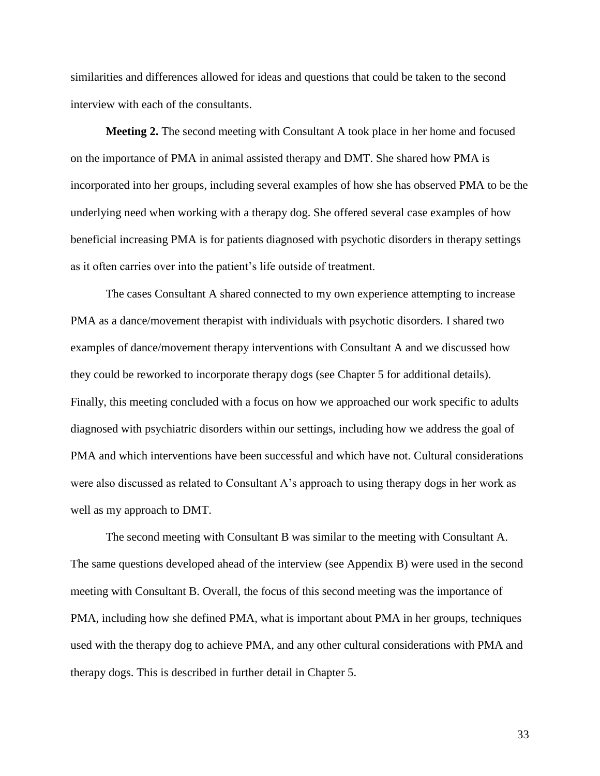similarities and differences allowed for ideas and questions that could be taken to the second interview with each of the consultants.

**Meeting 2.** The second meeting with Consultant A took place in her home and focused on the importance of PMA in animal assisted therapy and DMT. She shared how PMA is incorporated into her groups, including several examples of how she has observed PMA to be the underlying need when working with a therapy dog. She offered several case examples of how beneficial increasing PMA is for patients diagnosed with psychotic disorders in therapy settings as it often carries over into the patient's life outside of treatment.

The cases Consultant A shared connected to my own experience attempting to increase PMA as a dance/movement therapist with individuals with psychotic disorders. I shared two examples of dance/movement therapy interventions with Consultant A and we discussed how they could be reworked to incorporate therapy dogs (see Chapter 5 for additional details). Finally, this meeting concluded with a focus on how we approached our work specific to adults diagnosed with psychiatric disorders within our settings, including how we address the goal of PMA and which interventions have been successful and which have not. Cultural considerations were also discussed as related to Consultant A's approach to using therapy dogs in her work as well as my approach to DMT.

The second meeting with Consultant B was similar to the meeting with Consultant A. The same questions developed ahead of the interview (see Appendix B) were used in the second meeting with Consultant B. Overall, the focus of this second meeting was the importance of PMA, including how she defined PMA, what is important about PMA in her groups, techniques used with the therapy dog to achieve PMA, and any other cultural considerations with PMA and therapy dogs. This is described in further detail in Chapter 5.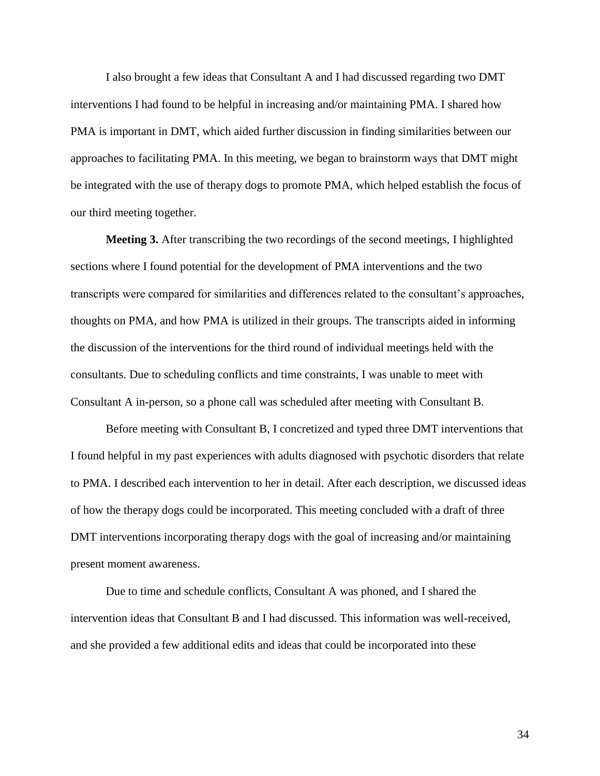I also brought a few ideas that Consultant A and I had discussed regarding two DMT interventions I had found to be helpful in increasing and/or maintaining PMA. I shared how PMA is important in DMT, which aided further discussion in finding similarities between our approaches to facilitating PMA. In this meeting, we began to brainstorm ways that DMT might be integrated with the use of therapy dogs to promote PMA, which helped establish the focus of our third meeting together.

**Meeting 3.** After transcribing the two recordings of the second meetings, I highlighted sections where I found potential for the development of PMA interventions and the two transcripts were compared for similarities and differences related to the consultant's approaches, thoughts on PMA, and how PMA is utilized in their groups. The transcripts aided in informing the discussion of the interventions for the third round of individual meetings held with the consultants. Due to scheduling conflicts and time constraints, I was unable to meet with Consultant A in-person, so a phone call was scheduled after meeting with Consultant B.

Before meeting with Consultant B, I concretized and typed three DMT interventions that I found helpful in my past experiences with adults diagnosed with psychotic disorders that relate to PMA. I described each intervention to her in detail. After each description, we discussed ideas of how the therapy dogs could be incorporated. This meeting concluded with a draft of three DMT interventions incorporating therapy dogs with the goal of increasing and/or maintaining present moment awareness.

Due to time and schedule conflicts, Consultant A was phoned, and I shared the intervention ideas that Consultant B and I had discussed. This information was well-received, and she provided a few additional edits and ideas that could be incorporated into these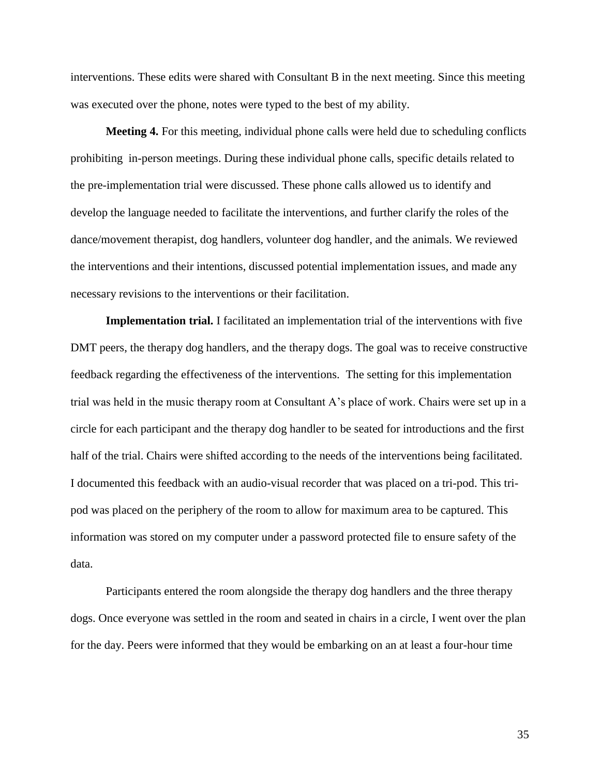interventions. These edits were shared with Consultant B in the next meeting. Since this meeting was executed over the phone, notes were typed to the best of my ability.

**Meeting 4.** For this meeting, individual phone calls were held due to scheduling conflicts prohibiting in-person meetings. During these individual phone calls, specific details related to the pre-implementation trial were discussed. These phone calls allowed us to identify and develop the language needed to facilitate the interventions, and further clarify the roles of the dance/movement therapist, dog handlers, volunteer dog handler, and the animals. We reviewed the interventions and their intentions, discussed potential implementation issues, and made any necessary revisions to the interventions or their facilitation.

**Implementation trial.** I facilitated an implementation trial of the interventions with five DMT peers, the therapy dog handlers, and the therapy dogs. The goal was to receive constructive feedback regarding the effectiveness of the interventions. The setting for this implementation trial was held in the music therapy room at Consultant A's place of work. Chairs were set up in a circle for each participant and the therapy dog handler to be seated for introductions and the first half of the trial. Chairs were shifted according to the needs of the interventions being facilitated. I documented this feedback with an audio-visual recorder that was placed on a tri-pod. This tripod was placed on the periphery of the room to allow for maximum area to be captured. This information was stored on my computer under a password protected file to ensure safety of the data.

Participants entered the room alongside the therapy dog handlers and the three therapy dogs. Once everyone was settled in the room and seated in chairs in a circle, I went over the plan for the day. Peers were informed that they would be embarking on an at least a four-hour time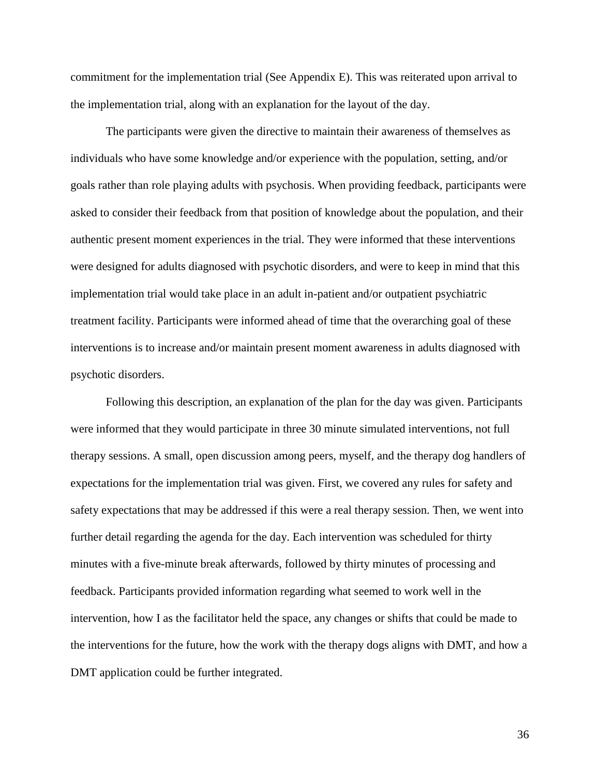commitment for the implementation trial (See Appendix E). This was reiterated upon arrival to the implementation trial, along with an explanation for the layout of the day.

The participants were given the directive to maintain their awareness of themselves as individuals who have some knowledge and/or experience with the population, setting, and/or goals rather than role playing adults with psychosis. When providing feedback, participants were asked to consider their feedback from that position of knowledge about the population, and their authentic present moment experiences in the trial. They were informed that these interventions were designed for adults diagnosed with psychotic disorders, and were to keep in mind that this implementation trial would take place in an adult in-patient and/or outpatient psychiatric treatment facility. Participants were informed ahead of time that the overarching goal of these interventions is to increase and/or maintain present moment awareness in adults diagnosed with psychotic disorders.

Following this description, an explanation of the plan for the day was given. Participants were informed that they would participate in three 30 minute simulated interventions, not full therapy sessions. A small, open discussion among peers, myself, and the therapy dog handlers of expectations for the implementation trial was given. First, we covered any rules for safety and safety expectations that may be addressed if this were a real therapy session. Then, we went into further detail regarding the agenda for the day. Each intervention was scheduled for thirty minutes with a five-minute break afterwards, followed by thirty minutes of processing and feedback. Participants provided information regarding what seemed to work well in the intervention, how I as the facilitator held the space, any changes or shifts that could be made to the interventions for the future, how the work with the therapy dogs aligns with DMT, and how a DMT application could be further integrated.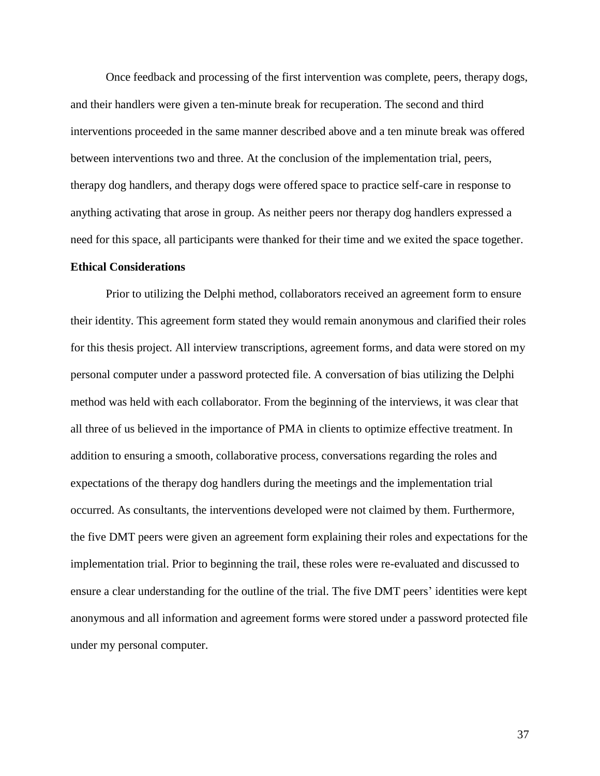Once feedback and processing of the first intervention was complete, peers, therapy dogs, and their handlers were given a ten-minute break for recuperation. The second and third interventions proceeded in the same manner described above and a ten minute break was offered between interventions two and three. At the conclusion of the implementation trial, peers, therapy dog handlers, and therapy dogs were offered space to practice self-care in response to anything activating that arose in group. As neither peers nor therapy dog handlers expressed a need for this space, all participants were thanked for their time and we exited the space together.

# **Ethical Considerations**

Prior to utilizing the Delphi method, collaborators received an agreement form to ensure their identity. This agreement form stated they would remain anonymous and clarified their roles for this thesis project. All interview transcriptions, agreement forms, and data were stored on my personal computer under a password protected file. A conversation of bias utilizing the Delphi method was held with each collaborator. From the beginning of the interviews, it was clear that all three of us believed in the importance of PMA in clients to optimize effective treatment. In addition to ensuring a smooth, collaborative process, conversations regarding the roles and expectations of the therapy dog handlers during the meetings and the implementation trial occurred. As consultants, the interventions developed were not claimed by them. Furthermore, the five DMT peers were given an agreement form explaining their roles and expectations for the implementation trial. Prior to beginning the trail, these roles were re-evaluated and discussed to ensure a clear understanding for the outline of the trial. The five DMT peers' identities were kept anonymous and all information and agreement forms were stored under a password protected file under my personal computer.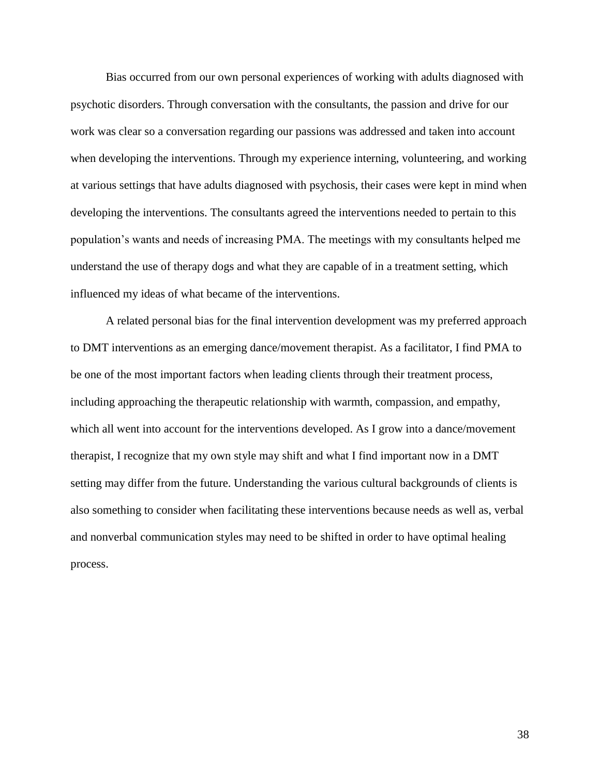Bias occurred from our own personal experiences of working with adults diagnosed with psychotic disorders. Through conversation with the consultants, the passion and drive for our work was clear so a conversation regarding our passions was addressed and taken into account when developing the interventions. Through my experience interning, volunteering, and working at various settings that have adults diagnosed with psychosis, their cases were kept in mind when developing the interventions. The consultants agreed the interventions needed to pertain to this population's wants and needs of increasing PMA. The meetings with my consultants helped me understand the use of therapy dogs and what they are capable of in a treatment setting, which influenced my ideas of what became of the interventions.

A related personal bias for the final intervention development was my preferred approach to DMT interventions as an emerging dance/movement therapist. As a facilitator, I find PMA to be one of the most important factors when leading clients through their treatment process, including approaching the therapeutic relationship with warmth, compassion, and empathy, which all went into account for the interventions developed. As I grow into a dance/movement therapist, I recognize that my own style may shift and what I find important now in a DMT setting may differ from the future. Understanding the various cultural backgrounds of clients is also something to consider when facilitating these interventions because needs as well as, verbal and nonverbal communication styles may need to be shifted in order to have optimal healing process.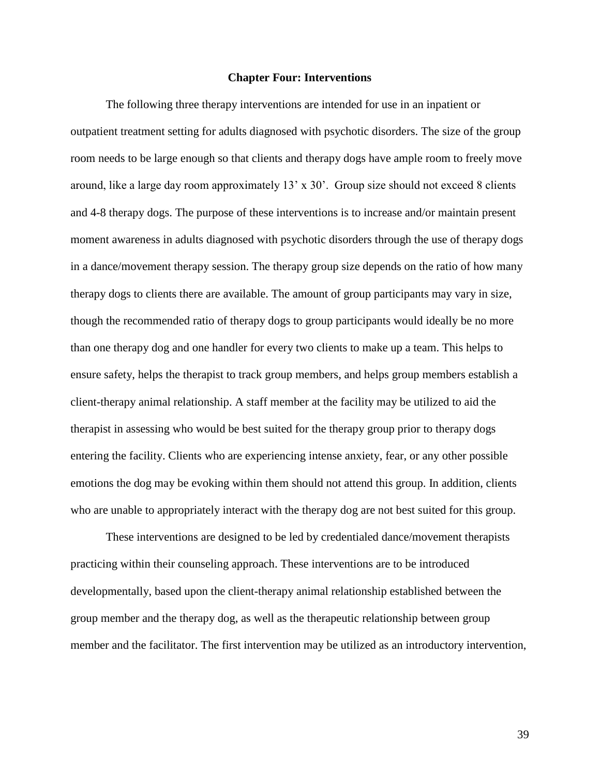### **Chapter Four: Interventions**

The following three therapy interventions are intended for use in an inpatient or outpatient treatment setting for adults diagnosed with psychotic disorders. The size of the group room needs to be large enough so that clients and therapy dogs have ample room to freely move around, like a large day room approximately 13' x 30'. Group size should not exceed 8 clients and 4-8 therapy dogs. The purpose of these interventions is to increase and/or maintain present moment awareness in adults diagnosed with psychotic disorders through the use of therapy dogs in a dance/movement therapy session. The therapy group size depends on the ratio of how many therapy dogs to clients there are available. The amount of group participants may vary in size, though the recommended ratio of therapy dogs to group participants would ideally be no more than one therapy dog and one handler for every two clients to make up a team. This helps to ensure safety, helps the therapist to track group members, and helps group members establish a client-therapy animal relationship. A staff member at the facility may be utilized to aid the therapist in assessing who would be best suited for the therapy group prior to therapy dogs entering the facility. Clients who are experiencing intense anxiety, fear, or any other possible emotions the dog may be evoking within them should not attend this group. In addition, clients who are unable to appropriately interact with the therapy dog are not best suited for this group.

These interventions are designed to be led by credentialed dance/movement therapists practicing within their counseling approach. These interventions are to be introduced developmentally, based upon the client-therapy animal relationship established between the group member and the therapy dog, as well as the therapeutic relationship between group member and the facilitator. The first intervention may be utilized as an introductory intervention,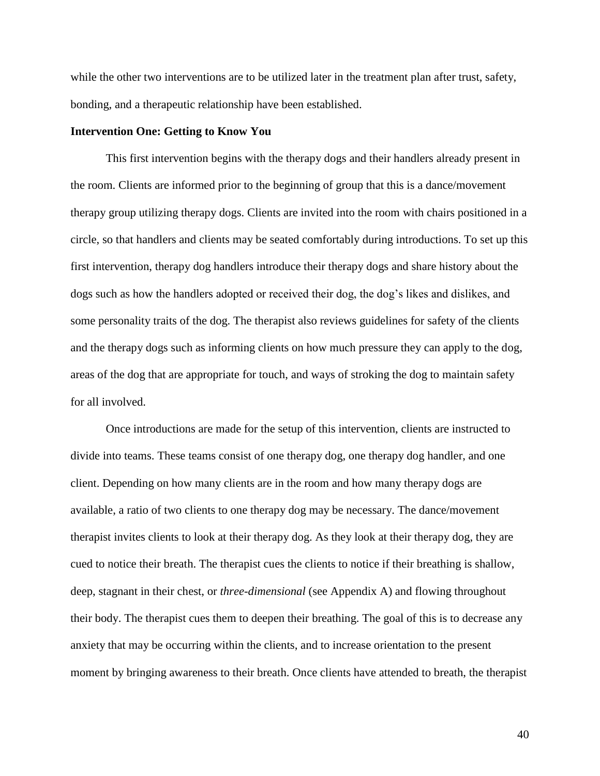while the other two interventions are to be utilized later in the treatment plan after trust, safety, bonding, and a therapeutic relationship have been established.

### **Intervention One: Getting to Know You**

This first intervention begins with the therapy dogs and their handlers already present in the room. Clients are informed prior to the beginning of group that this is a dance/movement therapy group utilizing therapy dogs. Clients are invited into the room with chairs positioned in a circle, so that handlers and clients may be seated comfortably during introductions. To set up this first intervention, therapy dog handlers introduce their therapy dogs and share history about the dogs such as how the handlers adopted or received their dog, the dog's likes and dislikes, and some personality traits of the dog. The therapist also reviews guidelines for safety of the clients and the therapy dogs such as informing clients on how much pressure they can apply to the dog, areas of the dog that are appropriate for touch, and ways of stroking the dog to maintain safety for all involved.

Once introductions are made for the setup of this intervention, clients are instructed to divide into teams. These teams consist of one therapy dog, one therapy dog handler, and one client. Depending on how many clients are in the room and how many therapy dogs are available, a ratio of two clients to one therapy dog may be necessary. The dance/movement therapist invites clients to look at their therapy dog. As they look at their therapy dog, they are cued to notice their breath. The therapist cues the clients to notice if their breathing is shallow, deep, stagnant in their chest, or *three-dimensional* (see Appendix A) and flowing throughout their body. The therapist cues them to deepen their breathing. The goal of this is to decrease any anxiety that may be occurring within the clients, and to increase orientation to the present moment by bringing awareness to their breath. Once clients have attended to breath, the therapist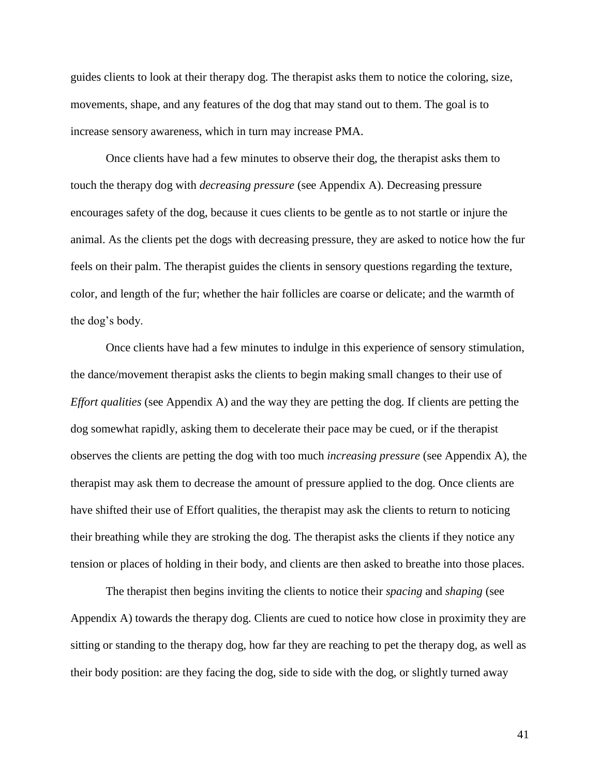guides clients to look at their therapy dog. The therapist asks them to notice the coloring, size, movements, shape, and any features of the dog that may stand out to them. The goal is to increase sensory awareness, which in turn may increase PMA.

Once clients have had a few minutes to observe their dog, the therapist asks them to touch the therapy dog with *decreasing pressure* (see Appendix A). Decreasing pressure encourages safety of the dog, because it cues clients to be gentle as to not startle or injure the animal. As the clients pet the dogs with decreasing pressure, they are asked to notice how the fur feels on their palm. The therapist guides the clients in sensory questions regarding the texture, color, and length of the fur; whether the hair follicles are coarse or delicate; and the warmth of the dog's body.

Once clients have had a few minutes to indulge in this experience of sensory stimulation, the dance/movement therapist asks the clients to begin making small changes to their use of *Effort qualities* (see Appendix A) and the way they are petting the dog. If clients are petting the dog somewhat rapidly, asking them to decelerate their pace may be cued, or if the therapist observes the clients are petting the dog with too much *increasing pressure* (see Appendix A), the therapist may ask them to decrease the amount of pressure applied to the dog. Once clients are have shifted their use of Effort qualities, the therapist may ask the clients to return to noticing their breathing while they are stroking the dog. The therapist asks the clients if they notice any tension or places of holding in their body, and clients are then asked to breathe into those places.

The therapist then begins inviting the clients to notice their *spacing* and *shaping* (see Appendix A) towards the therapy dog. Clients are cued to notice how close in proximity they are sitting or standing to the therapy dog, how far they are reaching to pet the therapy dog, as well as their body position: are they facing the dog, side to side with the dog, or slightly turned away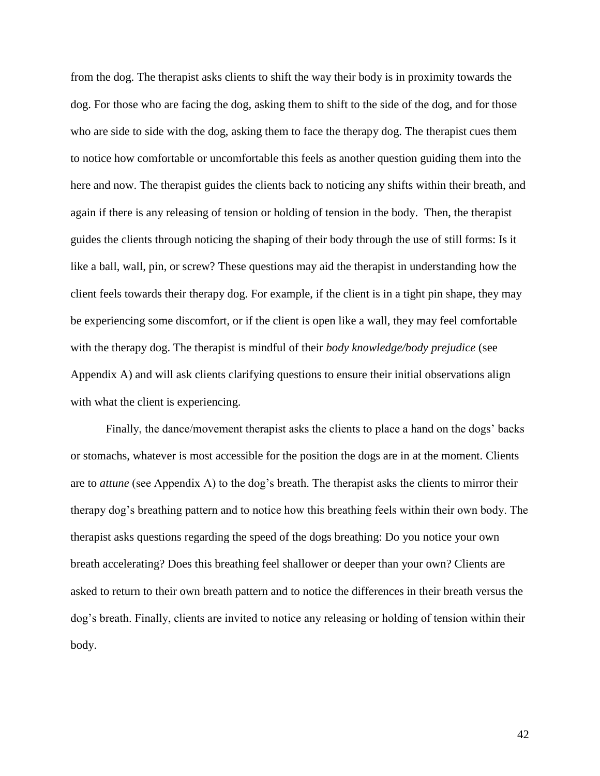from the dog. The therapist asks clients to shift the way their body is in proximity towards the dog. For those who are facing the dog, asking them to shift to the side of the dog, and for those who are side to side with the dog, asking them to face the therapy dog. The therapist cues them to notice how comfortable or uncomfortable this feels as another question guiding them into the here and now. The therapist guides the clients back to noticing any shifts within their breath, and again if there is any releasing of tension or holding of tension in the body. Then, the therapist guides the clients through noticing the shaping of their body through the use of still forms: Is it like a ball, wall, pin, or screw? These questions may aid the therapist in understanding how the client feels towards their therapy dog. For example, if the client is in a tight pin shape, they may be experiencing some discomfort, or if the client is open like a wall, they may feel comfortable with the therapy dog. The therapist is mindful of their *body knowledge/body prejudice* (see Appendix A) and will ask clients clarifying questions to ensure their initial observations align with what the client is experiencing.

Finally, the dance/movement therapist asks the clients to place a hand on the dogs' backs or stomachs, whatever is most accessible for the position the dogs are in at the moment. Clients are to *attune* (see Appendix A) to the dog's breath. The therapist asks the clients to mirror their therapy dog's breathing pattern and to notice how this breathing feels within their own body. The therapist asks questions regarding the speed of the dogs breathing: Do you notice your own breath accelerating? Does this breathing feel shallower or deeper than your own? Clients are asked to return to their own breath pattern and to notice the differences in their breath versus the dog's breath. Finally, clients are invited to notice any releasing or holding of tension within their body.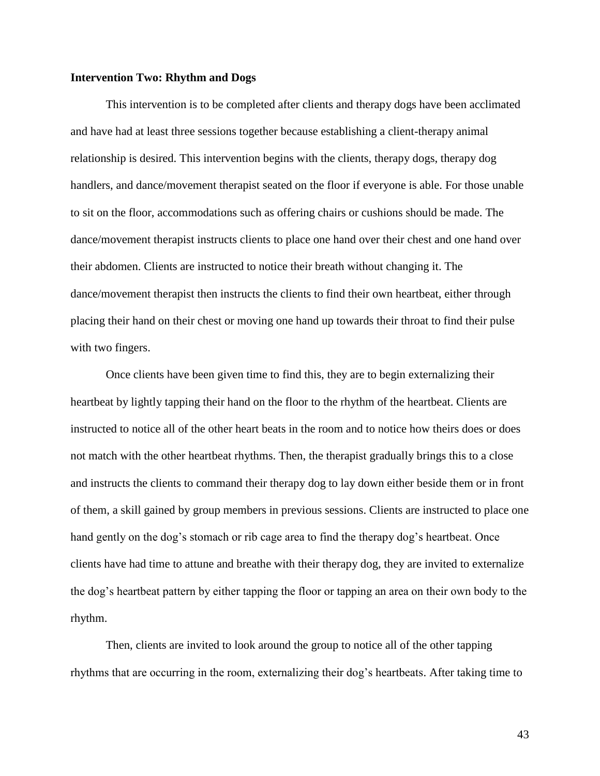# **Intervention Two: Rhythm and Dogs**

This intervention is to be completed after clients and therapy dogs have been acclimated and have had at least three sessions together because establishing a client-therapy animal relationship is desired. This intervention begins with the clients, therapy dogs, therapy dog handlers, and dance/movement therapist seated on the floor if everyone is able. For those unable to sit on the floor, accommodations such as offering chairs or cushions should be made. The dance/movement therapist instructs clients to place one hand over their chest and one hand over their abdomen. Clients are instructed to notice their breath without changing it. The dance/movement therapist then instructs the clients to find their own heartbeat, either through placing their hand on their chest or moving one hand up towards their throat to find their pulse with two fingers.

Once clients have been given time to find this, they are to begin externalizing their heartbeat by lightly tapping their hand on the floor to the rhythm of the heartbeat. Clients are instructed to notice all of the other heart beats in the room and to notice how theirs does or does not match with the other heartbeat rhythms. Then, the therapist gradually brings this to a close and instructs the clients to command their therapy dog to lay down either beside them or in front of them, a skill gained by group members in previous sessions. Clients are instructed to place one hand gently on the dog's stomach or rib cage area to find the therapy dog's heartbeat. Once clients have had time to attune and breathe with their therapy dog, they are invited to externalize the dog's heartbeat pattern by either tapping the floor or tapping an area on their own body to the rhythm.

Then, clients are invited to look around the group to notice all of the other tapping rhythms that are occurring in the room, externalizing their dog's heartbeats. After taking time to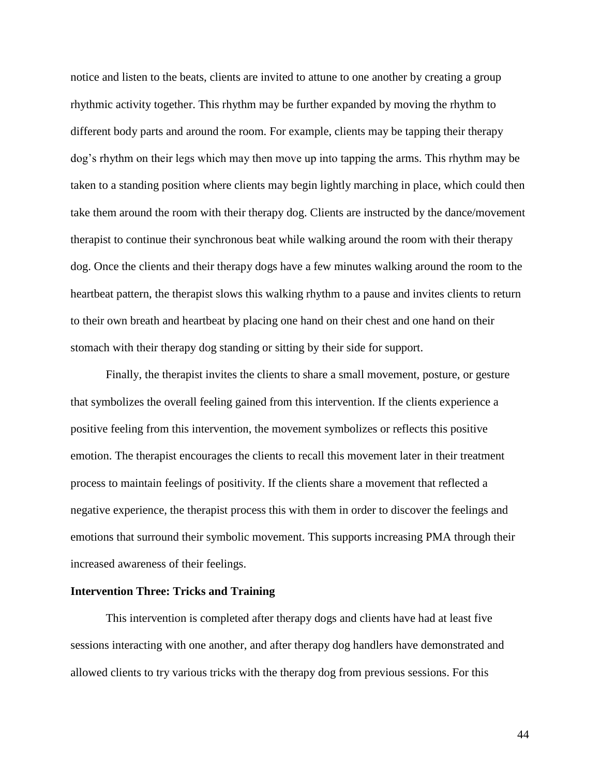notice and listen to the beats, clients are invited to attune to one another by creating a group rhythmic activity together. This rhythm may be further expanded by moving the rhythm to different body parts and around the room. For example, clients may be tapping their therapy dog's rhythm on their legs which may then move up into tapping the arms. This rhythm may be taken to a standing position where clients may begin lightly marching in place, which could then take them around the room with their therapy dog. Clients are instructed by the dance/movement therapist to continue their synchronous beat while walking around the room with their therapy dog. Once the clients and their therapy dogs have a few minutes walking around the room to the heartbeat pattern, the therapist slows this walking rhythm to a pause and invites clients to return to their own breath and heartbeat by placing one hand on their chest and one hand on their stomach with their therapy dog standing or sitting by their side for support.

Finally, the therapist invites the clients to share a small movement, posture, or gesture that symbolizes the overall feeling gained from this intervention. If the clients experience a positive feeling from this intervention, the movement symbolizes or reflects this positive emotion. The therapist encourages the clients to recall this movement later in their treatment process to maintain feelings of positivity. If the clients share a movement that reflected a negative experience, the therapist process this with them in order to discover the feelings and emotions that surround their symbolic movement. This supports increasing PMA through their increased awareness of their feelings.

# **Intervention Three: Tricks and Training**

This intervention is completed after therapy dogs and clients have had at least five sessions interacting with one another, and after therapy dog handlers have demonstrated and allowed clients to try various tricks with the therapy dog from previous sessions. For this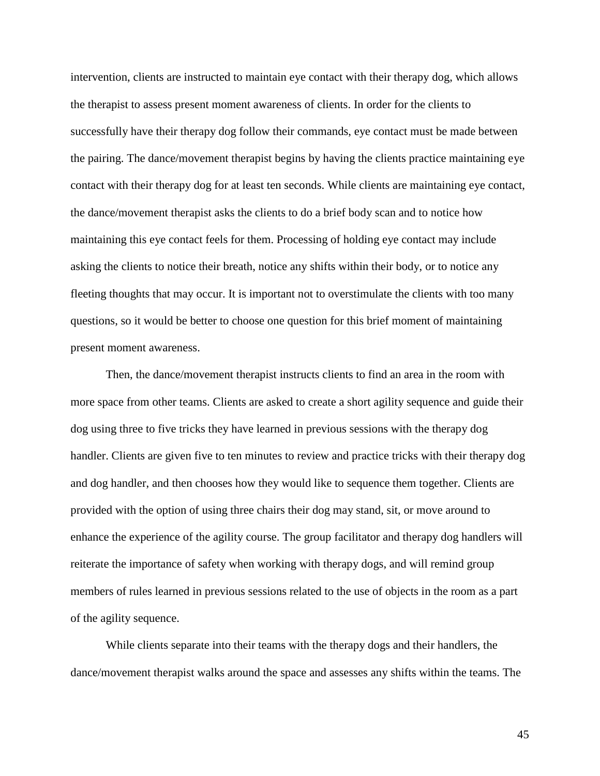intervention, clients are instructed to maintain eye contact with their therapy dog, which allows the therapist to assess present moment awareness of clients. In order for the clients to successfully have their therapy dog follow their commands, eye contact must be made between the pairing. The dance/movement therapist begins by having the clients practice maintaining eye contact with their therapy dog for at least ten seconds. While clients are maintaining eye contact, the dance/movement therapist asks the clients to do a brief body scan and to notice how maintaining this eye contact feels for them. Processing of holding eye contact may include asking the clients to notice their breath, notice any shifts within their body, or to notice any fleeting thoughts that may occur. It is important not to overstimulate the clients with too many questions, so it would be better to choose one question for this brief moment of maintaining present moment awareness.

Then, the dance/movement therapist instructs clients to find an area in the room with more space from other teams. Clients are asked to create a short agility sequence and guide their dog using three to five tricks they have learned in previous sessions with the therapy dog handler. Clients are given five to ten minutes to review and practice tricks with their therapy dog and dog handler, and then chooses how they would like to sequence them together. Clients are provided with the option of using three chairs their dog may stand, sit, or move around to enhance the experience of the agility course. The group facilitator and therapy dog handlers will reiterate the importance of safety when working with therapy dogs, and will remind group members of rules learned in previous sessions related to the use of objects in the room as a part of the agility sequence.

While clients separate into their teams with the therapy dogs and their handlers, the dance/movement therapist walks around the space and assesses any shifts within the teams. The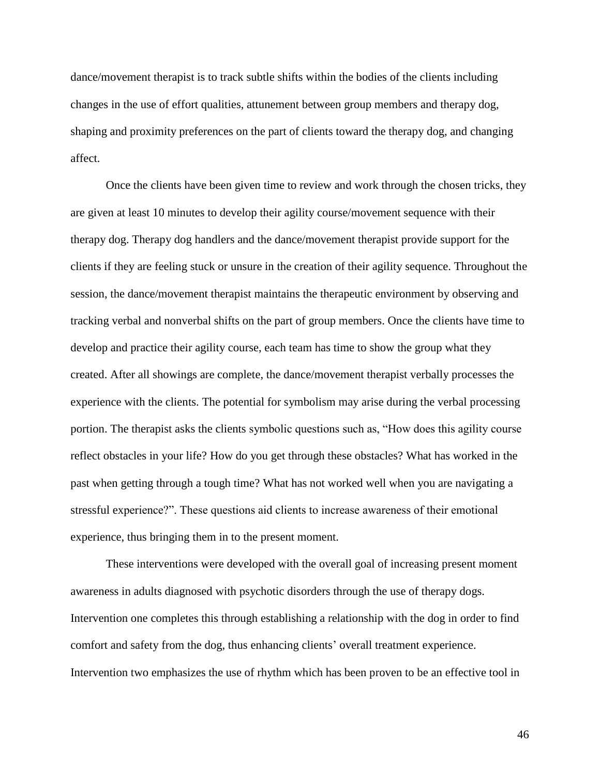dance/movement therapist is to track subtle shifts within the bodies of the clients including changes in the use of effort qualities, attunement between group members and therapy dog, shaping and proximity preferences on the part of clients toward the therapy dog, and changing affect.

Once the clients have been given time to review and work through the chosen tricks, they are given at least 10 minutes to develop their agility course/movement sequence with their therapy dog. Therapy dog handlers and the dance/movement therapist provide support for the clients if they are feeling stuck or unsure in the creation of their agility sequence. Throughout the session, the dance/movement therapist maintains the therapeutic environment by observing and tracking verbal and nonverbal shifts on the part of group members. Once the clients have time to develop and practice their agility course, each team has time to show the group what they created. After all showings are complete, the dance/movement therapist verbally processes the experience with the clients. The potential for symbolism may arise during the verbal processing portion. The therapist asks the clients symbolic questions such as, "How does this agility course reflect obstacles in your life? How do you get through these obstacles? What has worked in the past when getting through a tough time? What has not worked well when you are navigating a stressful experience?". These questions aid clients to increase awareness of their emotional experience, thus bringing them in to the present moment.

These interventions were developed with the overall goal of increasing present moment awareness in adults diagnosed with psychotic disorders through the use of therapy dogs. Intervention one completes this through establishing a relationship with the dog in order to find comfort and safety from the dog, thus enhancing clients' overall treatment experience. Intervention two emphasizes the use of rhythm which has been proven to be an effective tool in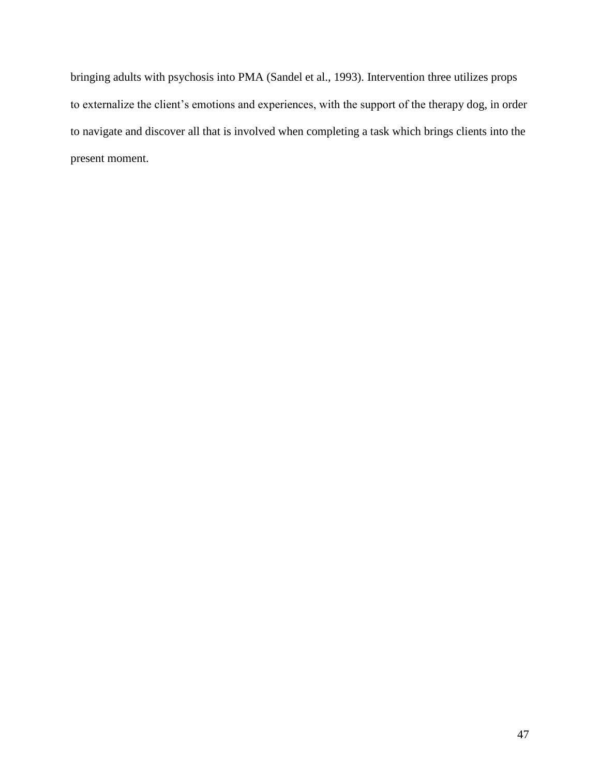bringing adults with psychosis into PMA (Sandel et al., 1993). Intervention three utilizes props to externalize the client's emotions and experiences, with the support of the therapy dog, in order to navigate and discover all that is involved when completing a task which brings clients into the present moment.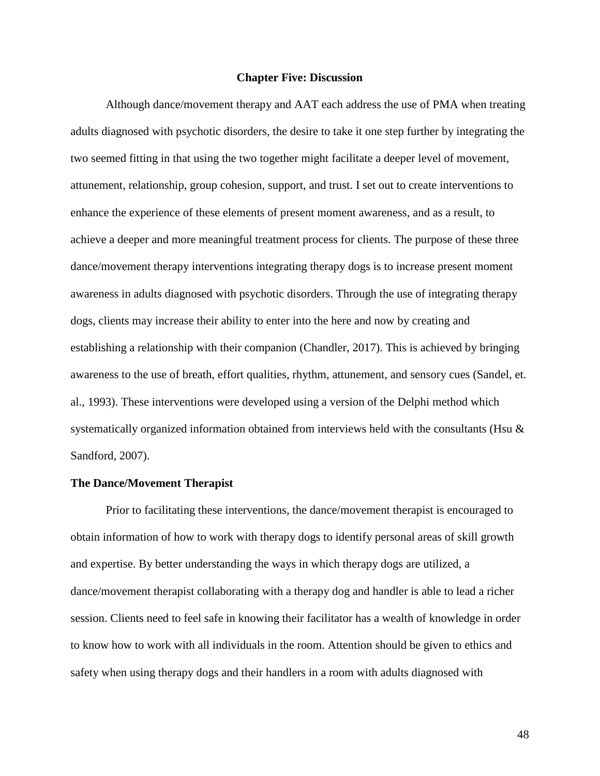#### **Chapter Five: Discussion**

Although dance/movement therapy and AAT each address the use of PMA when treating adults diagnosed with psychotic disorders, the desire to take it one step further by integrating the two seemed fitting in that using the two together might facilitate a deeper level of movement, attunement, relationship, group cohesion, support, and trust. I set out to create interventions to enhance the experience of these elements of present moment awareness, and as a result, to achieve a deeper and more meaningful treatment process for clients. The purpose of these three dance/movement therapy interventions integrating therapy dogs is to increase present moment awareness in adults diagnosed with psychotic disorders. Through the use of integrating therapy dogs, clients may increase their ability to enter into the here and now by creating and establishing a relationship with their companion (Chandler, 2017). This is achieved by bringing awareness to the use of breath, effort qualities, rhythm, attunement, and sensory cues (Sandel, et. al., 1993). These interventions were developed using a version of the Delphi method which systematically organized information obtained from interviews held with the consultants (Hsu & Sandford, 2007).

### **The Dance/Movement Therapist**

Prior to facilitating these interventions, the dance/movement therapist is encouraged to obtain information of how to work with therapy dogs to identify personal areas of skill growth and expertise. By better understanding the ways in which therapy dogs are utilized, a dance/movement therapist collaborating with a therapy dog and handler is able to lead a richer session. Clients need to feel safe in knowing their facilitator has a wealth of knowledge in order to know how to work with all individuals in the room. Attention should be given to ethics and safety when using therapy dogs and their handlers in a room with adults diagnosed with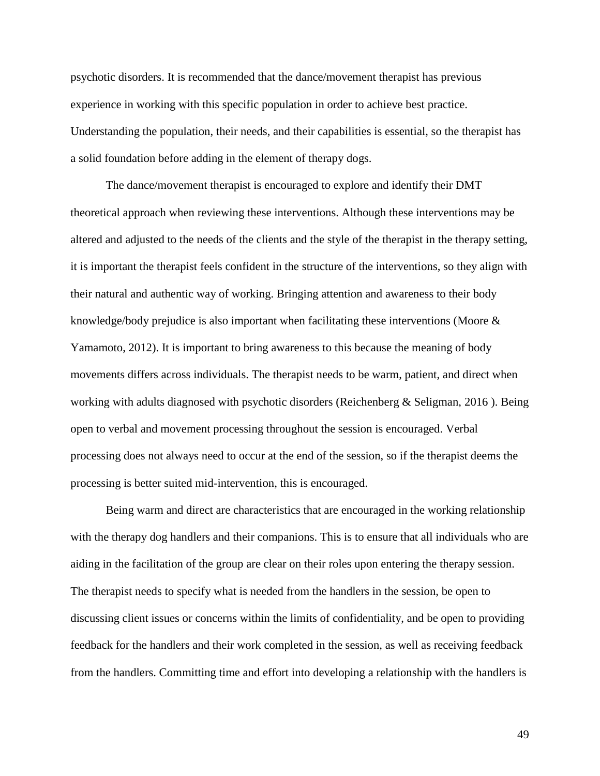psychotic disorders. It is recommended that the dance/movement therapist has previous experience in working with this specific population in order to achieve best practice. Understanding the population, their needs, and their capabilities is essential, so the therapist has a solid foundation before adding in the element of therapy dogs.

The dance/movement therapist is encouraged to explore and identify their DMT theoretical approach when reviewing these interventions. Although these interventions may be altered and adjusted to the needs of the clients and the style of the therapist in the therapy setting, it is important the therapist feels confident in the structure of the interventions, so they align with their natural and authentic way of working. Bringing attention and awareness to their body knowledge/body prejudice is also important when facilitating these interventions (Moore & Yamamoto, 2012). It is important to bring awareness to this because the meaning of body movements differs across individuals. The therapist needs to be warm, patient, and direct when working with adults diagnosed with psychotic disorders (Reichenberg & Seligman, 2016 ). Being open to verbal and movement processing throughout the session is encouraged. Verbal processing does not always need to occur at the end of the session, so if the therapist deems the processing is better suited mid-intervention, this is encouraged.

Being warm and direct are characteristics that are encouraged in the working relationship with the therapy dog handlers and their companions. This is to ensure that all individuals who are aiding in the facilitation of the group are clear on their roles upon entering the therapy session. The therapist needs to specify what is needed from the handlers in the session, be open to discussing client issues or concerns within the limits of confidentiality, and be open to providing feedback for the handlers and their work completed in the session, as well as receiving feedback from the handlers. Committing time and effort into developing a relationship with the handlers is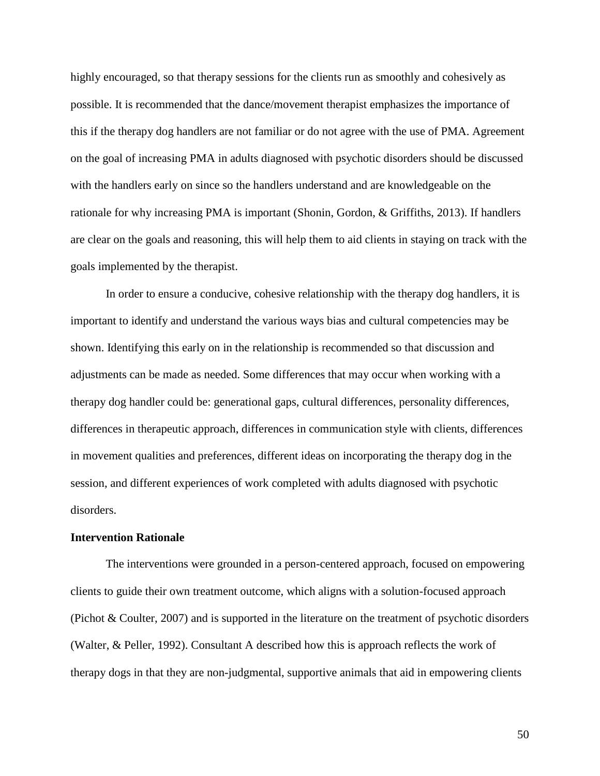highly encouraged, so that therapy sessions for the clients run as smoothly and cohesively as possible. It is recommended that the dance/movement therapist emphasizes the importance of this if the therapy dog handlers are not familiar or do not agree with the use of PMA. Agreement on the goal of increasing PMA in adults diagnosed with psychotic disorders should be discussed with the handlers early on since so the handlers understand and are knowledgeable on the rationale for why increasing PMA is important (Shonin, Gordon, & Griffiths, 2013). If handlers are clear on the goals and reasoning, this will help them to aid clients in staying on track with the goals implemented by the therapist.

In order to ensure a conducive, cohesive relationship with the therapy dog handlers, it is important to identify and understand the various ways bias and cultural competencies may be shown. Identifying this early on in the relationship is recommended so that discussion and adjustments can be made as needed. Some differences that may occur when working with a therapy dog handler could be: generational gaps, cultural differences, personality differences, differences in therapeutic approach, differences in communication style with clients, differences in movement qualities and preferences, different ideas on incorporating the therapy dog in the session, and different experiences of work completed with adults diagnosed with psychotic disorders.

# **Intervention Rationale**

The interventions were grounded in a person-centered approach, focused on empowering clients to guide their own treatment outcome, which aligns with a solution-focused approach (Pichot & Coulter, 2007) and is supported in the literature on the treatment of psychotic disorders (Walter, & Peller, 1992). Consultant A described how this is approach reflects the work of therapy dogs in that they are non-judgmental, supportive animals that aid in empowering clients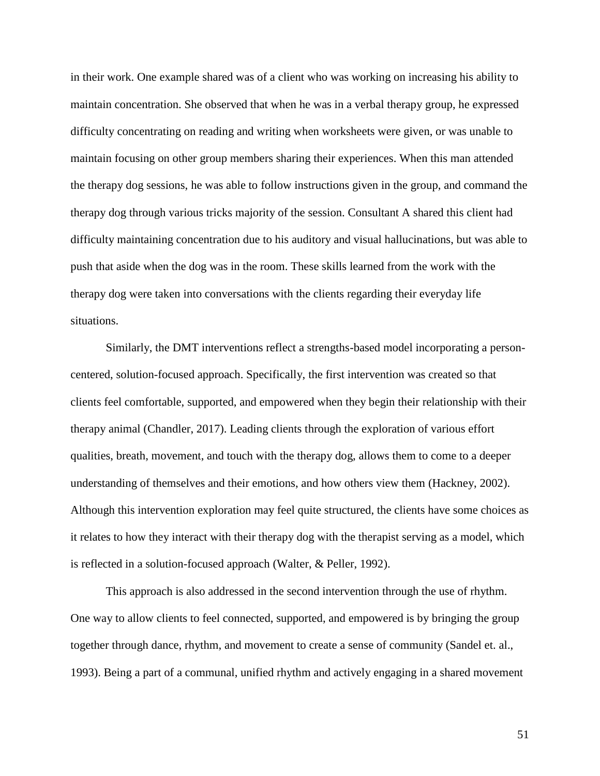in their work. One example shared was of a client who was working on increasing his ability to maintain concentration. She observed that when he was in a verbal therapy group, he expressed difficulty concentrating on reading and writing when worksheets were given, or was unable to maintain focusing on other group members sharing their experiences. When this man attended the therapy dog sessions, he was able to follow instructions given in the group, and command the therapy dog through various tricks majority of the session. Consultant A shared this client had difficulty maintaining concentration due to his auditory and visual hallucinations, but was able to push that aside when the dog was in the room. These skills learned from the work with the therapy dog were taken into conversations with the clients regarding their everyday life situations.

Similarly, the DMT interventions reflect a strengths-based model incorporating a personcentered, solution-focused approach. Specifically, the first intervention was created so that clients feel comfortable, supported, and empowered when they begin their relationship with their therapy animal (Chandler, 2017). Leading clients through the exploration of various effort qualities, breath, movement, and touch with the therapy dog, allows them to come to a deeper understanding of themselves and their emotions, and how others view them (Hackney, 2002). Although this intervention exploration may feel quite structured, the clients have some choices as it relates to how they interact with their therapy dog with the therapist serving as a model, which is reflected in a solution-focused approach (Walter, & Peller, 1992).

This approach is also addressed in the second intervention through the use of rhythm. One way to allow clients to feel connected, supported, and empowered is by bringing the group together through dance, rhythm, and movement to create a sense of community (Sandel et. al., 1993). Being a part of a communal, unified rhythm and actively engaging in a shared movement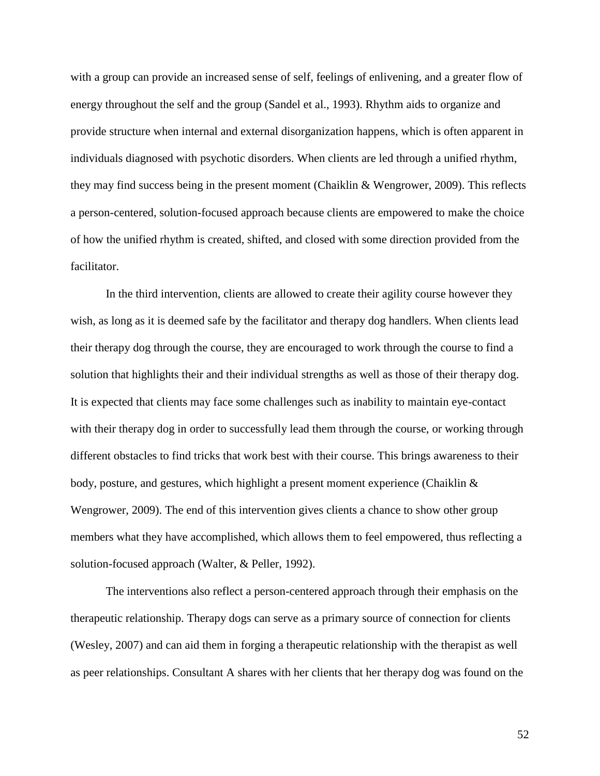with a group can provide an increased sense of self, feelings of enlivening, and a greater flow of energy throughout the self and the group (Sandel et al., 1993). Rhythm aids to organize and provide structure when internal and external disorganization happens, which is often apparent in individuals diagnosed with psychotic disorders. When clients are led through a unified rhythm, they may find success being in the present moment (Chaiklin & Wengrower, 2009). This reflects a person-centered, solution-focused approach because clients are empowered to make the choice of how the unified rhythm is created, shifted, and closed with some direction provided from the facilitator.

In the third intervention, clients are allowed to create their agility course however they wish, as long as it is deemed safe by the facilitator and therapy dog handlers. When clients lead their therapy dog through the course, they are encouraged to work through the course to find a solution that highlights their and their individual strengths as well as those of their therapy dog. It is expected that clients may face some challenges such as inability to maintain eye-contact with their therapy dog in order to successfully lead them through the course, or working through different obstacles to find tricks that work best with their course. This brings awareness to their body, posture, and gestures, which highlight a present moment experience (Chaiklin & Wengrower, 2009). The end of this intervention gives clients a chance to show other group members what they have accomplished, which allows them to feel empowered, thus reflecting a solution-focused approach (Walter, & Peller, 1992).

The interventions also reflect a person-centered approach through their emphasis on the therapeutic relationship. Therapy dogs can serve as a primary source of connection for clients (Wesley, 2007) and can aid them in forging a therapeutic relationship with the therapist as well as peer relationships. Consultant A shares with her clients that her therapy dog was found on the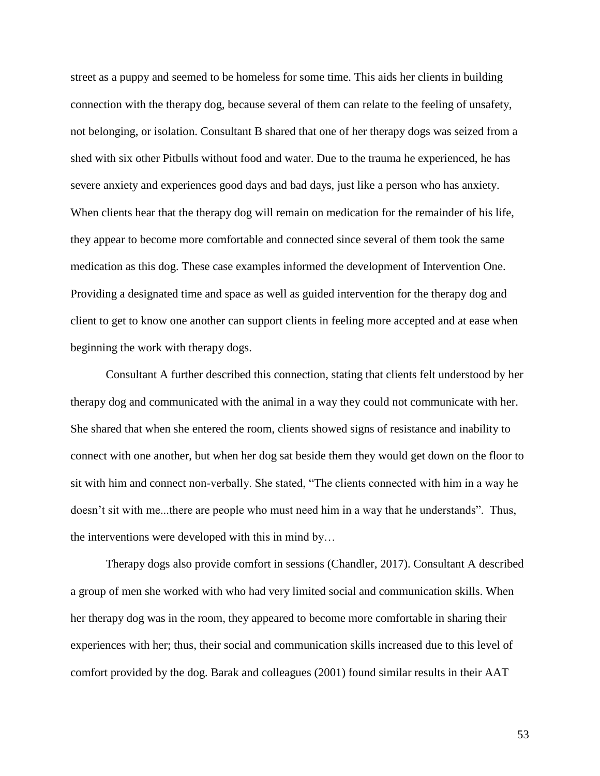street as a puppy and seemed to be homeless for some time. This aids her clients in building connection with the therapy dog, because several of them can relate to the feeling of unsafety, not belonging, or isolation. Consultant B shared that one of her therapy dogs was seized from a shed with six other Pitbulls without food and water. Due to the trauma he experienced, he has severe anxiety and experiences good days and bad days, just like a person who has anxiety. When clients hear that the therapy dog will remain on medication for the remainder of his life, they appear to become more comfortable and connected since several of them took the same medication as this dog. These case examples informed the development of Intervention One. Providing a designated time and space as well as guided intervention for the therapy dog and client to get to know one another can support clients in feeling more accepted and at ease when beginning the work with therapy dogs.

Consultant A further described this connection, stating that clients felt understood by her therapy dog and communicated with the animal in a way they could not communicate with her. She shared that when she entered the room, clients showed signs of resistance and inability to connect with one another, but when her dog sat beside them they would get down on the floor to sit with him and connect non-verbally. She stated, "The clients connected with him in a way he doesn't sit with me...there are people who must need him in a way that he understands". Thus, the interventions were developed with this in mind by…

Therapy dogs also provide comfort in sessions (Chandler, 2017). Consultant A described a group of men she worked with who had very limited social and communication skills. When her therapy dog was in the room, they appeared to become more comfortable in sharing their experiences with her; thus, their social and communication skills increased due to this level of comfort provided by the dog. Barak and colleagues (2001) found similar results in their AAT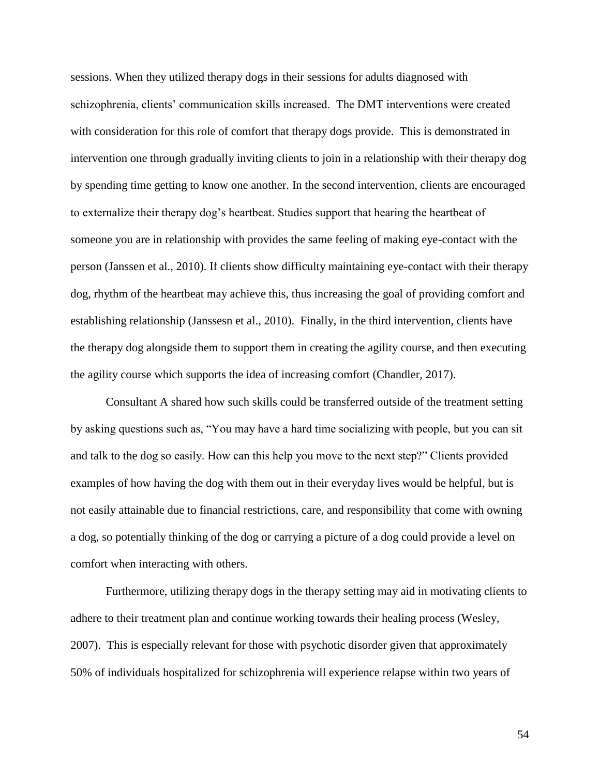sessions. When they utilized therapy dogs in their sessions for adults diagnosed with schizophrenia, clients' communication skills increased. The DMT interventions were created with consideration for this role of comfort that therapy dogs provide. This is demonstrated in intervention one through gradually inviting clients to join in a relationship with their therapy dog by spending time getting to know one another. In the second intervention, clients are encouraged to externalize their therapy dog's heartbeat. Studies support that hearing the heartbeat of someone you are in relationship with provides the same feeling of making eye-contact with the person (Janssen et al., 2010). If clients show difficulty maintaining eye-contact with their therapy dog, rhythm of the heartbeat may achieve this, thus increasing the goal of providing comfort and establishing relationship (Janssesn et al., 2010). Finally, in the third intervention, clients have the therapy dog alongside them to support them in creating the agility course, and then executing the agility course which supports the idea of increasing comfort (Chandler, 2017).

Consultant A shared how such skills could be transferred outside of the treatment setting by asking questions such as, "You may have a hard time socializing with people, but you can sit and talk to the dog so easily. How can this help you move to the next step?" Clients provided examples of how having the dog with them out in their everyday lives would be helpful, but is not easily attainable due to financial restrictions, care, and responsibility that come with owning a dog, so potentially thinking of the dog or carrying a picture of a dog could provide a level on comfort when interacting with others.

Furthermore, utilizing therapy dogs in the therapy setting may aid in motivating clients to adhere to their treatment plan and continue working towards their healing process (Wesley, 2007). This is especially relevant for those with psychotic disorder given that approximately 50% of individuals hospitalized for schizophrenia will experience relapse within two years of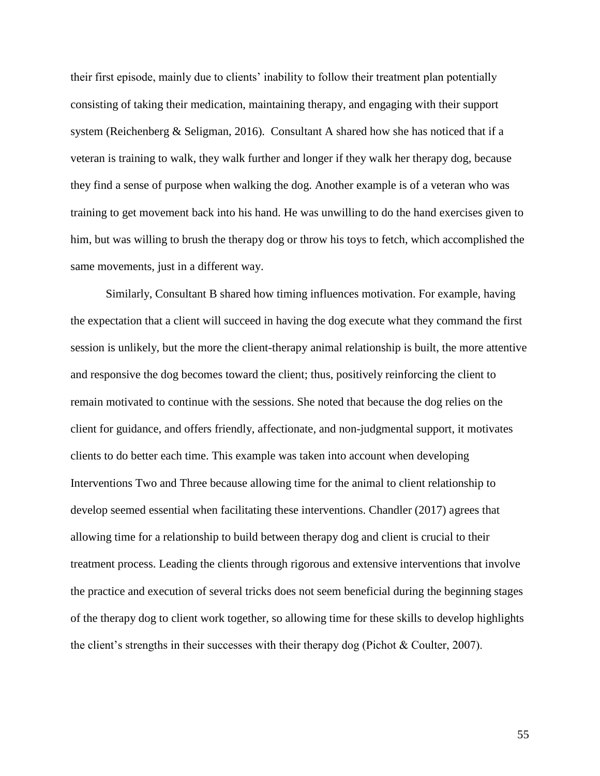their first episode, mainly due to clients' inability to follow their treatment plan potentially consisting of taking their medication, maintaining therapy, and engaging with their support system (Reichenberg & Seligman, 2016). Consultant A shared how she has noticed that if a veteran is training to walk, they walk further and longer if they walk her therapy dog, because they find a sense of purpose when walking the dog. Another example is of a veteran who was training to get movement back into his hand. He was unwilling to do the hand exercises given to him, but was willing to brush the therapy dog or throw his toys to fetch, which accomplished the same movements, just in a different way.

Similarly, Consultant B shared how timing influences motivation. For example, having the expectation that a client will succeed in having the dog execute what they command the first session is unlikely, but the more the client-therapy animal relationship is built, the more attentive and responsive the dog becomes toward the client; thus, positively reinforcing the client to remain motivated to continue with the sessions. She noted that because the dog relies on the client for guidance, and offers friendly, affectionate, and non-judgmental support, it motivates clients to do better each time. This example was taken into account when developing Interventions Two and Three because allowing time for the animal to client relationship to develop seemed essential when facilitating these interventions. Chandler (2017) agrees that allowing time for a relationship to build between therapy dog and client is crucial to their treatment process. Leading the clients through rigorous and extensive interventions that involve the practice and execution of several tricks does not seem beneficial during the beginning stages of the therapy dog to client work together, so allowing time for these skills to develop highlights the client's strengths in their successes with their therapy dog (Pichot & Coulter, 2007).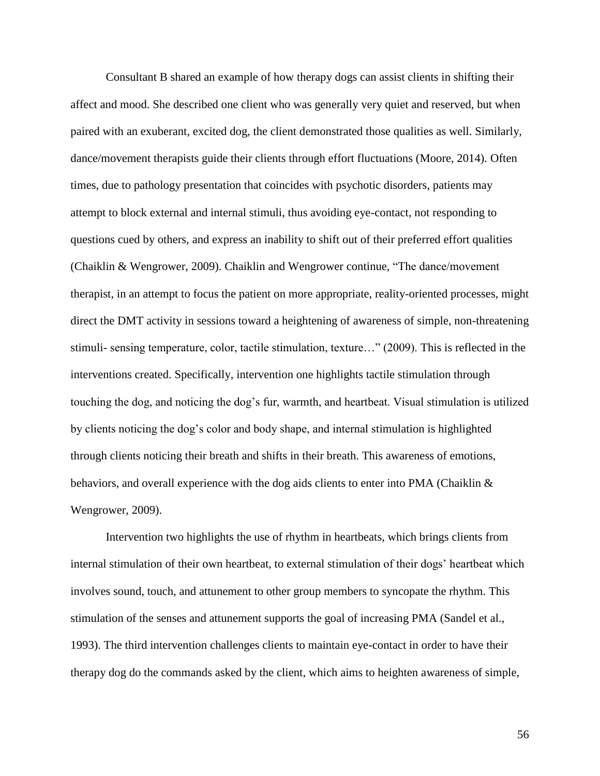Consultant B shared an example of how therapy dogs can assist clients in shifting their affect and mood. She described one client who was generally very quiet and reserved, but when paired with an exuberant, excited dog, the client demonstrated those qualities as well. Similarly, dance/movement therapists guide their clients through effort fluctuations (Moore, 2014). Often times, due to pathology presentation that coincides with psychotic disorders, patients may attempt to block external and internal stimuli, thus avoiding eye-contact, not responding to questions cued by others, and express an inability to shift out of their preferred effort qualities (Chaiklin & Wengrower, 2009). Chaiklin and Wengrower continue, "The dance/movement therapist, in an attempt to focus the patient on more appropriate, reality-oriented processes, might direct the DMT activity in sessions toward a heightening of awareness of simple, non-threatening stimuli- sensing temperature, color, tactile stimulation, texture…" (2009). This is reflected in the interventions created. Specifically, intervention one highlights tactile stimulation through touching the dog, and noticing the dog's fur, warmth, and heartbeat. Visual stimulation is utilized by clients noticing the dog's color and body shape, and internal stimulation is highlighted through clients noticing their breath and shifts in their breath. This awareness of emotions, behaviors, and overall experience with the dog aids clients to enter into PMA (Chaiklin & Wengrower, 2009).

Intervention two highlights the use of rhythm in heartbeats, which brings clients from internal stimulation of their own heartbeat, to external stimulation of their dogs' heartbeat which involves sound, touch, and attunement to other group members to syncopate the rhythm. This stimulation of the senses and attunement supports the goal of increasing PMA (Sandel et al., 1993). The third intervention challenges clients to maintain eye-contact in order to have their therapy dog do the commands asked by the client, which aims to heighten awareness of simple,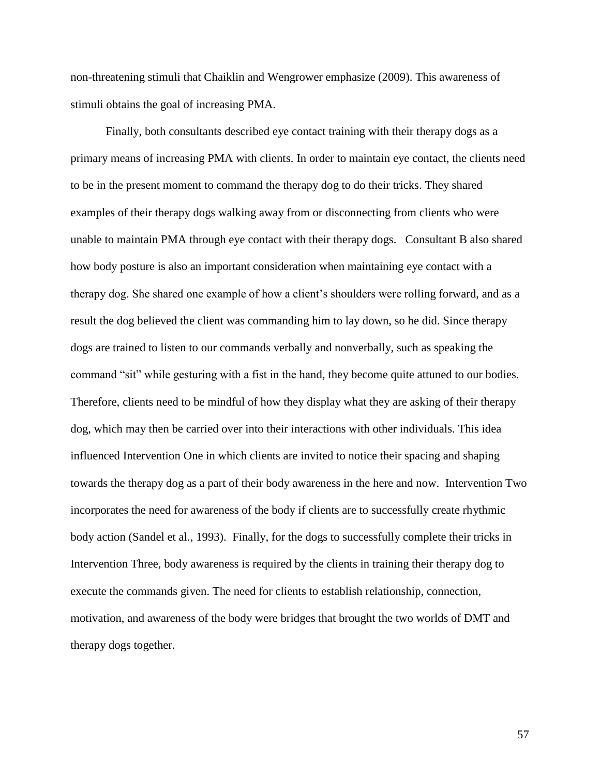non-threatening stimuli that Chaiklin and Wengrower emphasize (2009). This awareness of stimuli obtains the goal of increasing PMA.

Finally, both consultants described eye contact training with their therapy dogs as a primary means of increasing PMA with clients. In order to maintain eye contact, the clients need to be in the present moment to command the therapy dog to do their tricks. They shared examples of their therapy dogs walking away from or disconnecting from clients who were unable to maintain PMA through eye contact with their therapy dogs. Consultant B also shared how body posture is also an important consideration when maintaining eye contact with a therapy dog. She shared one example of how a client's shoulders were rolling forward, and as a result the dog believed the client was commanding him to lay down, so he did. Since therapy dogs are trained to listen to our commands verbally and nonverbally, such as speaking the command "sit" while gesturing with a fist in the hand, they become quite attuned to our bodies. Therefore, clients need to be mindful of how they display what they are asking of their therapy dog, which may then be carried over into their interactions with other individuals. This idea influenced Intervention One in which clients are invited to notice their spacing and shaping towards the therapy dog as a part of their body awareness in the here and now. Intervention Two incorporates the need for awareness of the body if clients are to successfully create rhythmic body action (Sandel et al., 1993). Finally, for the dogs to successfully complete their tricks in Intervention Three, body awareness is required by the clients in training their therapy dog to execute the commands given. The need for clients to establish relationship, connection, motivation, and awareness of the body were bridges that brought the two worlds of DMT and therapy dogs together.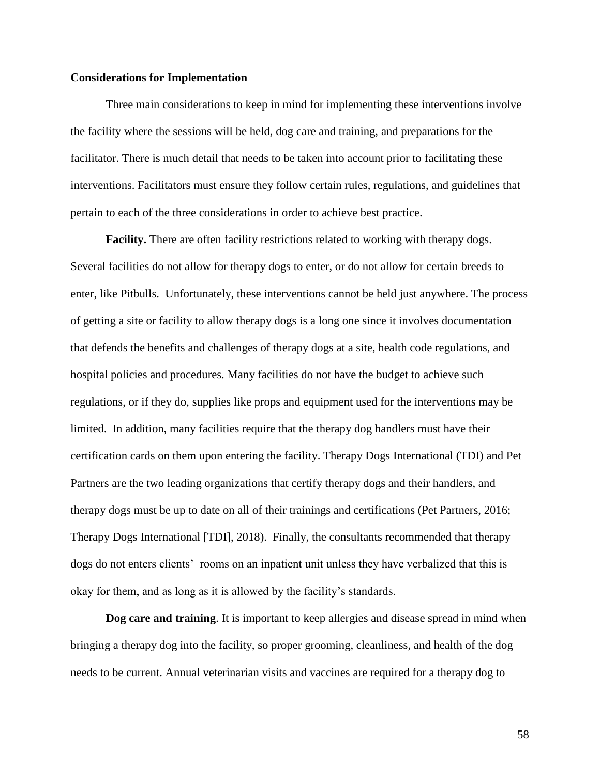# **Considerations for Implementation**

Three main considerations to keep in mind for implementing these interventions involve the facility where the sessions will be held, dog care and training, and preparations for the facilitator. There is much detail that needs to be taken into account prior to facilitating these interventions. Facilitators must ensure they follow certain rules, regulations, and guidelines that pertain to each of the three considerations in order to achieve best practice.

**Facility.** There are often facility restrictions related to working with therapy dogs. Several facilities do not allow for therapy dogs to enter, or do not allow for certain breeds to enter, like Pitbulls. Unfortunately, these interventions cannot be held just anywhere. The process of getting a site or facility to allow therapy dogs is a long one since it involves documentation that defends the benefits and challenges of therapy dogs at a site, health code regulations, and hospital policies and procedures. Many facilities do not have the budget to achieve such regulations, or if they do, supplies like props and equipment used for the interventions may be limited. In addition, many facilities require that the therapy dog handlers must have their certification cards on them upon entering the facility. Therapy Dogs International (TDI) and Pet Partners are the two leading organizations that certify therapy dogs and their handlers, and therapy dogs must be up to date on all of their trainings and certifications (Pet Partners, 2016; Therapy Dogs International [TDI], 2018). Finally, the consultants recommended that therapy dogs do not enters clients' rooms on an inpatient unit unless they have verbalized that this is okay for them, and as long as it is allowed by the facility's standards.

**Dog care and training**. It is important to keep allergies and disease spread in mind when bringing a therapy dog into the facility, so proper grooming, cleanliness, and health of the dog needs to be current. Annual veterinarian visits and vaccines are required for a therapy dog to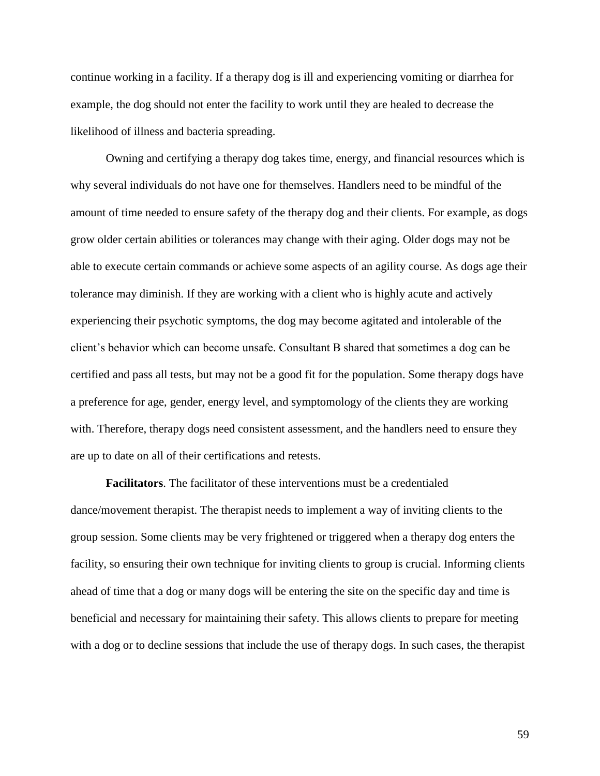continue working in a facility. If a therapy dog is ill and experiencing vomiting or diarrhea for example, the dog should not enter the facility to work until they are healed to decrease the likelihood of illness and bacteria spreading.

Owning and certifying a therapy dog takes time, energy, and financial resources which is why several individuals do not have one for themselves. Handlers need to be mindful of the amount of time needed to ensure safety of the therapy dog and their clients. For example, as dogs grow older certain abilities or tolerances may change with their aging. Older dogs may not be able to execute certain commands or achieve some aspects of an agility course. As dogs age their tolerance may diminish. If they are working with a client who is highly acute and actively experiencing their psychotic symptoms, the dog may become agitated and intolerable of the client's behavior which can become unsafe. Consultant B shared that sometimes a dog can be certified and pass all tests, but may not be a good fit for the population. Some therapy dogs have a preference for age, gender, energy level, and symptomology of the clients they are working with. Therefore, therapy dogs need consistent assessment, and the handlers need to ensure they are up to date on all of their certifications and retests.

**Facilitators**. The facilitator of these interventions must be a credentialed dance/movement therapist. The therapist needs to implement a way of inviting clients to the group session. Some clients may be very frightened or triggered when a therapy dog enters the facility, so ensuring their own technique for inviting clients to group is crucial. Informing clients ahead of time that a dog or many dogs will be entering the site on the specific day and time is beneficial and necessary for maintaining their safety. This allows clients to prepare for meeting with a dog or to decline sessions that include the use of therapy dogs. In such cases, the therapist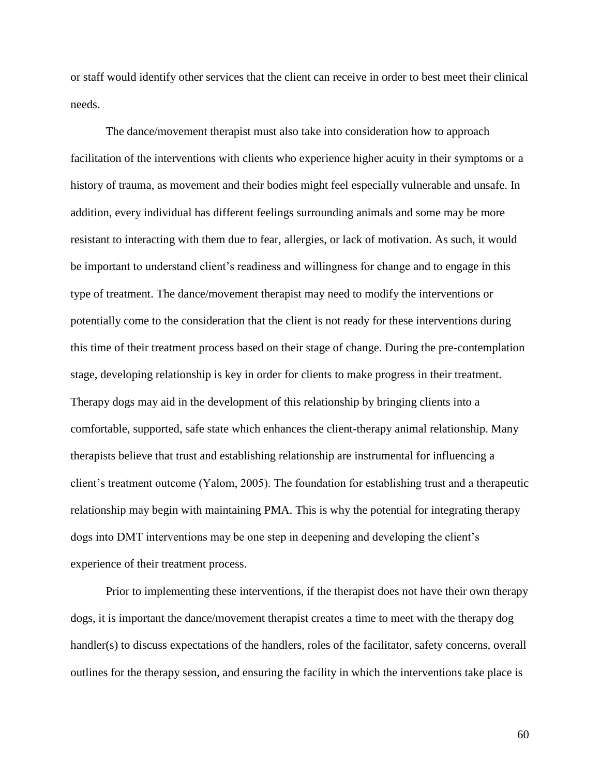or staff would identify other services that the client can receive in order to best meet their clinical needs.

The dance/movement therapist must also take into consideration how to approach facilitation of the interventions with clients who experience higher acuity in their symptoms or a history of trauma, as movement and their bodies might feel especially vulnerable and unsafe. In addition, every individual has different feelings surrounding animals and some may be more resistant to interacting with them due to fear, allergies, or lack of motivation. As such, it would be important to understand client's readiness and willingness for change and to engage in this type of treatment. The dance/movement therapist may need to modify the interventions or potentially come to the consideration that the client is not ready for these interventions during this time of their treatment process based on their stage of change. During the pre-contemplation stage, developing relationship is key in order for clients to make progress in their treatment. Therapy dogs may aid in the development of this relationship by bringing clients into a comfortable, supported, safe state which enhances the client-therapy animal relationship. Many therapists believe that trust and establishing relationship are instrumental for influencing a client's treatment outcome (Yalom, 2005). The foundation for establishing trust and a therapeutic relationship may begin with maintaining PMA. This is why the potential for integrating therapy dogs into DMT interventions may be one step in deepening and developing the client's experience of their treatment process.

Prior to implementing these interventions, if the therapist does not have their own therapy dogs, it is important the dance/movement therapist creates a time to meet with the therapy dog handler(s) to discuss expectations of the handlers, roles of the facilitator, safety concerns, overall outlines for the therapy session, and ensuring the facility in which the interventions take place is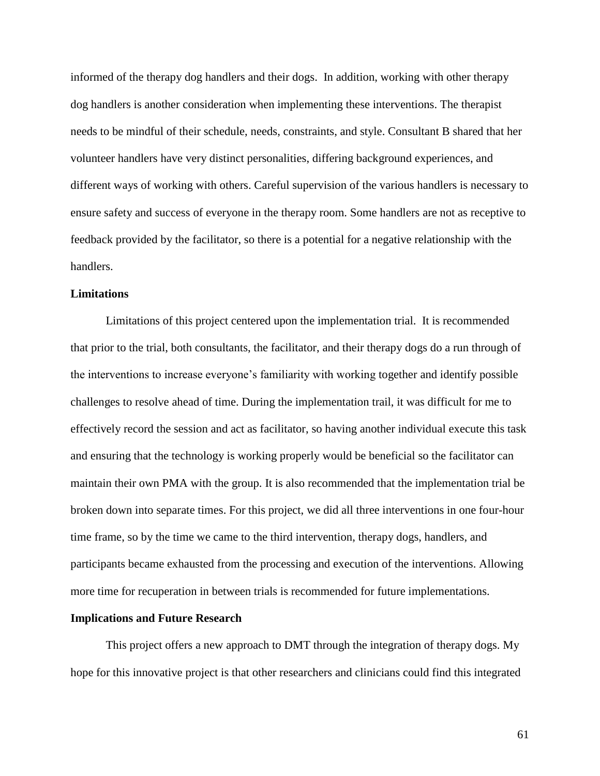informed of the therapy dog handlers and their dogs. In addition, working with other therapy dog handlers is another consideration when implementing these interventions. The therapist needs to be mindful of their schedule, needs, constraints, and style. Consultant B shared that her volunteer handlers have very distinct personalities, differing background experiences, and different ways of working with others. Careful supervision of the various handlers is necessary to ensure safety and success of everyone in the therapy room. Some handlers are not as receptive to feedback provided by the facilitator, so there is a potential for a negative relationship with the handlers.

### **Limitations**

Limitations of this project centered upon the implementation trial. It is recommended that prior to the trial, both consultants, the facilitator, and their therapy dogs do a run through of the interventions to increase everyone's familiarity with working together and identify possible challenges to resolve ahead of time. During the implementation trail, it was difficult for me to effectively record the session and act as facilitator, so having another individual execute this task and ensuring that the technology is working properly would be beneficial so the facilitator can maintain their own PMA with the group. It is also recommended that the implementation trial be broken down into separate times. For this project, we did all three interventions in one four-hour time frame, so by the time we came to the third intervention, therapy dogs, handlers, and participants became exhausted from the processing and execution of the interventions. Allowing more time for recuperation in between trials is recommended for future implementations.

#### **Implications and Future Research**

This project offers a new approach to DMT through the integration of therapy dogs. My hope for this innovative project is that other researchers and clinicians could find this integrated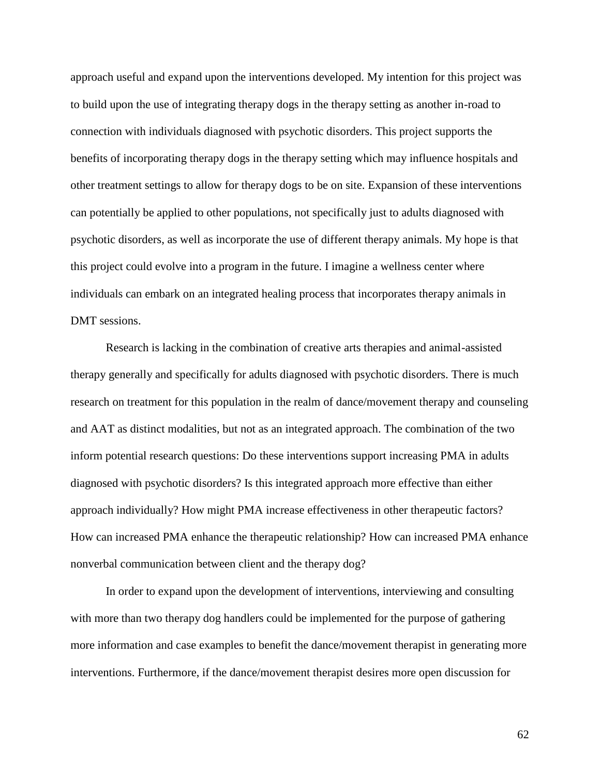approach useful and expand upon the interventions developed. My intention for this project was to build upon the use of integrating therapy dogs in the therapy setting as another in-road to connection with individuals diagnosed with psychotic disorders. This project supports the benefits of incorporating therapy dogs in the therapy setting which may influence hospitals and other treatment settings to allow for therapy dogs to be on site. Expansion of these interventions can potentially be applied to other populations, not specifically just to adults diagnosed with psychotic disorders, as well as incorporate the use of different therapy animals. My hope is that this project could evolve into a program in the future. I imagine a wellness center where individuals can embark on an integrated healing process that incorporates therapy animals in DMT sessions.

Research is lacking in the combination of creative arts therapies and animal-assisted therapy generally and specifically for adults diagnosed with psychotic disorders. There is much research on treatment for this population in the realm of dance/movement therapy and counseling and AAT as distinct modalities, but not as an integrated approach. The combination of the two inform potential research questions: Do these interventions support increasing PMA in adults diagnosed with psychotic disorders? Is this integrated approach more effective than either approach individually? How might PMA increase effectiveness in other therapeutic factors? How can increased PMA enhance the therapeutic relationship? How can increased PMA enhance nonverbal communication between client and the therapy dog?

In order to expand upon the development of interventions, interviewing and consulting with more than two therapy dog handlers could be implemented for the purpose of gathering more information and case examples to benefit the dance/movement therapist in generating more interventions. Furthermore, if the dance/movement therapist desires more open discussion for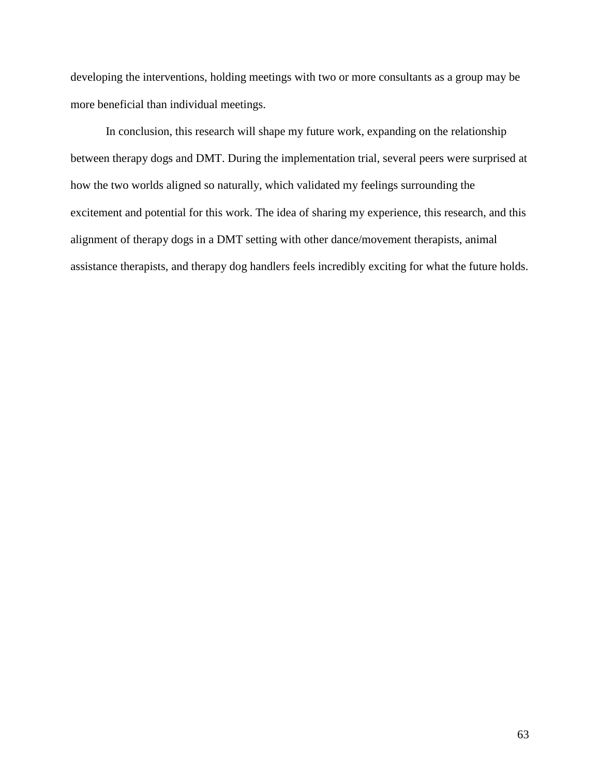developing the interventions, holding meetings with two or more consultants as a group may be more beneficial than individual meetings.

In conclusion, this research will shape my future work, expanding on the relationship between therapy dogs and DMT. During the implementation trial, several peers were surprised at how the two worlds aligned so naturally, which validated my feelings surrounding the excitement and potential for this work. The idea of sharing my experience, this research, and this alignment of therapy dogs in a DMT setting with other dance/movement therapists, animal assistance therapists, and therapy dog handlers feels incredibly exciting for what the future holds.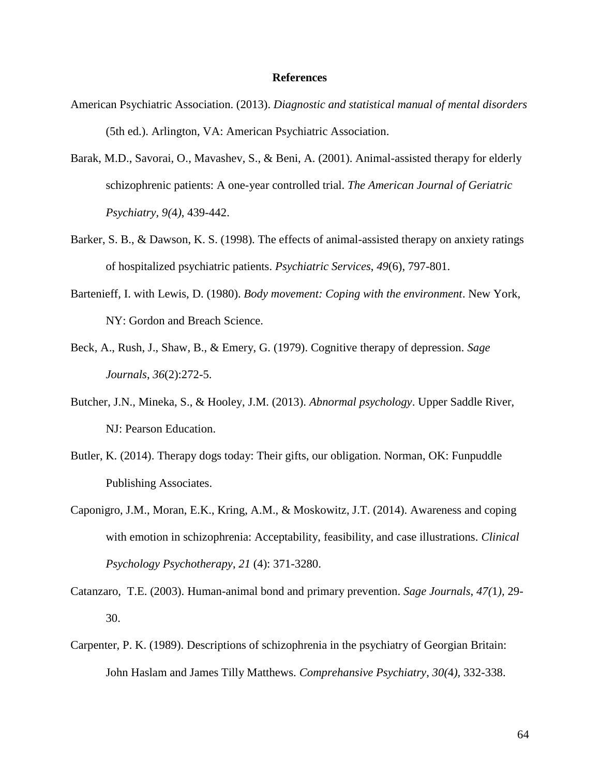#### **References**

- American Psychiatric Association. (2013). *Diagnostic and statistical manual of mental disorders* (5th ed.). Arlington, VA: American Psychiatric Association.
- Barak, M.D., Savorai, O., Mavashev, S., & Beni, A. (2001). Animal-assisted therapy for elderly schizophrenic patients: A one-year controlled trial. *The American Journal of Geriatric Psychiatry, 9(*4*)*, 439-442.
- Barker, S. B., & Dawson, K. S. (1998). The effects of animal-assisted therapy on anxiety ratings of hospitalized psychiatric patients. *Psychiatric Services*, *49*(6), 797-801.
- Bartenieff, I. with Lewis, D. (1980). *Body movement: Coping with the environment*. New York, NY: Gordon and Breach Science.
- Beck, A., Rush, J., Shaw, B., & Emery, G. (1979). Cognitive therapy of depression. *Sage Journals*, *36*(2):272-5.
- Butcher, J.N., Mineka, S., & Hooley, J.M. (2013). *Abnormal psychology*. Upper Saddle River, NJ: Pearson Education.
- Butler, K. (2014). Therapy dogs today: Their gifts, our obligation. Norman, OK: Funpuddle Publishing Associates.
- Caponigro, J.M., Moran, E.K., Kring, A.M., & Moskowitz, J.T. (2014). Awareness and coping with emotion in schizophrenia: Acceptability, feasibility, and case illustrations. *Clinical Psychology Psychotherapy*, *21* (4): 371-3280.
- Catanzaro, T.E. (2003). Human-animal bond and primary prevention. *Sage Journals*, *47(*1*),* 29- 30.
- Carpenter, P. K. (1989). Descriptions of schizophrenia in the psychiatry of Georgian Britain: John Haslam and James Tilly Matthews. *Comprehansive Psychiatry*, *30(*4*),* 332-338.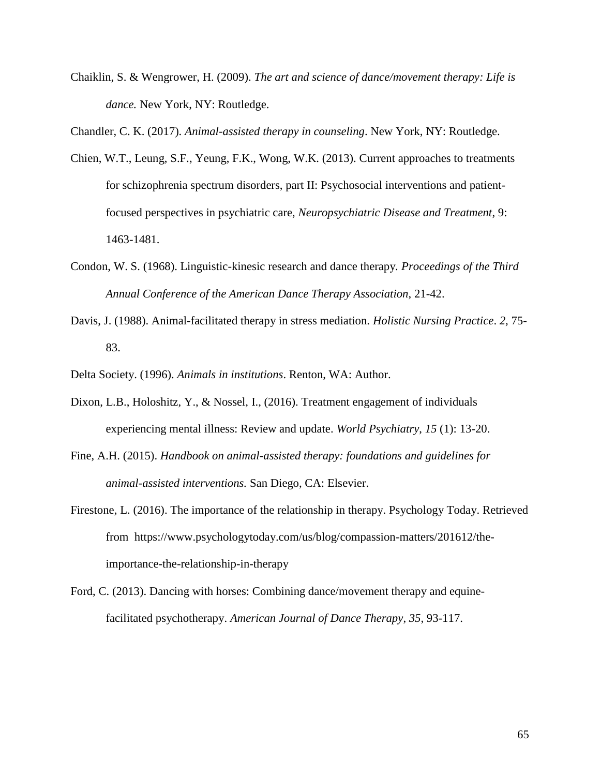Chaiklin, S. & Wengrower, H. (2009). *The art and science of dance/movement therapy: Life is dance.* New York, NY: Routledge.

Chandler, C. K. (2017). *Animal-assisted therapy in counseling*. New York, NY: Routledge.

- Chien, W.T., Leung, S.F., Yeung, F.K., Wong, W.K. (2013). Current approaches to treatments for schizophrenia spectrum disorders, part II: Psychosocial interventions and patientfocused perspectives in psychiatric care, *Neuropsychiatric Disease and Treatment*, 9: 1463-1481.
- Condon, W. S. (1968). Linguistic-kinesic research and dance therapy*. Proceedings of the Third Annual Conference of the American Dance Therapy Association*, 21-42.
- Davis, J. (1988). Animal-facilitated therapy in stress mediation. *Holistic Nursing Practice*. *2*, 75- 83.

Delta Society. (1996). *Animals in institutions*. Renton, WA: Author.

- Dixon, L.B., Holoshitz, Y., & Nossel, I., (2016). Treatment engagement of individuals experiencing mental illness: Review and update. *World Psychiatry*, *15* (1): 13-20.
- Fine, A.H. (2015). *Handbook on animal-assisted therapy: foundations and guidelines for animal-assisted interventions.* San Diego, CA: Elsevier.
- Firestone, L. (2016). The importance of the relationship in therapy. Psychology Today. Retrieved from https://www.psychologytoday.com/us/blog/compassion-matters/201612/theimportance-the-relationship-in-therapy
- Ford, C. (2013). Dancing with horses: Combining dance/movement therapy and equinefacilitated psychotherapy. *American Journal of Dance Therapy*, *35*, 93-117.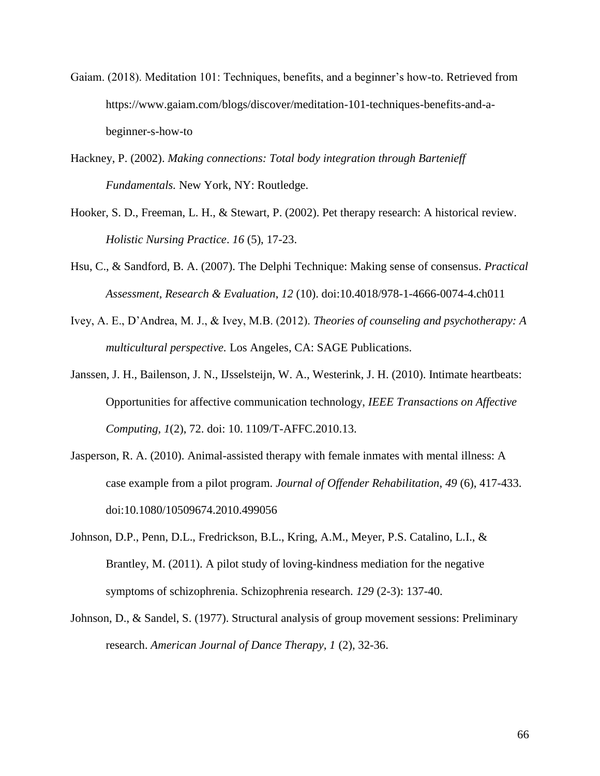- Gaiam. (2018). Meditation 101: Techniques, benefits, and a beginner's how-to. Retrieved from https://www.gaiam.com/blogs/discover/meditation-101-techniques-benefits-and-abeginner-s-how-to
- Hackney, P. (2002). *Making connections: Total body integration through Bartenieff Fundamentals.* New York, NY: Routledge.
- Hooker, S. D., Freeman, L. H., & Stewart, P. (2002). Pet therapy research: A historical review. *Holistic Nursing Practice*. *16* (5), 17-23.
- Hsu, C., & Sandford, B. A. (2007). The Delphi Technique: Making sense of consensus. *Practical Assessment, Research & Evaluation*, *12* (10). doi:10.4018/978-1-4666-0074-4.ch011
- Ivey, A. E., D'Andrea, M. J., & Ivey, M.B. (2012). *Theories of counseling and psychotherapy: A multicultural perspective.* Los Angeles, CA: SAGE Publications.
- Janssen, J. H., Bailenson, J. N., IJsselsteijn, W. A., Westerink, J. H. (2010). Intimate heartbeats: Opportunities for affective communication technology, *IEEE Transactions on Affective Computing, 1*(2), 72. doi: 10. 1109/T-AFFC.2010.13.
- Jasperson, R. A. (2010). Animal-assisted therapy with female inmates with mental illness: A case example from a pilot program. *Journal of Offender Rehabilitation*, *49* (6), 417-433. doi:10.1080/10509674.2010.499056
- Johnson, D.P., Penn, D.L., Fredrickson, B.L., Kring, A.M., Meyer, P.S. Catalino, L.I., & Brantley, M. (2011). A pilot study of loving-kindness mediation for the negative symptoms of schizophrenia. Schizophrenia research. *129* (2-3): 137-40.
- Johnson, D., & Sandel, S. (1977). Structural analysis of group movement sessions: Preliminary research. *American Journal of Dance Therapy, 1* (2), 32-36.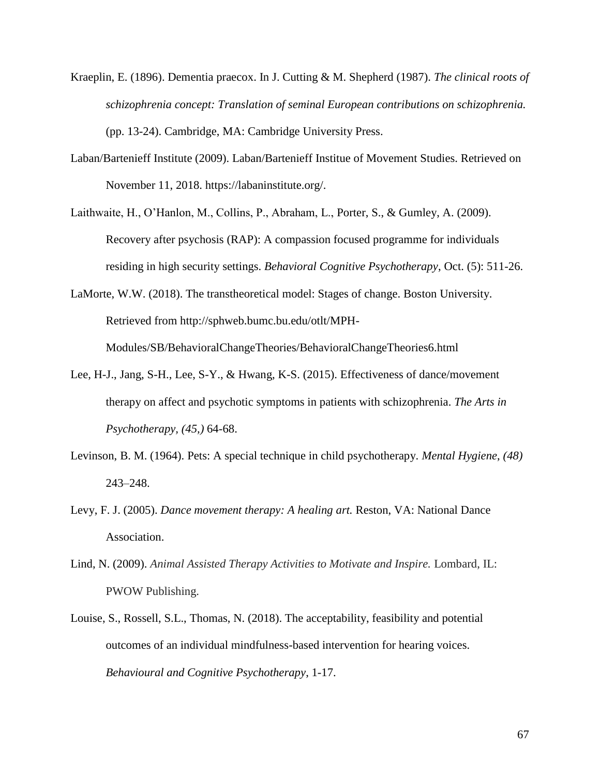- Kraeplin, E. (1896). Dementia praecox. In J. Cutting & M. Shepherd (1987). *The clinical roots of schizophrenia concept: Translation of seminal European contributions on schizophrenia.* (pp. 13-24). Cambridge, MA: Cambridge University Press.
- Laban/Bartenieff Institute (2009). Laban/Bartenieff Institue of Movement Studies. Retrieved on November 11, 2018. https://labaninstitute.org/.
- Laithwaite, H., O'Hanlon, M., Collins, P., Abraham, L., Porter, S., & Gumley, A. (2009). Recovery after psychosis (RAP): A compassion focused programme for individuals residing in high security settings. *Behavioral Cognitive Psychotherapy*, Oct. (5): 511-26.
- LaMorte, W.W. (2018). The transtheoretical model: Stages of change. Boston University. Retrieved from http://sphweb.bumc.bu.edu/otlt/MPH-Modules/SB/BehavioralChangeTheories/BehavioralChangeTheories6.html
- Lee, H-J., Jang, S-H., Lee, S-Y., & Hwang, K-S. (2015). Effectiveness of dance/movement therapy on affect and psychotic symptoms in patients with schizophrenia. *The Arts in Psychotherapy, (45,)* 64-68.
- Levinson, B. M. (1964). Pets: A special technique in child psychotherapy. *Mental Hygiene*, *(48)* 243–248.
- Levy, F. J. (2005). *Dance movement therapy: A healing art.* Reston, VA: National Dance Association.
- Lind, N. (2009). *Animal Assisted Therapy Activities to Motivate and Inspire.* Lombard, IL: PWOW Publishing.
- Louise, S., Rossell, S.L., Thomas, N. (2018). The acceptability, feasibility and potential outcomes of an individual mindfulness-based intervention for hearing voices. *Behavioural and Cognitive Psychotherapy*, 1-17.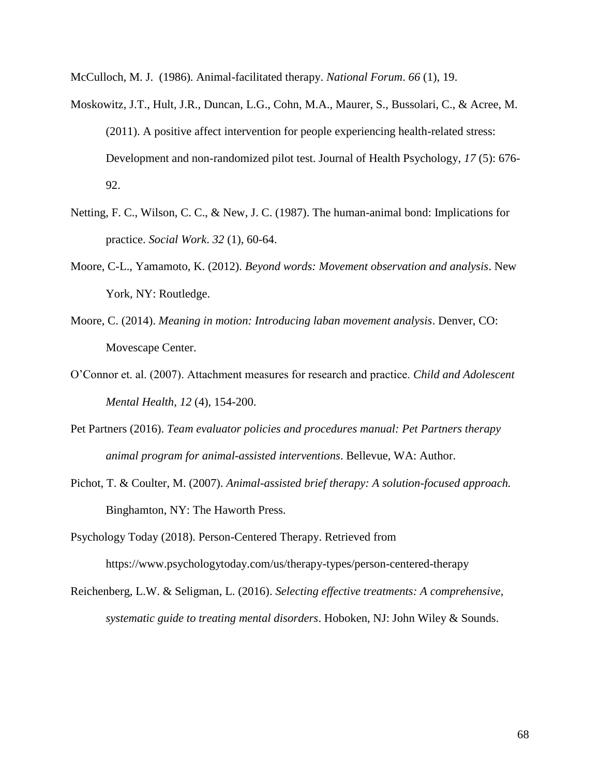McCulloch, M. J. (1986). Animal-facilitated therapy. *National Forum*. *66* (1), 19.

- Moskowitz, J.T., Hult, J.R., Duncan, L.G., Cohn, M.A., Maurer, S., Bussolari, C., & Acree, M. (2011). A positive affect intervention for people experiencing health-related stress: Development and non-randomized pilot test. Journal of Health Psychology, *17* (5): 676- 92.
- Netting, F. C., Wilson, C. C., & New, J. C. (1987). The human-animal bond: Implications for practice. *Social Work*. *32* (1), 60-64.
- Moore, C-L., Yamamoto, K. (2012). *Beyond words: Movement observation and analysis*. New York, NY: Routledge.
- Moore, C. (2014). *Meaning in motion: Introducing laban movement analysis*. Denver, CO: Movescape Center.
- O'Connor et. al. (2007). Attachment measures for research and practice. *Child and Adolescent Mental Health*, *12* (4), 154-200.
- Pet Partners (2016). *Team evaluator policies and procedures manual: Pet Partners therapy animal program for animal-assisted interventions*. Bellevue, WA: Author.
- Pichot, T. & Coulter, M. (2007). *Animal-assisted brief therapy: A solution-focused approach.* Binghamton, NY: The Haworth Press.

Psychology Today (2018). Person-Centered Therapy. Retrieved from https://www.psychologytoday.com/us/therapy-types/person-centered-therapy

Reichenberg, L.W. & Seligman, L. (2016). *Selecting effective treatments: A comprehensive, systematic guide to treating mental disorders*. Hoboken, NJ: John Wiley & Sounds.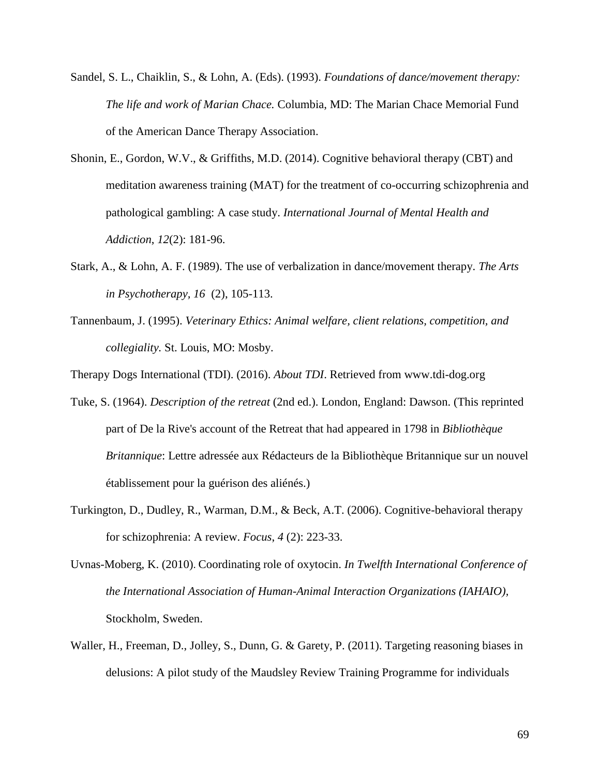- Sandel, S. L., Chaiklin, S., & Lohn, A. (Eds). (1993). *Foundations of dance/movement therapy: The life and work of Marian Chace.* Columbia, MD: The Marian Chace Memorial Fund of the American Dance Therapy Association.
- Shonin, E., Gordon, W.V., & Griffiths, M.D. (2014). Cognitive behavioral therapy (CBT) and meditation awareness training (MAT) for the treatment of co-occurring schizophrenia and pathological gambling: A case study. *International Journal of Mental Health and Addiction*, *12*(2): 181-96.
- Stark, A., & Lohn, A. F. (1989). The use of verbalization in dance/movement therapy. *The Arts in Psychotherapy, 16* (2), 105-113.
- Tannenbaum, J. (1995). *Veterinary Ethics: Animal welfare, client relations, competition, and collegiality.* St. Louis, MO: Mosby.

Therapy Dogs International (TDI). (2016). *About TDI*. Retrieved from [www.tdi-dog.org](http://www.tdi-dog.org/)

- Tuke, S. (1964). *Description of the retreat* (2nd ed.). London, England: Dawson. (This reprinted part of De la Rive's account of the Retreat that had appeared in 1798 in *Bibliothèque Britannique*: Lettre adressée aux Rédacteurs de la Bibliothèque Britannique sur un nouvel établissement pour la guérison des aliénés.)
- Turkington, D., Dudley, R., Warman, D.M., & Beck, A.T. (2006). Cognitive-behavioral therapy for schizophrenia: A review. *Focus*, *4* (2): 223-33.
- Uvnas-Moberg, K. (2010). Coordinating role of oxytocin. *In Twelfth International Conference of the International Association of Human-Animal Interaction Organizations (IAHAIO),* Stockholm, Sweden.
- Waller, H., Freeman, D., Jolley, S., Dunn, G. & Garety, P. (2011). Targeting reasoning biases in delusions: A pilot study of the Maudsley Review Training Programme for individuals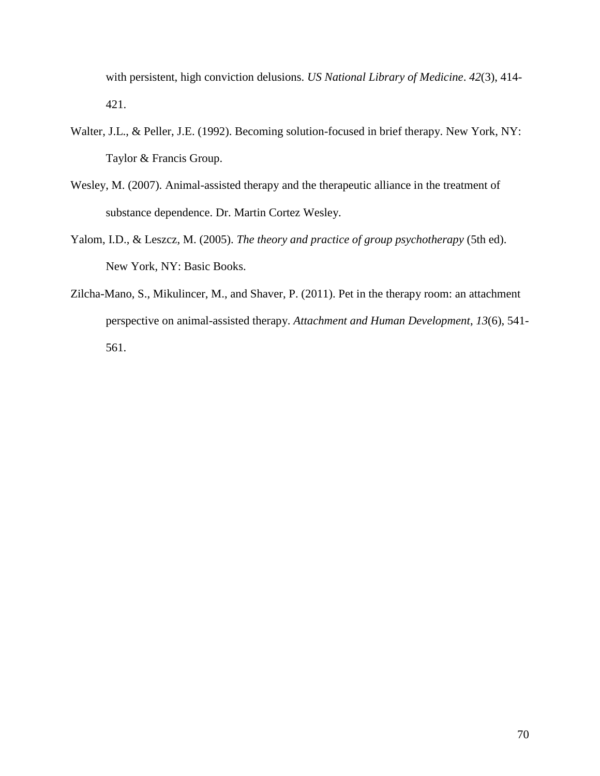with persistent, high conviction delusions. *US National Library of Medicine*. *42*(3), 414- 421.

- Walter, J.L., & Peller, J.E. (1992). Becoming solution-focused in brief therapy. New York, NY: Taylor & Francis Group.
- Wesley, M. (2007). Animal-assisted therapy and the therapeutic alliance in the treatment of substance dependence. Dr. Martin Cortez Wesley.
- Yalom, I.D., & Leszcz, M. (2005). *The theory and practice of group psychotherapy* (5th ed). New York, NY: Basic Books.
- Zilcha-Mano, S., Mikulincer, M., and Shaver, P. (2011). Pet in the therapy room: an attachment perspective on animal-assisted therapy. *Attachment and Human Development*, *13*(6), 541- 561.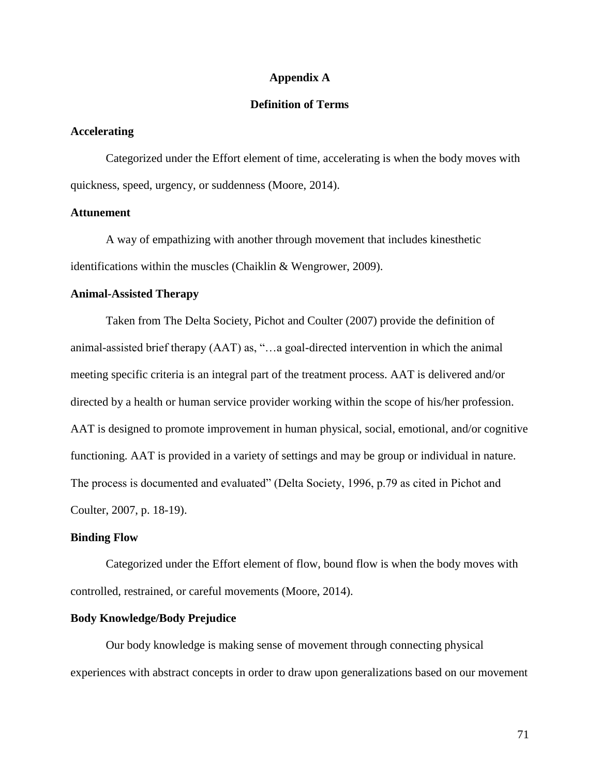### **Appendix A**

# **Definition of Terms**

## **Accelerating**

Categorized under the Effort element of time, accelerating is when the body moves with quickness, speed, urgency, or suddenness (Moore, 2014).

## **Attunement**

A way of empathizing with another through movement that includes kinesthetic identifications within the muscles (Chaiklin & Wengrower, 2009).

## **Animal-Assisted Therapy**

Taken from The Delta Society, Pichot and Coulter (2007) provide the definition of animal-assisted brief therapy (AAT) as, "…a goal-directed intervention in which the animal meeting specific criteria is an integral part of the treatment process. AAT is delivered and/or directed by a health or human service provider working within the scope of his/her profession. AAT is designed to promote improvement in human physical, social, emotional, and/or cognitive functioning. AAT is provided in a variety of settings and may be group or individual in nature. The process is documented and evaluated" (Delta Society, 1996, p.79 as cited in Pichot and Coulter, 2007, p. 18-19).

#### **Binding Flow**

Categorized under the Effort element of flow, bound flow is when the body moves with controlled, restrained, or careful movements (Moore, 2014).

# **Body Knowledge/Body Prejudice**

Our body knowledge is making sense of movement through connecting physical experiences with abstract concepts in order to draw upon generalizations based on our movement

71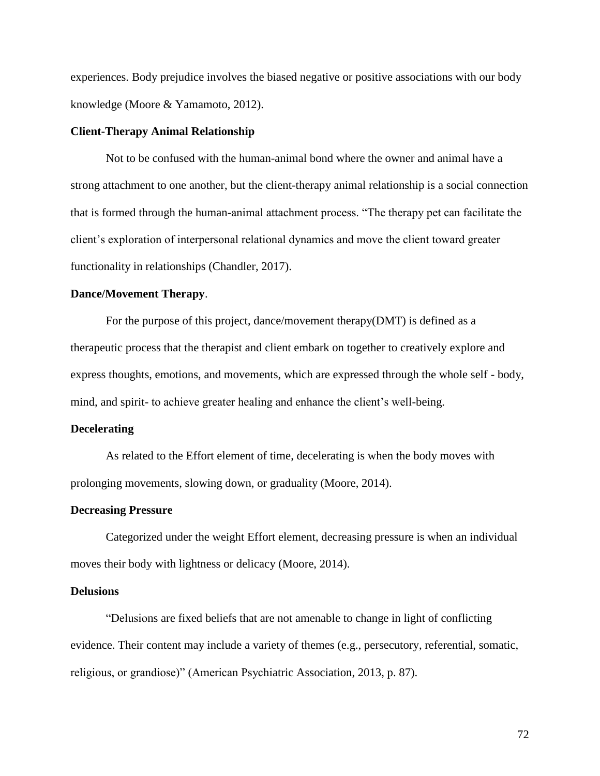experiences. Body prejudice involves the biased negative or positive associations with our body knowledge (Moore & Yamamoto, 2012).

### **Client-Therapy Animal Relationship**

Not to be confused with the human-animal bond where the owner and animal have a strong attachment to one another, but the client-therapy animal relationship is a social connection that is formed through the human-animal attachment process. "The therapy pet can facilitate the client's exploration of interpersonal relational dynamics and move the client toward greater functionality in relationships (Chandler, 2017).

### **Dance/Movement Therapy**.

For the purpose of this project, dance/movement therapy(DMT) is defined as a therapeutic process that the therapist and client embark on together to creatively explore and express thoughts, emotions, and movements, which are expressed through the whole self - body, mind, and spirit- to achieve greater healing and enhance the client's well-being.

#### **Decelerating**

As related to the Effort element of time, decelerating is when the body moves with prolonging movements, slowing down, or graduality (Moore, 2014).

#### **Decreasing Pressure**

Categorized under the weight Effort element, decreasing pressure is when an individual moves their body with lightness or delicacy (Moore, 2014).

# **Delusions**

"Delusions are fixed beliefs that are not amenable to change in light of conflicting evidence. Their content may include a variety of themes (e.g., persecutory, referential, somatic, religious, or grandiose)" (American Psychiatric Association, 2013, p. 87).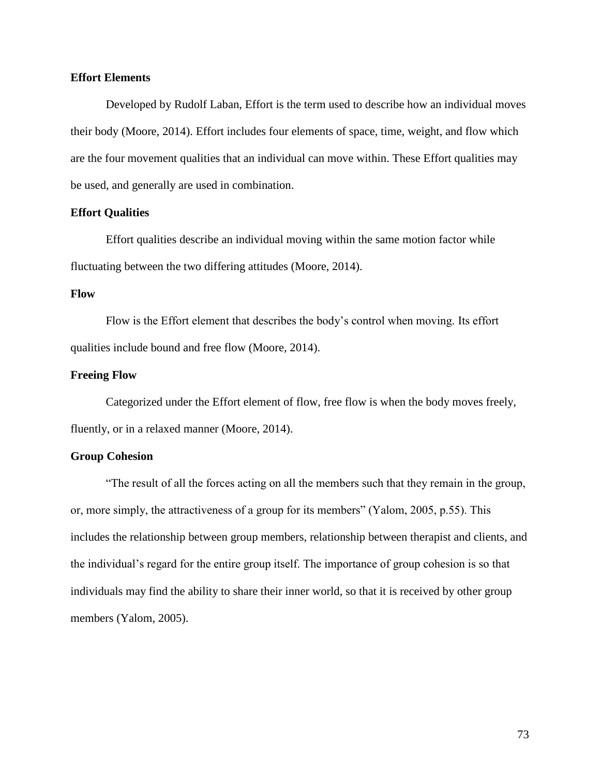## **Effort Elements**

Developed by Rudolf Laban, Effort is the term used to describe how an individual moves their body (Moore, 2014). Effort includes four elements of space, time, weight, and flow which are the four movement qualities that an individual can move within. These Effort qualities may be used, and generally are used in combination.

## **Effort Qualities**

Effort qualities describe an individual moving within the same motion factor while fluctuating between the two differing attitudes (Moore, 2014).

# **Flow**

Flow is the Effort element that describes the body's control when moving. Its effort qualities include bound and free flow (Moore, 2014).

## **Freeing Flow**

Categorized under the Effort element of flow, free flow is when the body moves freely, fluently, or in a relaxed manner (Moore, 2014).

## **Group Cohesion**

"The result of all the forces acting on all the members such that they remain in the group, or, more simply, the attractiveness of a group for its members" (Yalom, 2005, p.55). This includes the relationship between group members, relationship between therapist and clients, and the individual's regard for the entire group itself. The importance of group cohesion is so that individuals may find the ability to share their inner world, so that it is received by other group members (Yalom, 2005).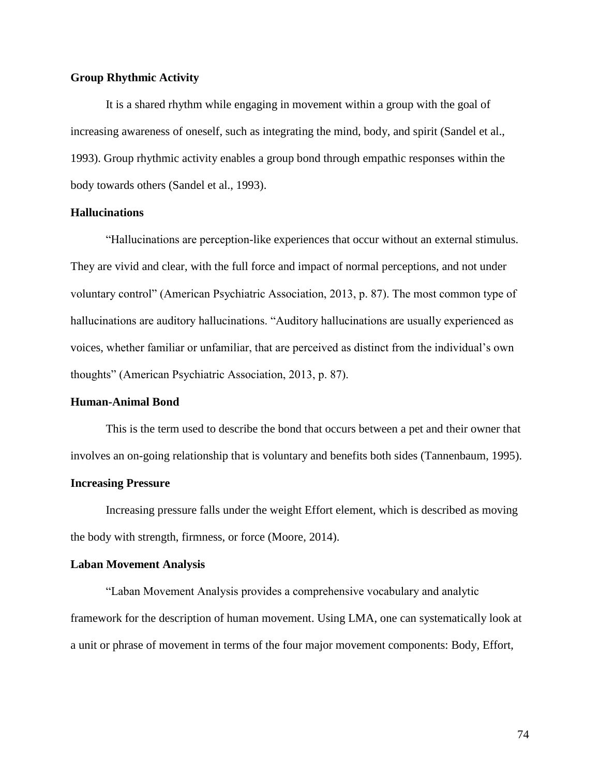# **Group Rhythmic Activity**

It is a shared rhythm while engaging in movement within a group with the goal of increasing awareness of oneself, such as integrating the mind, body, and spirit (Sandel et al., 1993). Group rhythmic activity enables a group bond through empathic responses within the body towards others (Sandel et al., 1993).

## **Hallucinations**

"Hallucinations are perception-like experiences that occur without an external stimulus. They are vivid and clear, with the full force and impact of normal perceptions, and not under voluntary control" (American Psychiatric Association, 2013, p. 87). The most common type of hallucinations are auditory hallucinations. "Auditory hallucinations are usually experienced as voices, whether familiar or unfamiliar, that are perceived as distinct from the individual's own thoughts" (American Psychiatric Association, 2013, p. 87).

## **Human-Animal Bond**

This is the term used to describe the bond that occurs between a pet and their owner that involves an on-going relationship that is voluntary and benefits both sides (Tannenbaum, 1995).

### **Increasing Pressure**

Increasing pressure falls under the weight Effort element, which is described as moving the body with strength, firmness, or force (Moore, 2014).

### **Laban Movement Analysis**

"Laban Movement Analysis provides a comprehensive vocabulary and analytic framework for the description of human movement. Using LMA, one can systematically look at a unit or phrase of movement in terms of the four major movement components: Body, Effort,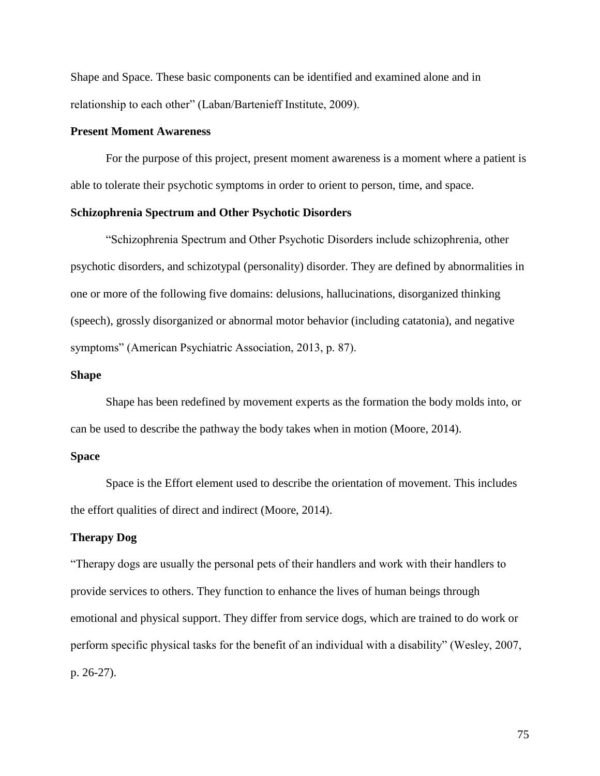Shape and Space. These basic components can be identified and examined alone and in relationship to each other" (Laban/Bartenieff Institute, 2009).

### **Present Moment Awareness**

For the purpose of this project, present moment awareness is a moment where a patient is able to tolerate their psychotic symptoms in order to orient to person, time, and space.

## **Schizophrenia Spectrum and Other Psychotic Disorders**

"Schizophrenia Spectrum and Other Psychotic Disorders include schizophrenia, other psychotic disorders, and schizotypal (personality) disorder. They are defined by abnormalities in one or more of the following five domains: delusions, hallucinations, disorganized thinking (speech), grossly disorganized or abnormal motor behavior (including catatonia), and negative symptoms" (American Psychiatric Association, 2013, p. 87).

## **Shape**

Shape has been redefined by movement experts as the formation the body molds into, or can be used to describe the pathway the body takes when in motion (Moore, 2014).

# **Space**

Space is the Effort element used to describe the orientation of movement. This includes the effort qualities of direct and indirect (Moore, 2014).

## **Therapy Dog**

"Therapy dogs are usually the personal pets of their handlers and work with their handlers to provide services to others. They function to enhance the lives of human beings through emotional and physical support. They differ from service dogs, which are trained to do work or perform specific physical tasks for the benefit of an individual with a disability" (Wesley, 2007, p. 26-27).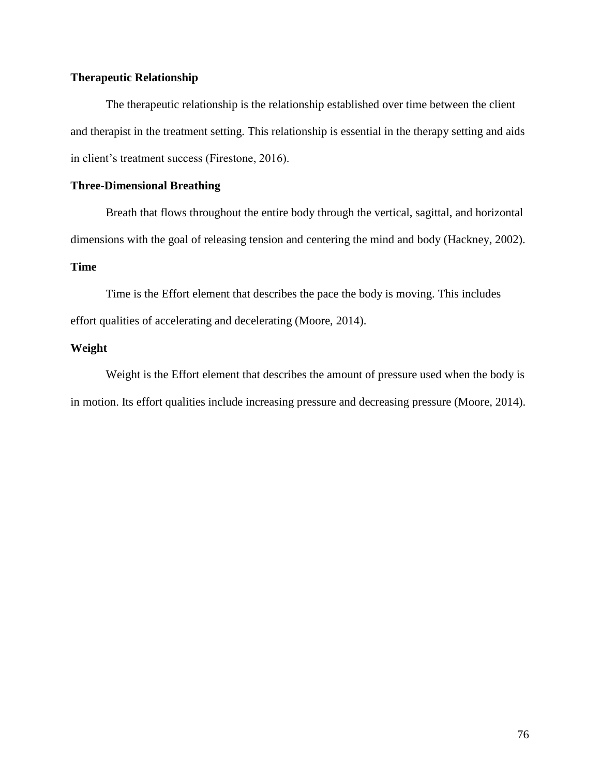# **Therapeutic Relationship**

The therapeutic relationship is the relationship established over time between the client and therapist in the treatment setting. This relationship is essential in the therapy setting and aids in client's treatment success (Firestone, 2016).

# **Three-Dimensional Breathing**

Breath that flows throughout the entire body through the vertical, sagittal, and horizontal dimensions with the goal of releasing tension and centering the mind and body (Hackney, 2002).

# **Time**

Time is the Effort element that describes the pace the body is moving. This includes effort qualities of accelerating and decelerating (Moore, 2014).

# **Weight**

Weight is the Effort element that describes the amount of pressure used when the body is in motion. Its effort qualities include increasing pressure and decreasing pressure (Moore, 2014).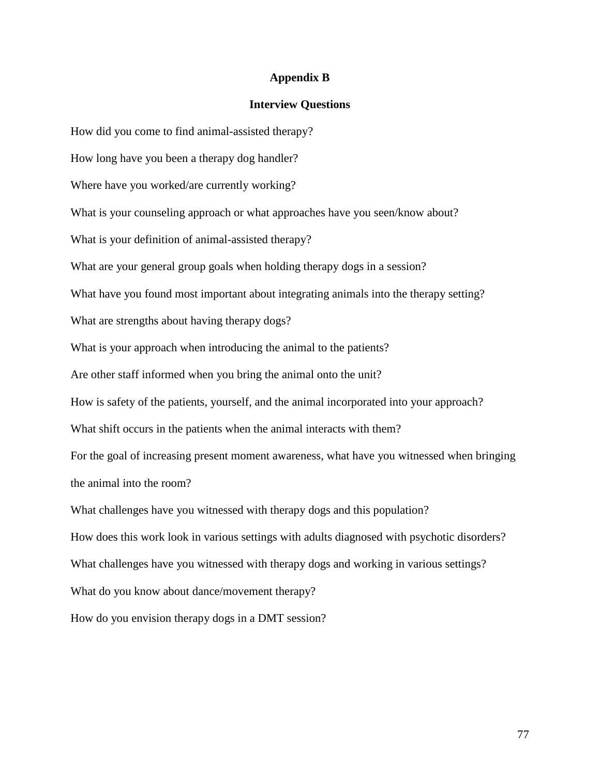## **Appendix B**

### **Interview Questions**

How did you come to find animal-assisted therapy?

How long have you been a therapy dog handler?

Where have you worked/are currently working?

What is your counseling approach or what approaches have you seen/know about?

What is your definition of animal-assisted therapy?

What are your general group goals when holding therapy dogs in a session?

What have you found most important about integrating animals into the therapy setting?

What are strengths about having therapy dogs?

What is your approach when introducing the animal to the patients?

Are other staff informed when you bring the animal onto the unit?

How is safety of the patients, yourself, and the animal incorporated into your approach?

What shift occurs in the patients when the animal interacts with them?

For the goal of increasing present moment awareness, what have you witnessed when bringing the animal into the room?

What challenges have you witnessed with therapy dogs and this population?

How does this work look in various settings with adults diagnosed with psychotic disorders?

What challenges have you witnessed with therapy dogs and working in various settings?

What do you know about dance/movement therapy?

How do you envision therapy dogs in a DMT session?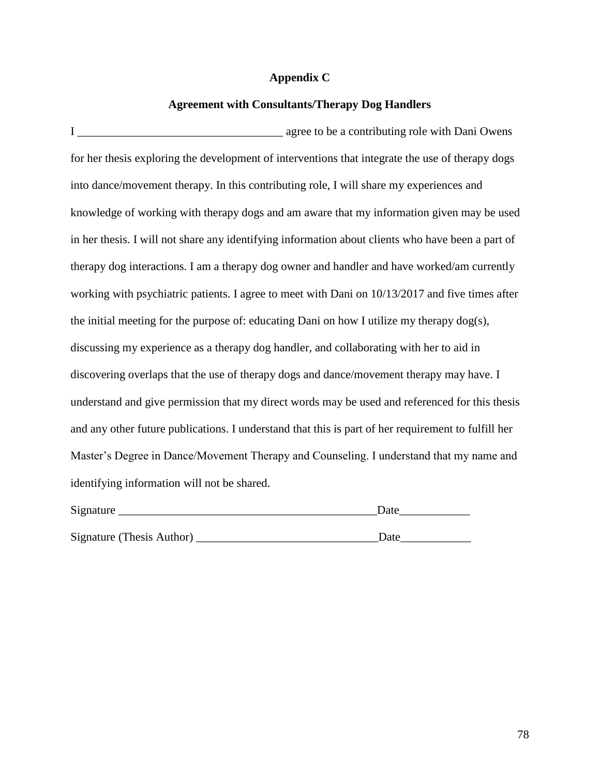# **Appendix C**

# **Agreement with Consultants/Therapy Dog Handlers**

I agree to be a contributing role with Dani Owens for her thesis exploring the development of interventions that integrate the use of therapy dogs into dance/movement therapy. In this contributing role, I will share my experiences and knowledge of working with therapy dogs and am aware that my information given may be used in her thesis. I will not share any identifying information about clients who have been a part of therapy dog interactions. I am a therapy dog owner and handler and have worked/am currently working with psychiatric patients. I agree to meet with Dani on 10/13/2017 and five times after the initial meeting for the purpose of: educating Dani on how I utilize my therapy dog(s), discussing my experience as a therapy dog handler, and collaborating with her to aid in discovering overlaps that the use of therapy dogs and dance/movement therapy may have. I understand and give permission that my direct words may be used and referenced for this thesis and any other future publications. I understand that this is part of her requirement to fulfill her Master's Degree in Dance/Movement Therapy and Counseling. I understand that my name and identifying information will not be shared.

| Signature                 | Date |  |
|---------------------------|------|--|
|                           |      |  |
| Signature (Thesis Author) | Date |  |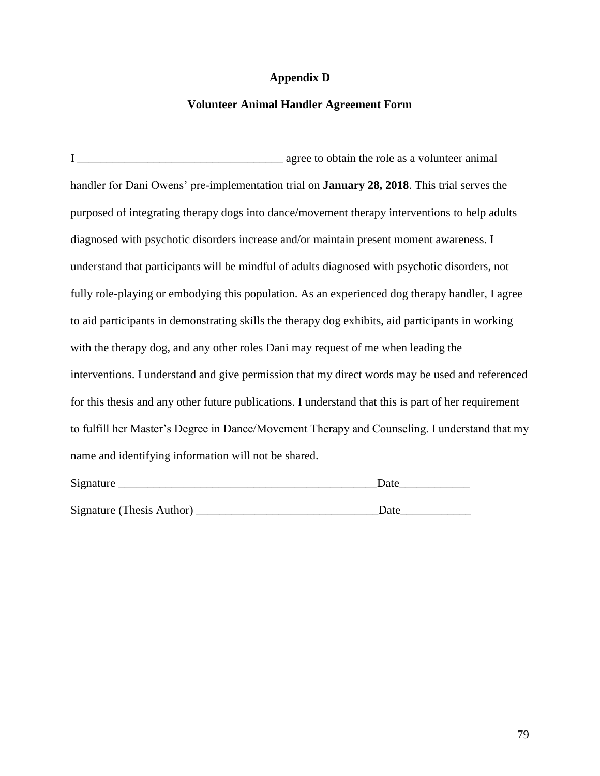# **Appendix D**

# **Volunteer Animal Handler Agreement Form**

I \_\_\_\_\_\_\_\_\_\_\_\_\_\_\_\_\_\_\_\_\_\_\_\_\_\_\_\_\_\_\_\_\_\_\_ agree to obtain the role as a volunteer animal handler for Dani Owens' pre-implementation trial on **January 28, 2018**. This trial serves the purposed of integrating therapy dogs into dance/movement therapy interventions to help adults diagnosed with psychotic disorders increase and/or maintain present moment awareness. I understand that participants will be mindful of adults diagnosed with psychotic disorders, not fully role-playing or embodying this population. As an experienced dog therapy handler, I agree to aid participants in demonstrating skills the therapy dog exhibits, aid participants in working with the therapy dog, and any other roles Dani may request of me when leading the interventions. I understand and give permission that my direct words may be used and referenced for this thesis and any other future publications. I understand that this is part of her requirement to fulfill her Master's Degree in Dance/Movement Therapy and Counseling. I understand that my name and identifying information will not be shared.

| Signature                 | Date |  |
|---------------------------|------|--|
|                           |      |  |
| Signature (Thesis Author) | Date |  |